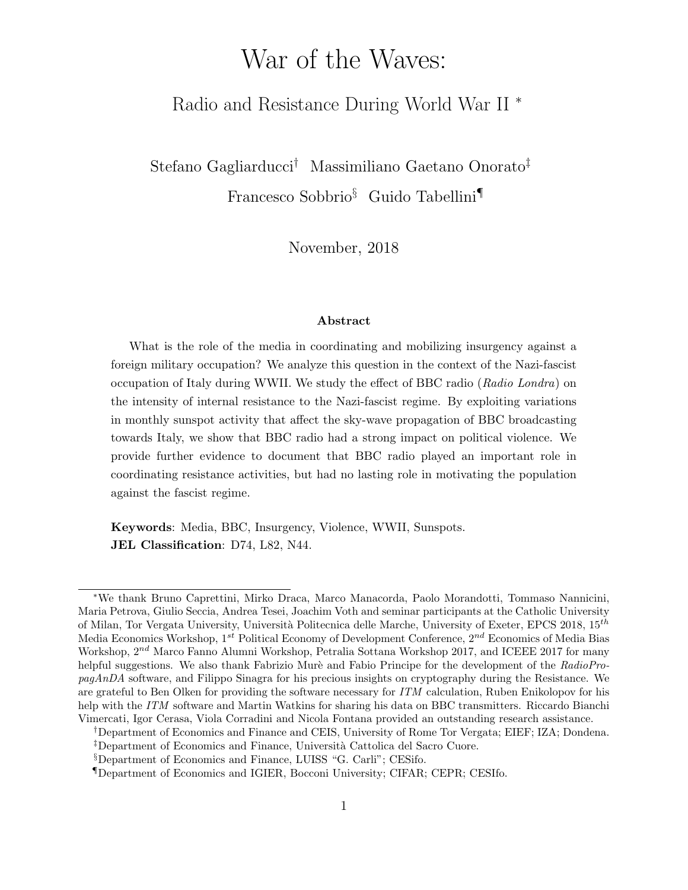## War of the Waves:

### Radio and Resistance During World War II <sup>∗</sup>

Stefano Gagliarducci† Massimiliano Gaetano Onorato‡ Francesco Sobbrio§ Guido Tabellini¶

November, 2018

#### Abstract

What is the role of the media in coordinating and mobilizing insurgency against a foreign military occupation? We analyze this question in the context of the Nazi-fascist occupation of Italy during WWII. We study the effect of BBC radio (Radio Londra) on the intensity of internal resistance to the Nazi-fascist regime. By exploiting variations in monthly sunspot activity that affect the sky-wave propagation of BBC broadcasting towards Italy, we show that BBC radio had a strong impact on political violence. We provide further evidence to document that BBC radio played an important role in coordinating resistance activities, but had no lasting role in motivating the population against the fascist regime.

Keywords: Media, BBC, Insurgency, Violence, WWII, Sunspots. JEL Classification: D74, L82, N44.

<sup>∗</sup>We thank Bruno Caprettini, Mirko Draca, Marco Manacorda, Paolo Morandotti, Tommaso Nannicini, Maria Petrova, Giulio Seccia, Andrea Tesei, Joachim Voth and seminar participants at the Catholic University of Milan, Tor Vergata University, Università Politecnica delle Marche, University of Exeter, EPCS 2018, 15<sup>th</sup> Media Economics Workshop,  $1^{st}$  Political Economy of Development Conference,  $2^{nd}$  Economics of Media Bias Workshop,  $2^{nd}$  Marco Fanno Alumni Workshop, Petralia Sottana Workshop 2017, and ICEEE 2017 for many helpful suggestions. We also thank Fabrizio Murè and Fabio Principe for the development of the RadioPropagAnDA software, and Filippo Sinagra for his precious insights on cryptography during the Resistance. We are grateful to Ben Olken for providing the software necessary for ITM calculation, Ruben Enikolopov for his help with the ITM software and Martin Watkins for sharing his data on BBC transmitters. Riccardo Bianchi Vimercati, Igor Cerasa, Viola Corradini and Nicola Fontana provided an outstanding research assistance.

<sup>†</sup>Department of Economics and Finance and CEIS, University of Rome Tor Vergata; EIEF; IZA; Dondena.

<sup>&</sup>lt;sup>‡</sup>Department of Economics and Finance, Università Cattolica del Sacro Cuore.

<sup>§</sup>Department of Economics and Finance, LUISS "G. Carli"; CESifo.

<sup>¶</sup>Department of Economics and IGIER, Bocconi University; CIFAR; CEPR; CESIfo.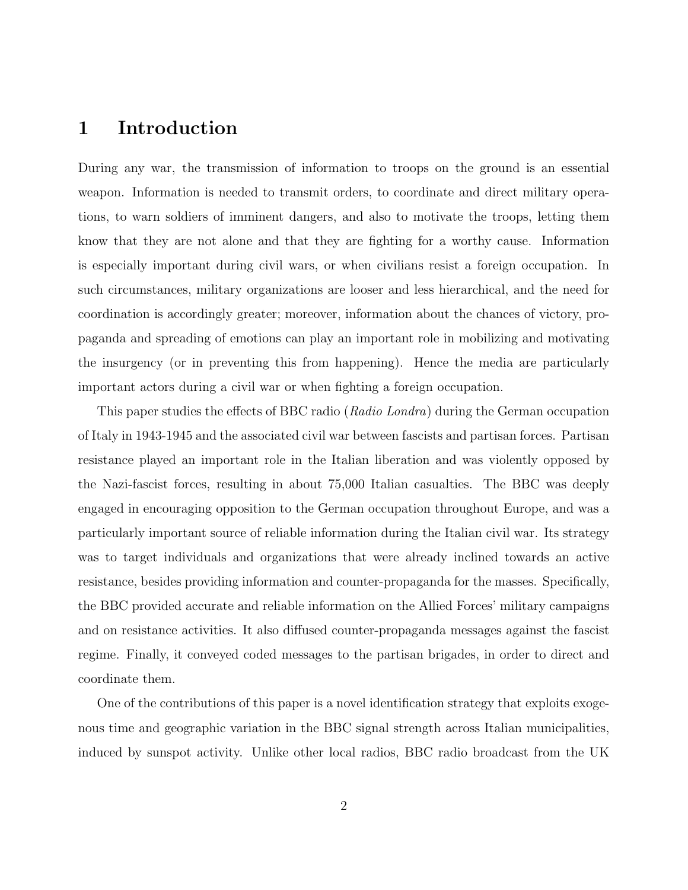### 1 Introduction

During any war, the transmission of information to troops on the ground is an essential weapon. Information is needed to transmit orders, to coordinate and direct military operations, to warn soldiers of imminent dangers, and also to motivate the troops, letting them know that they are not alone and that they are fighting for a worthy cause. Information is especially important during civil wars, or when civilians resist a foreign occupation. In such circumstances, military organizations are looser and less hierarchical, and the need for coordination is accordingly greater; moreover, information about the chances of victory, propaganda and spreading of emotions can play an important role in mobilizing and motivating the insurgency (or in preventing this from happening). Hence the media are particularly important actors during a civil war or when fighting a foreign occupation.

This paper studies the effects of BBC radio (Radio Londra) during the German occupation of Italy in 1943-1945 and the associated civil war between fascists and partisan forces. Partisan resistance played an important role in the Italian liberation and was violently opposed by the Nazi-fascist forces, resulting in about 75,000 Italian casualties. The BBC was deeply engaged in encouraging opposition to the German occupation throughout Europe, and was a particularly important source of reliable information during the Italian civil war. Its strategy was to target individuals and organizations that were already inclined towards an active resistance, besides providing information and counter-propaganda for the masses. Specifically, the BBC provided accurate and reliable information on the Allied Forces' military campaigns and on resistance activities. It also diffused counter-propaganda messages against the fascist regime. Finally, it conveyed coded messages to the partisan brigades, in order to direct and coordinate them.

One of the contributions of this paper is a novel identification strategy that exploits exogenous time and geographic variation in the BBC signal strength across Italian municipalities, induced by sunspot activity. Unlike other local radios, BBC radio broadcast from the UK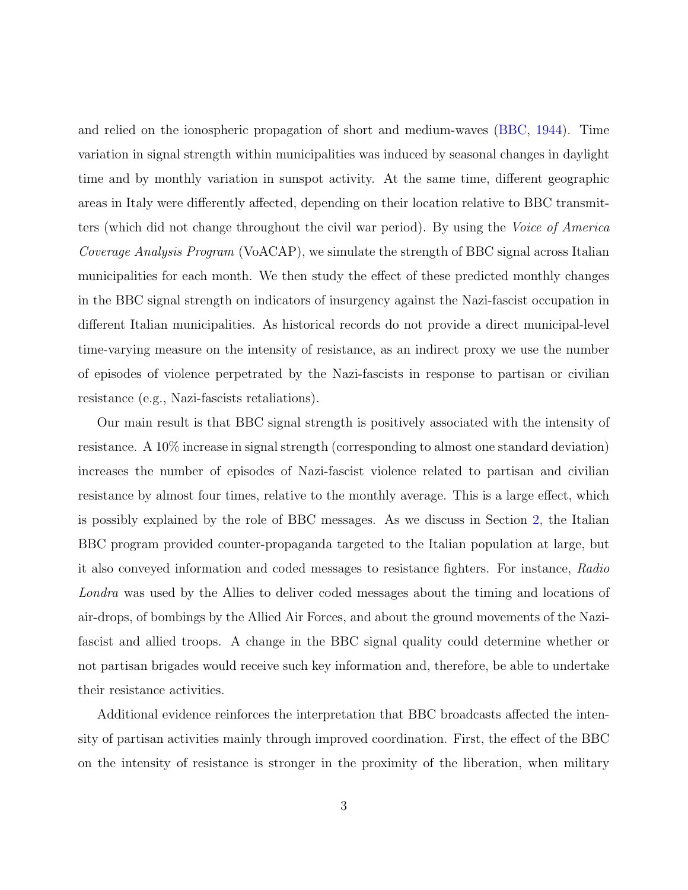and relied on the ionospheric propagation of short and medium-waves [\(BBC,](#page-35-0) [1944\)](#page-35-0). Time variation in signal strength within municipalities was induced by seasonal changes in daylight time and by monthly variation in sunspot activity. At the same time, different geographic areas in Italy were differently affected, depending on their location relative to BBC transmitters (which did not change throughout the civil war period). By using the Voice of America Coverage Analysis Program (VoACAP), we simulate the strength of BBC signal across Italian municipalities for each month. We then study the effect of these predicted monthly changes in the BBC signal strength on indicators of insurgency against the Nazi-fascist occupation in different Italian municipalities. As historical records do not provide a direct municipal-level time-varying measure on the intensity of resistance, as an indirect proxy we use the number of episodes of violence perpetrated by the Nazi-fascists in response to partisan or civilian resistance (e.g., Nazi-fascists retaliations).

Our main result is that BBC signal strength is positively associated with the intensity of resistance. A 10% increase in signal strength (corresponding to almost one standard deviation) increases the number of episodes of Nazi-fascist violence related to partisan and civilian resistance by almost four times, relative to the monthly average. This is a large effect, which is possibly explained by the role of BBC messages. As we discuss in Section [2,](#page-5-0) the Italian BBC program provided counter-propaganda targeted to the Italian population at large, but it also conveyed information and coded messages to resistance fighters. For instance, Radio Londra was used by the Allies to deliver coded messages about the timing and locations of air-drops, of bombings by the Allied Air Forces, and about the ground movements of the Nazifascist and allied troops. A change in the BBC signal quality could determine whether or not partisan brigades would receive such key information and, therefore, be able to undertake their resistance activities.

Additional evidence reinforces the interpretation that BBC broadcasts affected the intensity of partisan activities mainly through improved coordination. First, the effect of the BBC on the intensity of resistance is stronger in the proximity of the liberation, when military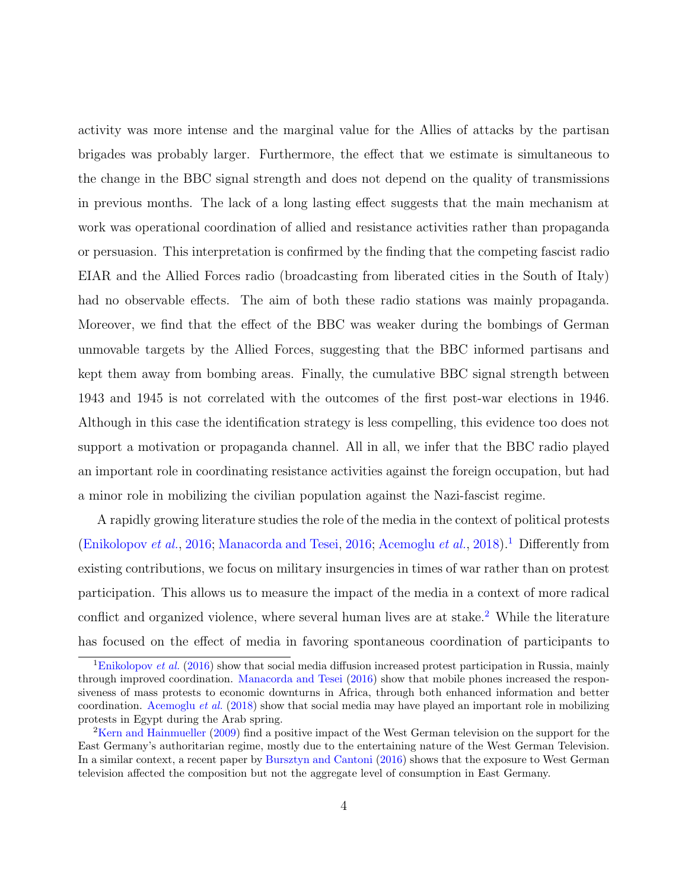activity was more intense and the marginal value for the Allies of attacks by the partisan brigades was probably larger. Furthermore, the effect that we estimate is simultaneous to the change in the BBC signal strength and does not depend on the quality of transmissions in previous months. The lack of a long lasting effect suggests that the main mechanism at work was operational coordination of allied and resistance activities rather than propaganda or persuasion. This interpretation is confirmed by the finding that the competing fascist radio EIAR and the Allied Forces radio (broadcasting from liberated cities in the South of Italy) had no observable effects. The aim of both these radio stations was mainly propaganda. Moreover, we find that the effect of the BBC was weaker during the bombings of German unmovable targets by the Allied Forces, suggesting that the BBC informed partisans and kept them away from bombing areas. Finally, the cumulative BBC signal strength between 1943 and 1945 is not correlated with the outcomes of the first post-war elections in 1946. Although in this case the identification strategy is less compelling, this evidence too does not support a motivation or propaganda channel. All in all, we infer that the BBC radio played an important role in coordinating resistance activities against the foreign occupation, but had a minor role in mobilizing the civilian population against the Nazi-fascist regime.

A rapidly growing literature studies the role of the media in the context of political protests [\(Enikolopov](#page-36-0) et al., [2016;](#page-37-0) [Manacorda and Tesei,](#page-37-0) 2016; [Acemoglu](#page-35-1) et al., [2018\)](#page-35-1).<sup>[1](#page-3-0)</sup> Differently from existing contributions, we focus on military insurgencies in times of war rather than on protest participation. This allows us to measure the impact of the media in a context of more radical conflict and organized violence, where several human lives are at stake.<sup>[2](#page-3-1)</sup> While the literature has focused on the effect of media in favoring spontaneous coordination of participants to

<span id="page-3-0"></span><sup>&</sup>lt;sup>1</sup>[Enikolopov](#page-36-0) *et al.* [\(2016\)](#page-36-0) show that social media diffusion increased protest participation in Russia, mainly through improved coordination. [Manacorda and Tesei](#page-37-0) [\(2016\)](#page-37-0) show that mobile phones increased the responsiveness of mass protests to economic downturns in Africa, through both enhanced information and better coordination. [Acemoglu](#page-35-1) *et al.* [\(2018\)](#page-35-1) show that social media may have played an important role in mobilizing protests in Egypt during the Arab spring.

<span id="page-3-1"></span><sup>2</sup>[Kern and Hainmueller](#page-36-1) [\(2009\)](#page-36-1) find a positive impact of the West German television on the support for the East Germany's authoritarian regime, mostly due to the entertaining nature of the West German Television. In a similar context, a recent paper by [Bursztyn and Cantoni](#page-35-2) [\(2016\)](#page-35-2) shows that the exposure to West German television affected the composition but not the aggregate level of consumption in East Germany.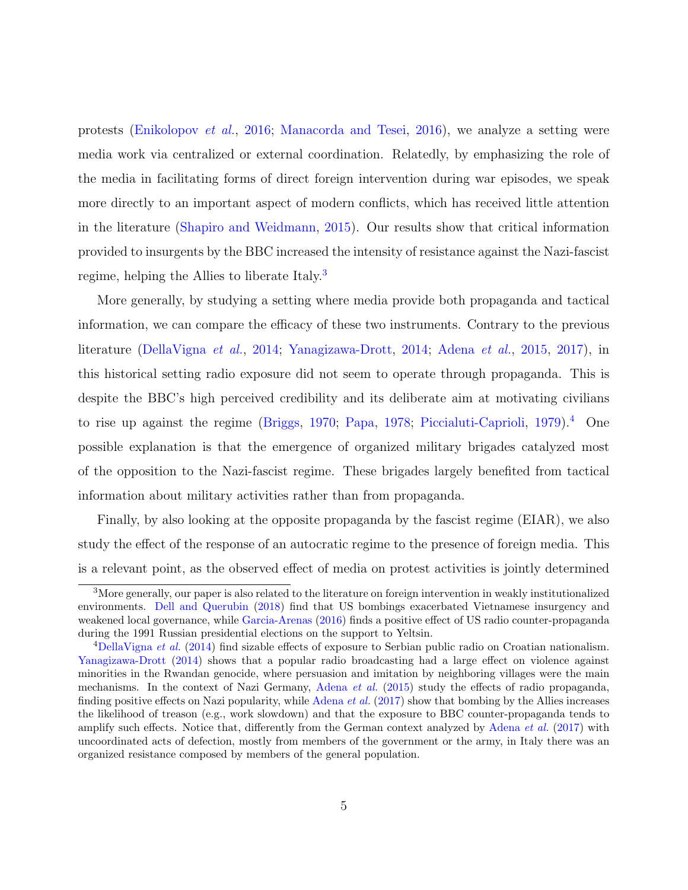protests [\(Enikolopov](#page-36-0) et al., [2016;](#page-36-0) [Manacorda and Tesei,](#page-37-0) [2016\)](#page-37-0), we analyze a setting were media work via centralized or external coordination. Relatedly, by emphasizing the role of the media in facilitating forms of direct foreign intervention during war episodes, we speak more directly to an important aspect of modern conflicts, which has received little attention in the literature [\(Shapiro and Weidmann,](#page-37-1) [2015\)](#page-37-1). Our results show that critical information provided to insurgents by the BBC increased the intensity of resistance against the Nazi-fascist regime, helping the Allies to liberate Italy.<sup>[3](#page-4-0)</sup>

More generally, by studying a setting where media provide both propaganda and tactical information, we can compare the efficacy of these two instruments. Contrary to the previous literature [\(DellaVigna](#page-36-2) et al., [2014;](#page-36-2) [Yanagizawa-Drott,](#page-38-0) [2014;](#page-38-0) [Adena](#page-35-3) et al., [2015,](#page-35-3) [2017\)](#page-35-4), in this historical setting radio exposure did not seem to operate through propaganda. This is despite the BBC's high perceived credibility and its deliberate aim at motivating civilians to rise up against the regime [\(Briggs,](#page-35-5) [1970;](#page-35-5) [Papa,](#page-37-2) [1978;](#page-37-2) [Piccialuti-Caprioli,](#page-37-3) [1979\)](#page-37-3).<sup>[4](#page-4-1)</sup> One possible explanation is that the emergence of organized military brigades catalyzed most of the opposition to the Nazi-fascist regime. These brigades largely benefited from tactical information about military activities rather than from propaganda.

Finally, by also looking at the opposite propaganda by the fascist regime (EIAR), we also study the effect of the response of an autocratic regime to the presence of foreign media. This is a relevant point, as the observed effect of media on protest activities is jointly determined

<span id="page-4-0"></span><sup>3</sup>More generally, our paper is also related to the literature on foreign intervention in weakly institutionalized environments. [Dell and Querubin](#page-36-3) [\(2018\)](#page-36-3) find that US bombings exacerbated Vietnamese insurgency and weakened local governance, while [Garcia-Arenas](#page-36-4) [\(2016\)](#page-36-4) finds a positive effect of US radio counter-propaganda during the 1991 Russian presidential elections on the support to Yeltsin.

<span id="page-4-1"></span><sup>4</sup>[DellaVigna](#page-36-2) et al. [\(2014\)](#page-36-2) find sizable effects of exposure to Serbian public radio on Croatian nationalism. [Yanagizawa-Drott](#page-38-0) [\(2014\)](#page-38-0) shows that a popular radio broadcasting had a large effect on violence against minorities in the Rwandan genocide, where persuasion and imitation by neighboring villages were the main mechanisms. In the context of Nazi Germany, [Adena](#page-35-3) et al. [\(2015\)](#page-35-3) study the effects of radio propaganda, finding positive effects on Nazi popularity, while [Adena](#page-35-4) *et al.* [\(2017\)](#page-35-4) show that bombing by the Allies increases the likelihood of treason (e.g., work slowdown) and that the exposure to BBC counter-propaganda tends to amplify such effects. Notice that, differently from the German context analyzed by [Adena](#page-35-4) *et al.* [\(2017\)](#page-35-4) with uncoordinated acts of defection, mostly from members of the government or the army, in Italy there was an organized resistance composed by members of the general population.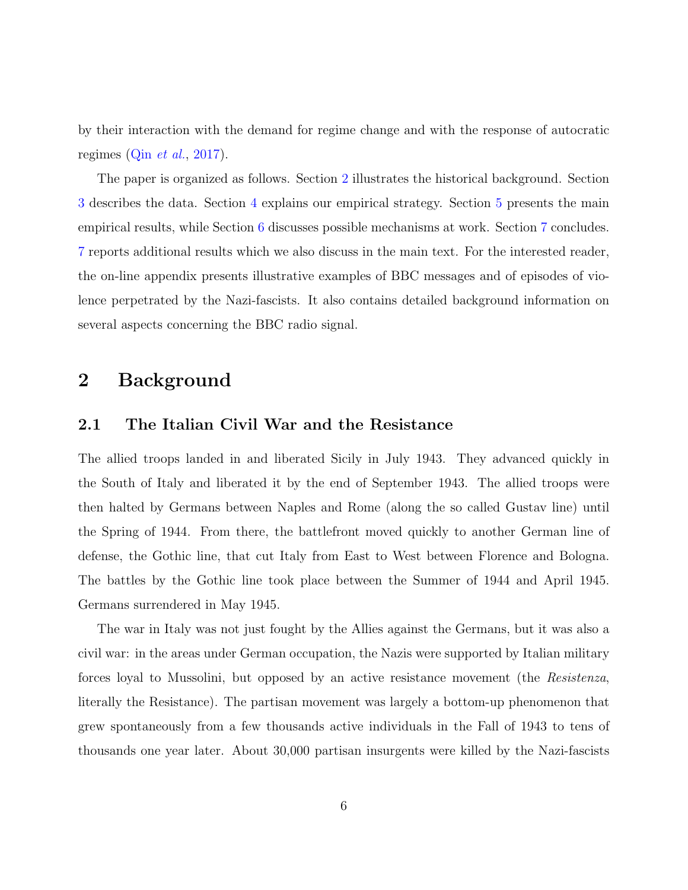by their interaction with the demand for regime change and with the response of autocratic regimes  $(Qin et al., 2017)$  $(Qin et al., 2017)$  $(Qin et al., 2017)$  $(Qin et al., 2017)$ .

The paper is organized as follows. Section [2](#page-5-0) illustrates the historical background. Section [3](#page-11-0) describes the data. Section [4](#page-19-0) explains our empirical strategy. Section [5](#page-21-0) presents the main empirical results, while Section [6](#page-26-0) discusses possible mechanisms at work. Section [7](#page-33-0) concludes. [7](#page-54-0) reports additional results which we also discuss in the main text. For the interested reader, the on-line appendix presents illustrative examples of BBC messages and of episodes of violence perpetrated by the Nazi-fascists. It also contains detailed background information on several aspects concerning the BBC radio signal.

### <span id="page-5-0"></span>2 Background

#### 2.1 The Italian Civil War and the Resistance

The allied troops landed in and liberated Sicily in July 1943. They advanced quickly in the South of Italy and liberated it by the end of September 1943. The allied troops were then halted by Germans between Naples and Rome (along the so called Gustav line) until the Spring of 1944. From there, the battlefront moved quickly to another German line of defense, the Gothic line, that cut Italy from East to West between Florence and Bologna. The battles by the Gothic line took place between the Summer of 1944 and April 1945. Germans surrendered in May 1945.

The war in Italy was not just fought by the Allies against the Germans, but it was also a civil war: in the areas under German occupation, the Nazis were supported by Italian military forces loyal to Mussolini, but opposed by an active resistance movement (the Resistenza, literally the Resistance). The partisan movement was largely a bottom-up phenomenon that grew spontaneously from a few thousands active individuals in the Fall of 1943 to tens of thousands one year later. About 30,000 partisan insurgents were killed by the Nazi-fascists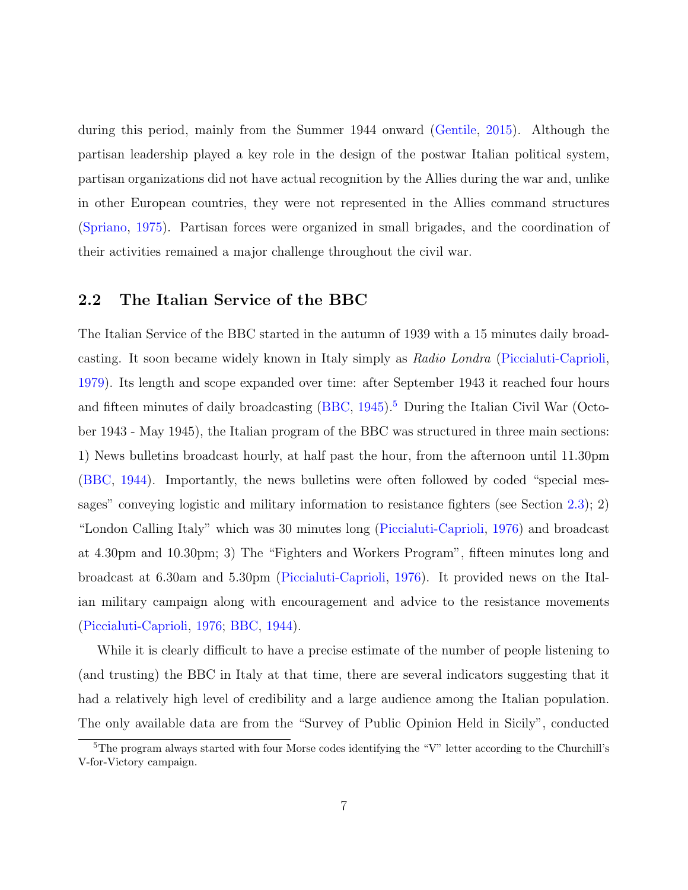during this period, mainly from the Summer 1944 onward [\(Gentile,](#page-36-5) [2015\)](#page-36-5). Although the partisan leadership played a key role in the design of the postwar Italian political system, partisan organizations did not have actual recognition by the Allies during the war and, unlike in other European countries, they were not represented in the Allies command structures [\(Spriano,](#page-38-1) [1975\)](#page-38-1). Partisan forces were organized in small brigades, and the coordination of their activities remained a major challenge throughout the civil war.

#### 2.2 The Italian Service of the BBC

The Italian Service of the BBC started in the autumn of 1939 with a 15 minutes daily broadcasting. It soon became widely known in Italy simply as Radio Londra [\(Piccialuti-Caprioli,](#page-37-3) [1979\)](#page-37-3). Its length and scope expanded over time: after September 1943 it reached four hours and fifteen minutes of daily broadcasting [\(BBC,](#page-35-6) [1945\)](#page-35-6).<sup>[5](#page-6-0)</sup> During the Italian Civil War (October 1943 - May 1945), the Italian program of the BBC was structured in three main sections: 1) News bulletins broadcast hourly, at half past the hour, from the afternoon until 11.30pm [\(BBC,](#page-35-0) [1944\)](#page-35-0). Importantly, the news bulletins were often followed by coded "special messages" conveying logistic and military information to resistance fighters (see Section [2.3\)](#page-8-0); 2) "London Calling Italy" which was 30 minutes long [\(Piccialuti-Caprioli,](#page-37-5) [1976\)](#page-37-5) and broadcast at 4.30pm and 10.30pm; 3) The "Fighters and Workers Program", fifteen minutes long and broadcast at 6.30am and 5.30pm [\(Piccialuti-Caprioli,](#page-37-5) [1976\)](#page-37-5). It provided news on the Italian military campaign along with encouragement and advice to the resistance movements [\(Piccialuti-Caprioli,](#page-37-5) [1976;](#page-37-5) [BBC,](#page-35-0) [1944\)](#page-35-0).

While it is clearly difficult to have a precise estimate of the number of people listening to (and trusting) the BBC in Italy at that time, there are several indicators suggesting that it had a relatively high level of credibility and a large audience among the Italian population. The only available data are from the "Survey of Public Opinion Held in Sicily", conducted

<span id="page-6-0"></span> $5$ The program always started with four Morse codes identifying the "V" letter according to the Churchill's V-for-Victory campaign.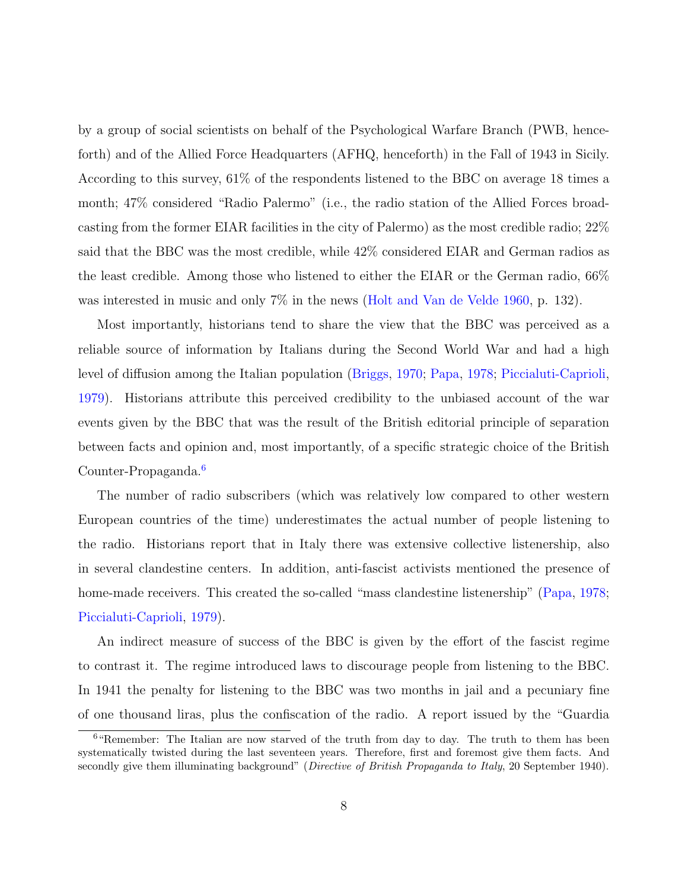by a group of social scientists on behalf of the Psychological Warfare Branch (PWB, henceforth) and of the Allied Force Headquarters (AFHQ, henceforth) in the Fall of 1943 in Sicily. According to this survey, 61% of the respondents listened to the BBC on average 18 times a month; 47% considered "Radio Palermo" (i.e., the radio station of the Allied Forces broadcasting from the former EIAR facilities in the city of Palermo) as the most credible radio; 22% said that the BBC was the most credible, while 42% considered EIAR and German radios as the least credible. Among those who listened to either the EIAR or the German radio, 66% was interested in music and only 7% in the news [\(Holt and Van de Velde](#page-36-6) [1960,](#page-36-6) p. 132).

Most importantly, historians tend to share the view that the BBC was perceived as a reliable source of information by Italians during the Second World War and had a high level of diffusion among the Italian population [\(Briggs,](#page-35-5) [1970;](#page-35-5) [Papa,](#page-37-2) [1978;](#page-37-2) [Piccialuti-Caprioli,](#page-37-3) [1979\)](#page-37-3). Historians attribute this perceived credibility to the unbiased account of the war events given by the BBC that was the result of the British editorial principle of separation between facts and opinion and, most importantly, of a specific strategic choice of the British Counter-Propaganda.<sup>[6](#page-7-0)</sup>

The number of radio subscribers (which was relatively low compared to other western European countries of the time) underestimates the actual number of people listening to the radio. Historians report that in Italy there was extensive collective listenership, also in several clandestine centers. In addition, anti-fascist activists mentioned the presence of home-made receivers. This created the so-called "mass clandestine listenership" [\(Papa,](#page-37-2) [1978;](#page-37-2) [Piccialuti-Caprioli,](#page-37-3) [1979\)](#page-37-3).

An indirect measure of success of the BBC is given by the effort of the fascist regime to contrast it. The regime introduced laws to discourage people from listening to the BBC. In 1941 the penalty for listening to the BBC was two months in jail and a pecuniary fine of one thousand liras, plus the confiscation of the radio. A report issued by the "Guardia

<span id="page-7-0"></span><sup>6</sup>"Remember: The Italian are now starved of the truth from day to day. The truth to them has been systematically twisted during the last seventeen years. Therefore, first and foremost give them facts. And secondly give them illuminating background" (Directive of British Propaganda to Italy, 20 September 1940).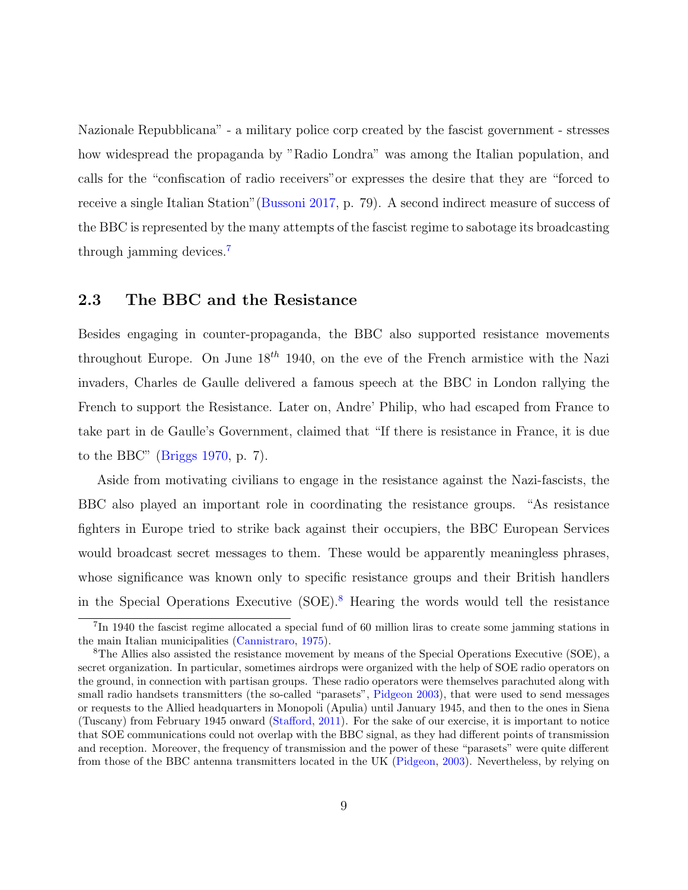Nazionale Repubblicana" - a military police corp created by the fascist government - stresses how widespread the propaganda by "Radio Londra" was among the Italian population, and calls for the "confiscation of radio receivers"or expresses the desire that they are "forced to receive a single Italian Station"[\(Bussoni](#page-35-7) [2017,](#page-35-7) p. 79). A second indirect measure of success of the BBC is represented by the many attempts of the fascist regime to sabotage its broadcasting through jamming devices.[7](#page-8-1)

#### <span id="page-8-0"></span>2.3 The BBC and the Resistance

Besides engaging in counter-propaganda, the BBC also supported resistance movements throughout Europe. On June  $18^{th}$  1940, on the eve of the French armistice with the Nazi invaders, Charles de Gaulle delivered a famous speech at the BBC in London rallying the French to support the Resistance. Later on, Andre' Philip, who had escaped from France to take part in de Gaulle's Government, claimed that "If there is resistance in France, it is due to the BBC" [\(Briggs](#page-35-5) [1970,](#page-35-5) p. 7).

Aside from motivating civilians to engage in the resistance against the Nazi-fascists, the BBC also played an important role in coordinating the resistance groups. "As resistance fighters in Europe tried to strike back against their occupiers, the BBC European Services would broadcast secret messages to them. These would be apparently meaningless phrases, whose significance was known only to specific resistance groups and their British handlers in the Special Operations Executive  $(SOE)^8$  $(SOE)^8$  Hearing the words would tell the resistance

<span id="page-8-1"></span><sup>7</sup> In 1940 the fascist regime allocated a special fund of 60 million liras to create some jamming stations in the main Italian municipalities [\(Cannistraro,](#page-35-8) [1975\)](#page-35-8).

<span id="page-8-2"></span><sup>8</sup>The Allies also assisted the resistance movement by means of the Special Operations Executive (SOE), a secret organization. In particular, sometimes airdrops were organized with the help of SOE radio operators on the ground, in connection with partisan groups. These radio operators were themselves parachuted along with small radio handsets transmitters (the so-called "parasets", [Pidgeon](#page-37-6) [2003\)](#page-37-6), that were used to send messages or requests to the Allied headquarters in Monopoli (Apulia) until January 1945, and then to the ones in Siena (Tuscany) from February 1945 onward [\(Stafford,](#page-38-2) [2011\)](#page-38-2). For the sake of our exercise, it is important to notice that SOE communications could not overlap with the BBC signal, as they had different points of transmission and reception. Moreover, the frequency of transmission and the power of these "parasets" were quite different from those of the BBC antenna transmitters located in the UK [\(Pidgeon,](#page-37-6) [2003\)](#page-37-6). Nevertheless, by relying on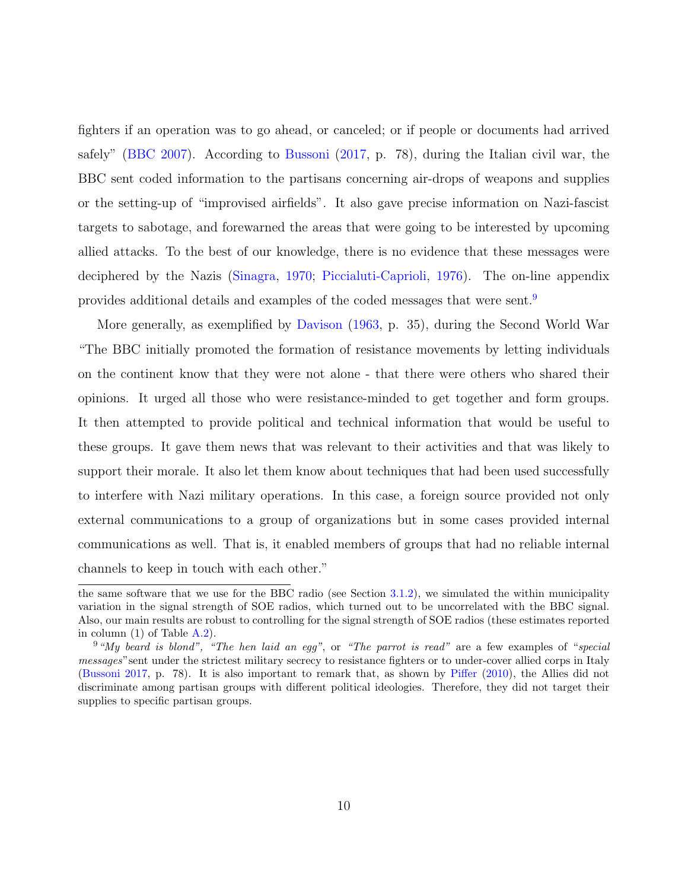fighters if an operation was to go ahead, or canceled; or if people or documents had arrived safely" [\(BBC](#page-35-9) [2007\)](#page-35-9). According to [Bussoni](#page-35-7) [\(2017,](#page-35-7) p. 78), during the Italian civil war, the BBC sent coded information to the partisans concerning air-drops of weapons and supplies or the setting-up of "improvised airfields". It also gave precise information on Nazi-fascist targets to sabotage, and forewarned the areas that were going to be interested by upcoming allied attacks. To the best of our knowledge, there is no evidence that these messages were deciphered by the Nazis [\(Sinagra,](#page-38-3) [1970;](#page-38-3) [Piccialuti-Caprioli,](#page-37-5) [1976\)](#page-37-5). The on-line appendix provides additional details and examples of the coded messages that were sent.[9](#page-9-0)

More generally, as exemplified by [Davison](#page-35-10) [\(1963,](#page-35-10) p. 35), during the Second World War "The BBC initially promoted the formation of resistance movements by letting individuals on the continent know that they were not alone - that there were others who shared their opinions. It urged all those who were resistance-minded to get together and form groups. It then attempted to provide political and technical information that would be useful to these groups. It gave them news that was relevant to their activities and that was likely to support their morale. It also let them know about techniques that had been used successfully to interfere with Nazi military operations. In this case, a foreign source provided not only external communications to a group of organizations but in some cases provided internal communications as well. That is, it enabled members of groups that had no reliable internal channels to keep in touch with each other."

the same software that we use for the BBC radio (see Section  $3.1.2$ ), we simulated the within municipality variation in the signal strength of SOE radios, which turned out to be uncorrelated with the BBC signal. Also, our main results are robust to controlling for the signal strength of SOE radios (these estimates reported in column  $(1)$  of Table  $A.2$ ).

<span id="page-9-0"></span> $9$  "My beard is blond", "The hen laid an egg", or "The parrot is read" are a few examples of "special" messages"sent under the strictest military secrecy to resistance fighters or to under-cover allied corps in Italy [\(Bussoni](#page-35-7) [2017,](#page-35-7) p. 78). It is also important to remark that, as shown by [Piffer](#page-37-7) [\(2010\)](#page-37-7), the Allies did not discriminate among partisan groups with different political ideologies. Therefore, they did not target their supplies to specific partisan groups.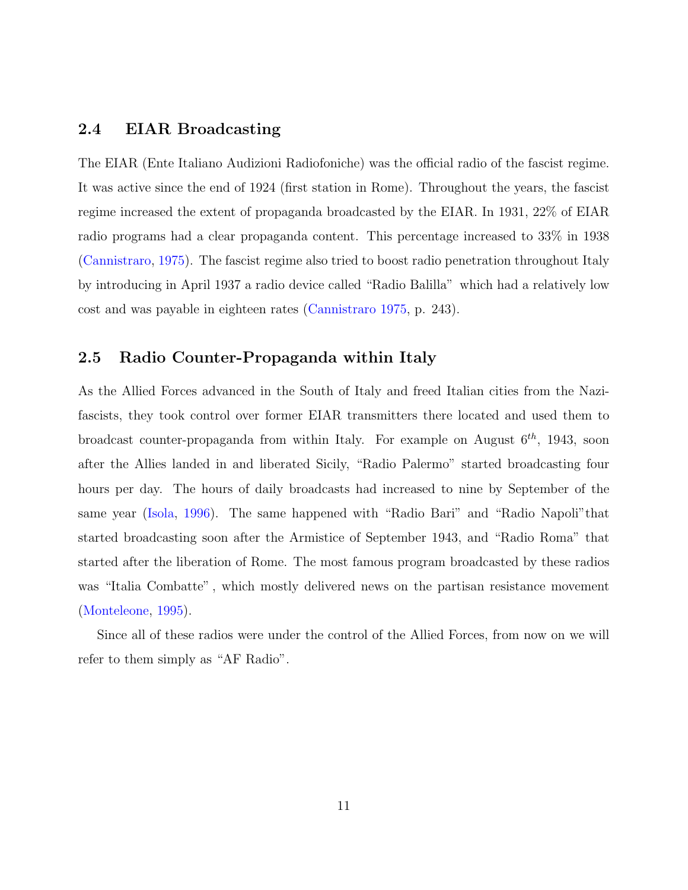### 2.4 EIAR Broadcasting

The EIAR (Ente Italiano Audizioni Radiofoniche) was the official radio of the fascist regime. It was active since the end of 1924 (first station in Rome). Throughout the years, the fascist regime increased the extent of propaganda broadcasted by the EIAR. In 1931, 22% of EIAR radio programs had a clear propaganda content. This percentage increased to 33% in 1938 [\(Cannistraro,](#page-35-8) [1975\)](#page-35-8). The fascist regime also tried to boost radio penetration throughout Italy by introducing in April 1937 a radio device called "Radio Balilla" which had a relatively low cost and was payable in eighteen rates [\(Cannistraro](#page-35-8) [1975,](#page-35-8) p. 243).

### 2.5 Radio Counter-Propaganda within Italy

As the Allied Forces advanced in the South of Italy and freed Italian cities from the Nazifascists, they took control over former EIAR transmitters there located and used them to broadcast counter-propaganda from within Italy. For example on August  $6^{th}$ , 1943, soon after the Allies landed in and liberated Sicily, "Radio Palermo" started broadcasting four hours per day. The hours of daily broadcasts had increased to nine by September of the same year [\(Isola,](#page-36-7) [1996\)](#page-36-7). The same happened with "Radio Bari" and "Radio Napoli"that started broadcasting soon after the Armistice of September 1943, and "Radio Roma" that started after the liberation of Rome. The most famous program broadcasted by these radios was "Italia Combatte" , which mostly delivered news on the partisan resistance movement [\(Monteleone,](#page-37-8) [1995\)](#page-37-8).

Since all of these radios were under the control of the Allied Forces, from now on we will refer to them simply as "AF Radio".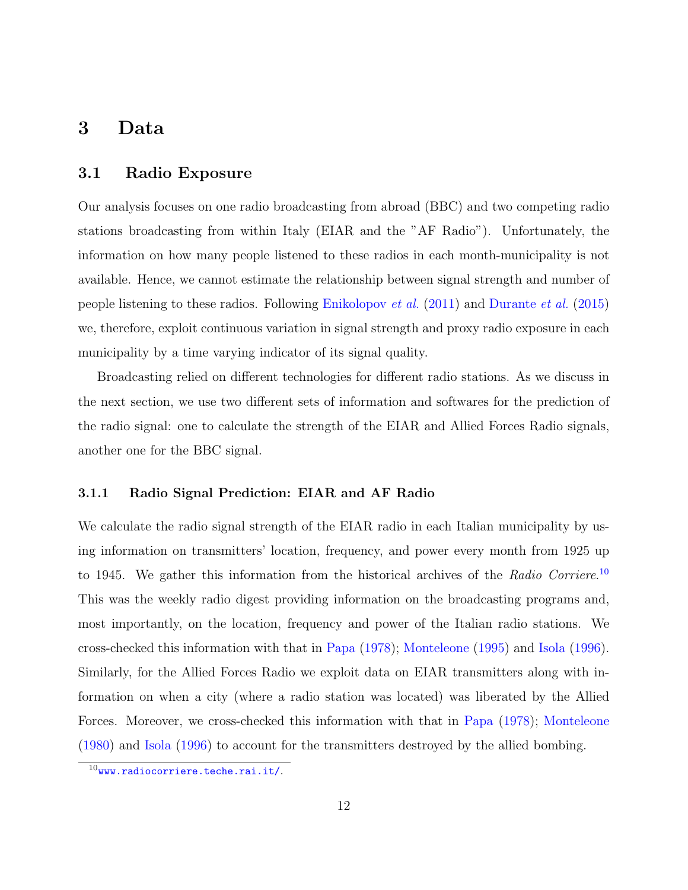### <span id="page-11-0"></span>3 Data

### <span id="page-11-2"></span>3.1 Radio Exposure

Our analysis focuses on one radio broadcasting from abroad (BBC) and two competing radio stations broadcasting from within Italy (EIAR and the "AF Radio"). Unfortunately, the information on how many people listened to these radios in each month-municipality is not available. Hence, we cannot estimate the relationship between signal strength and number of people listening to these radios. Following [Enikolopov](#page-36-8) et al. [\(2011\)](#page-36-8) and [Durante](#page-36-9) et al. [\(2015\)](#page-36-9) we, therefore, exploit continuous variation in signal strength and proxy radio exposure in each municipality by a time varying indicator of its signal quality.

Broadcasting relied on different technologies for different radio stations. As we discuss in the next section, we use two different sets of information and softwares for the prediction of the radio signal: one to calculate the strength of the EIAR and Allied Forces Radio signals, another one for the BBC signal.

#### 3.1.1 Radio Signal Prediction: EIAR and AF Radio

We calculate the radio signal strength of the EIAR radio in each Italian municipality by using information on transmitters' location, frequency, and power every month from 1925 up to 1945. We gather this information from the historical archives of the Radio Corriere.<sup>[10](#page-11-1)</sup> This was the weekly radio digest providing information on the broadcasting programs and, most importantly, on the location, frequency and power of the Italian radio stations. We cross-checked this information with that in [Papa](#page-37-2) [\(1978\)](#page-37-2); [Monteleone](#page-37-8) [\(1995\)](#page-37-8) and [Isola](#page-36-7) [\(1996\)](#page-36-7). Similarly, for the Allied Forces Radio we exploit data on EIAR transmitters along with information on when a city (where a radio station was located) was liberated by the Allied Forces. Moreover, we cross-checked this information with that in [Papa](#page-37-2) [\(1978\)](#page-37-2); [Monteleone](#page-37-9) [\(1980\)](#page-37-9) and [Isola](#page-36-7) [\(1996\)](#page-36-7) to account for the transmitters destroyed by the allied bombing.

<span id="page-11-1"></span> $10$ www.radiocorriere.teche.rai.it/.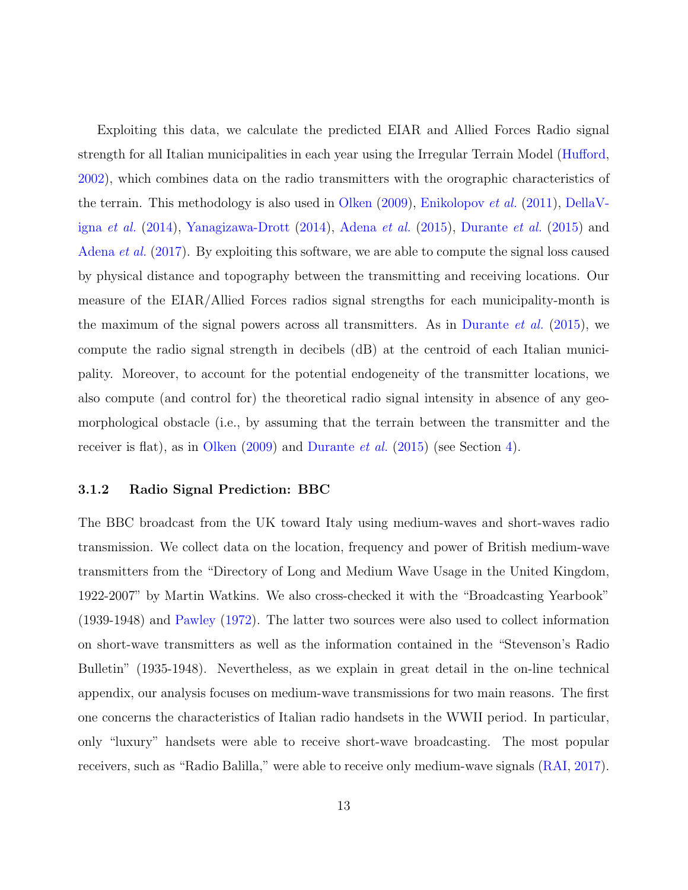Exploiting this data, we calculate the predicted EIAR and Allied Forces Radio signal strength for all Italian municipalities in each year using the Irregular Terrain Model [\(Hufford,](#page-36-10) [2002\)](#page-36-10), which combines data on the radio transmitters with the orographic characteristics of the terrain. This methodology is also used in [Olken](#page-37-10) [\(2009\)](#page-37-10), [Enikolopov](#page-36-8) *et al.* [\(2011\)](#page-36-8), [DellaV](#page-36-2)igna [et al.](#page-36-2) [\(2014\)](#page-36-2), [Yanagizawa-Drott](#page-38-0) [\(2014\)](#page-38-0), [Adena](#page-35-3) et al. [\(2015\)](#page-35-3), [Durante](#page-36-9) et al. [\(2015\)](#page-36-9) and [Adena](#page-35-4) *et al.* [\(2017\)](#page-35-4). By exploiting this software, we are able to compute the signal loss caused by physical distance and topography between the transmitting and receiving locations. Our measure of the EIAR/Allied Forces radios signal strengths for each municipality-month is the maximum of the signal powers across all transmitters. As in [Durante](#page-36-9) *et al.* [\(2015\)](#page-36-9), we compute the radio signal strength in decibels (dB) at the centroid of each Italian municipality. Moreover, to account for the potential endogeneity of the transmitter locations, we also compute (and control for) the theoretical radio signal intensity in absence of any geomorphological obstacle (i.e., by assuming that the terrain between the transmitter and the receiver is flat), as in [Olken](#page-37-10)  $(2009)$  and [Durante](#page-36-9) *et al.*  $(2015)$  (see Section [4\)](#page-19-0).

#### <span id="page-12-0"></span>3.1.2 Radio Signal Prediction: BBC

The BBC broadcast from the UK toward Italy using medium-waves and short-waves radio transmission. We collect data on the location, frequency and power of British medium-wave transmitters from the "Directory of Long and Medium Wave Usage in the United Kingdom, 1922-2007" by Martin Watkins. We also cross-checked it with the "Broadcasting Yearbook" (1939-1948) and [Pawley](#page-37-11) [\(1972\)](#page-37-11). The latter two sources were also used to collect information on short-wave transmitters as well as the information contained in the "Stevenson's Radio Bulletin" (1935-1948). Nevertheless, as we explain in great detail in the on-line technical appendix, our analysis focuses on medium-wave transmissions for two main reasons. The first one concerns the characteristics of Italian radio handsets in the WWII period. In particular, only "luxury" handsets were able to receive short-wave broadcasting. The most popular receivers, such as "Radio Balilla," were able to receive only medium-wave signals [\(RAI,](#page-37-12) [2017\)](#page-37-12).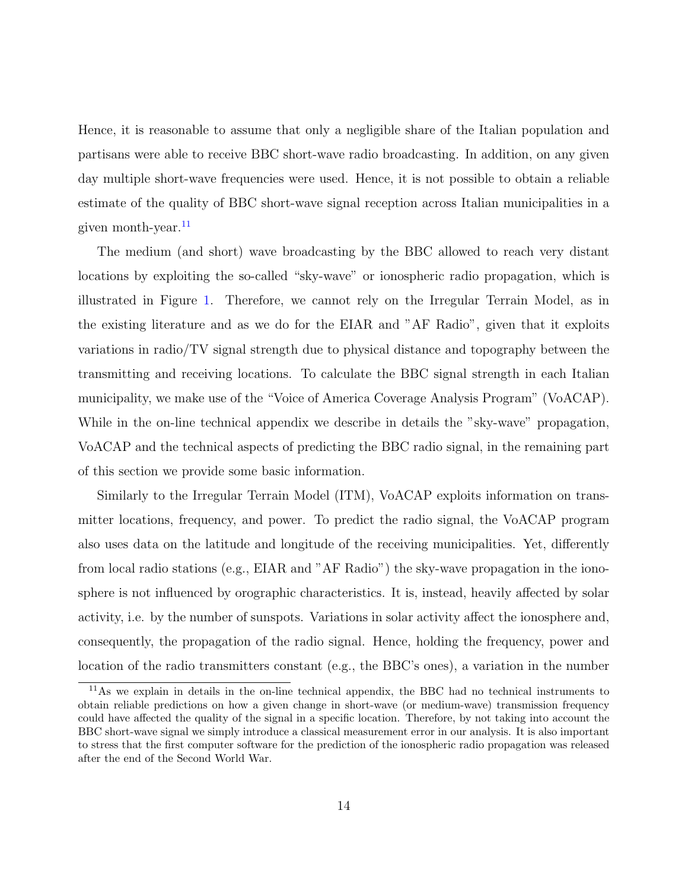Hence, it is reasonable to assume that only a negligible share of the Italian population and partisans were able to receive BBC short-wave radio broadcasting. In addition, on any given day multiple short-wave frequencies were used. Hence, it is not possible to obtain a reliable estimate of the quality of BBC short-wave signal reception across Italian municipalities in a given month-year. $11$ 

The medium (and short) wave broadcasting by the BBC allowed to reach very distant locations by exploiting the so-called "sky-wave" or ionospheric radio propagation, which is illustrated in Figure [1.](#page-39-0) Therefore, we cannot rely on the Irregular Terrain Model, as in the existing literature and as we do for the EIAR and "AF Radio", given that it exploits variations in radio/TV signal strength due to physical distance and topography between the transmitting and receiving locations. To calculate the BBC signal strength in each Italian municipality, we make use of the "Voice of America Coverage Analysis Program" (VoACAP). While in the on-line technical appendix we describe in details the "sky-wave" propagation, VoACAP and the technical aspects of predicting the BBC radio signal, in the remaining part of this section we provide some basic information.

Similarly to the Irregular Terrain Model (ITM), VoACAP exploits information on transmitter locations, frequency, and power. To predict the radio signal, the VoACAP program also uses data on the latitude and longitude of the receiving municipalities. Yet, differently from local radio stations (e.g., EIAR and "AF Radio") the sky-wave propagation in the ionosphere is not influenced by orographic characteristics. It is, instead, heavily affected by solar activity, i.e. by the number of sunspots. Variations in solar activity affect the ionosphere and, consequently, the propagation of the radio signal. Hence, holding the frequency, power and location of the radio transmitters constant (e.g., the BBC's ones), a variation in the number

<span id="page-13-0"></span><sup>11</sup>As we explain in details in the on-line technical appendix, the BBC had no technical instruments to obtain reliable predictions on how a given change in short-wave (or medium-wave) transmission frequency could have affected the quality of the signal in a specific location. Therefore, by not taking into account the BBC short-wave signal we simply introduce a classical measurement error in our analysis. It is also important to stress that the first computer software for the prediction of the ionospheric radio propagation was released after the end of the Second World War.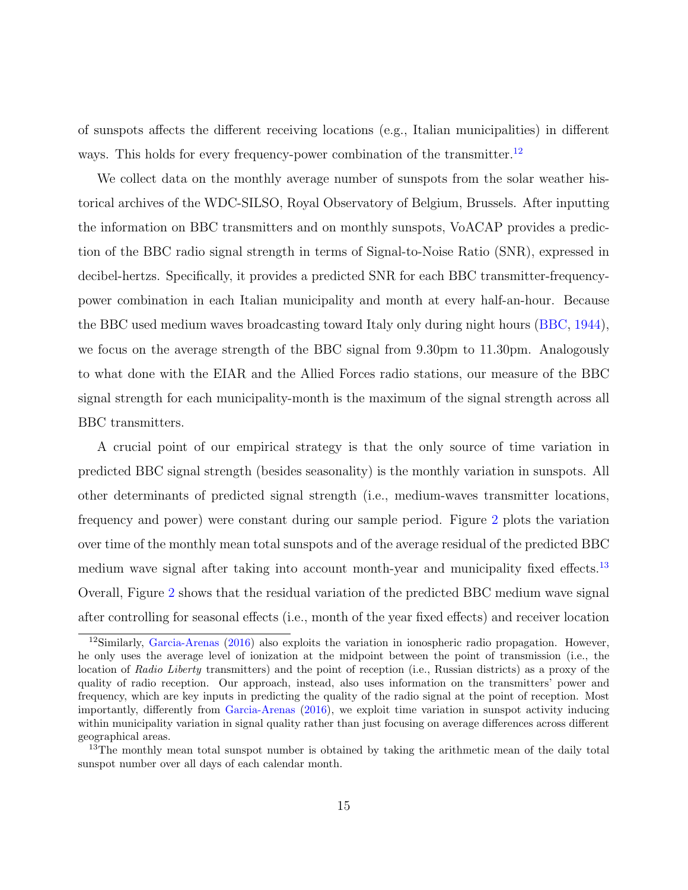of sunspots affects the different receiving locations (e.g., Italian municipalities) in different ways. This holds for every frequency-power combination of the transmitter.<sup>[12](#page-14-0)</sup>

We collect data on the monthly average number of sunspots from the solar weather historical archives of the WDC-SILSO, Royal Observatory of Belgium, Brussels. After inputting the information on BBC transmitters and on monthly sunspots, VoACAP provides a prediction of the BBC radio signal strength in terms of Signal-to-Noise Ratio (SNR), expressed in decibel-hertzs. Specifically, it provides a predicted SNR for each BBC transmitter-frequencypower combination in each Italian municipality and month at every half-an-hour. Because the BBC used medium waves broadcasting toward Italy only during night hours [\(BBC,](#page-35-0) [1944\)](#page-35-0), we focus on the average strength of the BBC signal from 9.30pm to 11.30pm. Analogously to what done with the EIAR and the Allied Forces radio stations, our measure of the BBC signal strength for each municipality-month is the maximum of the signal strength across all BBC transmitters.

A crucial point of our empirical strategy is that the only source of time variation in predicted BBC signal strength (besides seasonality) is the monthly variation in sunspots. All other determinants of predicted signal strength (i.e., medium-waves transmitter locations, frequency and power) were constant during our sample period. Figure [2](#page-40-0) plots the variation over time of the monthly mean total sunspots and of the average residual of the predicted BBC medium wave signal after taking into account month-year and municipality fixed effects.<sup>[13](#page-14-1)</sup> Overall, Figure [2](#page-40-0) shows that the residual variation of the predicted BBC medium wave signal after controlling for seasonal effects (i.e., month of the year fixed effects) and receiver location

<span id="page-14-0"></span><sup>&</sup>lt;sup>12</sup>Similarly, [Garcia-Arenas](#page-36-4) [\(2016\)](#page-36-4) also exploits the variation in ionospheric radio propagation. However, he only uses the average level of ionization at the midpoint between the point of transmission (i.e., the location of Radio Liberty transmitters) and the point of reception (i.e., Russian districts) as a proxy of the quality of radio reception. Our approach, instead, also uses information on the transmitters' power and frequency, which are key inputs in predicting the quality of the radio signal at the point of reception. Most importantly, differently from [Garcia-Arenas](#page-36-4) [\(2016\)](#page-36-4), we exploit time variation in sunspot activity inducing within municipality variation in signal quality rather than just focusing on average differences across different geographical areas.

<span id="page-14-1"></span><sup>&</sup>lt;sup>13</sup>The monthly mean total sunspot number is obtained by taking the arithmetic mean of the daily total sunspot number over all days of each calendar month.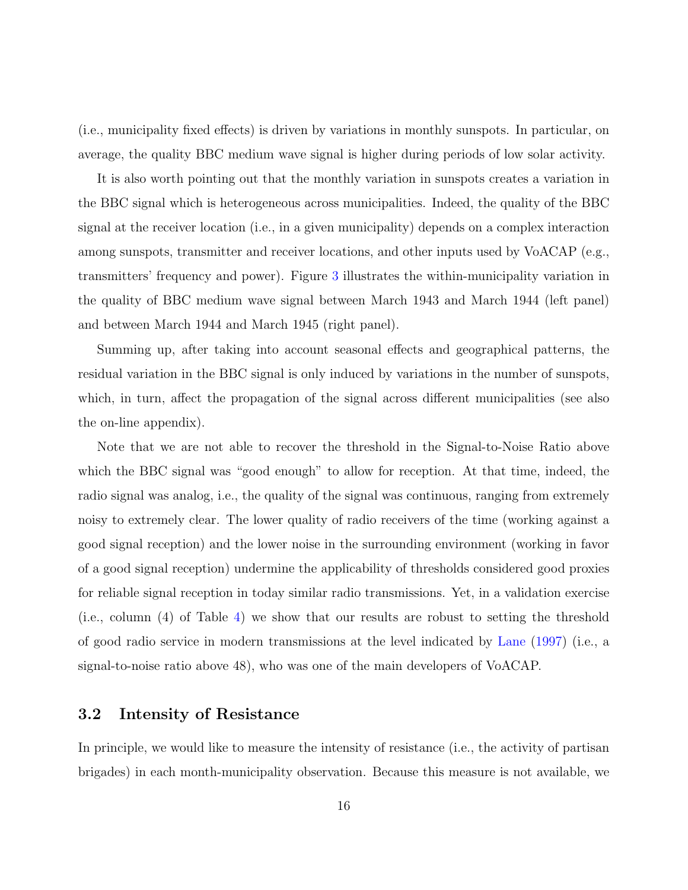(i.e., municipality fixed effects) is driven by variations in monthly sunspots. In particular, on average, the quality BBC medium wave signal is higher during periods of low solar activity.

It is also worth pointing out that the monthly variation in sunspots creates a variation in the BBC signal which is heterogeneous across municipalities. Indeed, the quality of the BBC signal at the receiver location (i.e., in a given municipality) depends on a complex interaction among sunspots, transmitter and receiver locations, and other inputs used by VoACAP (e.g., transmitters' frequency and power). Figure [3](#page-41-0) illustrates the within-municipality variation in the quality of BBC medium wave signal between March 1943 and March 1944 (left panel) and between March 1944 and March 1945 (right panel).

Summing up, after taking into account seasonal effects and geographical patterns, the residual variation in the BBC signal is only induced by variations in the number of sunspots, which, in turn, affect the propagation of the signal across different municipalities (see also the on-line appendix).

Note that we are not able to recover the threshold in the Signal-to-Noise Ratio above which the BBC signal was "good enough" to allow for reception. At that time, indeed, the radio signal was analog, i.e., the quality of the signal was continuous, ranging from extremely noisy to extremely clear. The lower quality of radio receivers of the time (working against a good signal reception) and the lower noise in the surrounding environment (working in favor of a good signal reception) undermine the applicability of thresholds considered good proxies for reliable signal reception in today similar radio transmissions. Yet, in a validation exercise (i.e., column (4) of Table [4\)](#page-49-0) we show that our results are robust to setting the threshold of good radio service in modern transmissions at the level indicated by [Lane](#page-36-11) [\(1997\)](#page-36-11) (i.e., a signal-to-noise ratio above 48), who was one of the main developers of VoACAP.

### <span id="page-15-0"></span>3.2 Intensity of Resistance

In principle, we would like to measure the intensity of resistance (i.e., the activity of partisan brigades) in each month-municipality observation. Because this measure is not available, we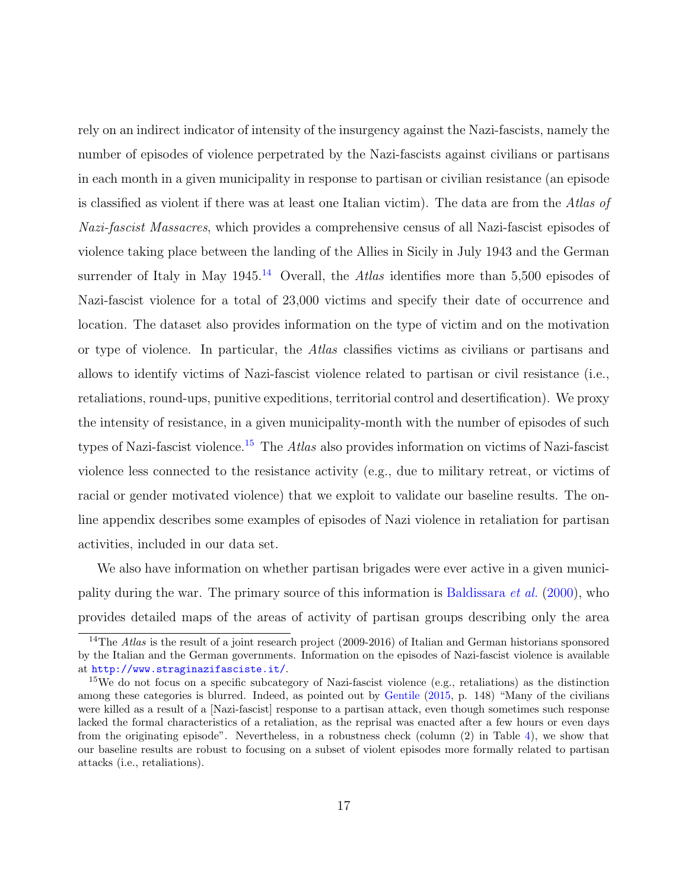rely on an indirect indicator of intensity of the insurgency against the Nazi-fascists, namely the number of episodes of violence perpetrated by the Nazi-fascists against civilians or partisans in each month in a given municipality in response to partisan or civilian resistance (an episode is classified as violent if there was at least one Italian victim). The data are from the Atlas of Nazi-fascist Massacres, which provides a comprehensive census of all Nazi-fascist episodes of violence taking place between the landing of the Allies in Sicily in July 1943 and the German surrender of Italy in May 1945.<sup>[14](#page-16-0)</sup> Overall, the *Atlas* identifies more than 5,500 episodes of Nazi-fascist violence for a total of 23,000 victims and specify their date of occurrence and location. The dataset also provides information on the type of victim and on the motivation or type of violence. In particular, the Atlas classifies victims as civilians or partisans and allows to identify victims of Nazi-fascist violence related to partisan or civil resistance (i.e., retaliations, round-ups, punitive expeditions, territorial control and desertification). We proxy the intensity of resistance, in a given municipality-month with the number of episodes of such types of Nazi-fascist violence.<sup>[15](#page-16-1)</sup> The *Atlas* also provides information on victims of Nazi-fascist violence less connected to the resistance activity (e.g., due to military retreat, or victims of racial or gender motivated violence) that we exploit to validate our baseline results. The online appendix describes some examples of episodes of Nazi violence in retaliation for partisan activities, included in our data set.

We also have information on whether partisan brigades were ever active in a given municipality during the war. The primary source of this information is [Baldissara](#page-35-11) et al. [\(2000\)](#page-35-11), who provides detailed maps of the areas of activity of partisan groups describing only the area

<span id="page-16-0"></span> $14$ The Atlas is the result of a joint research project (2009-2016) of Italian and German historians sponsored by the Italian and the German governments. Information on the episodes of Nazi-fascist violence is available at http://www.straginazifasciste.it/.

<span id="page-16-1"></span><sup>&</sup>lt;sup>15</sup>We do not focus on a specific subcategory of Nazi-fascist violence (e.g., retaliations) as the distinction among these categories is blurred. Indeed, as pointed out by [Gentile](#page-36-5) [\(2015,](#page-36-5) p. 148) "Many of the civilians were killed as a result of a [Nazi-fascist] response to a partisan attack, even though sometimes such response lacked the formal characteristics of a retaliation, as the reprisal was enacted after a few hours or even days from the originating episode". Nevertheless, in a robustness check (column (2) in Table [4\)](#page-49-0), we show that our baseline results are robust to focusing on a subset of violent episodes more formally related to partisan attacks (i.e., retaliations).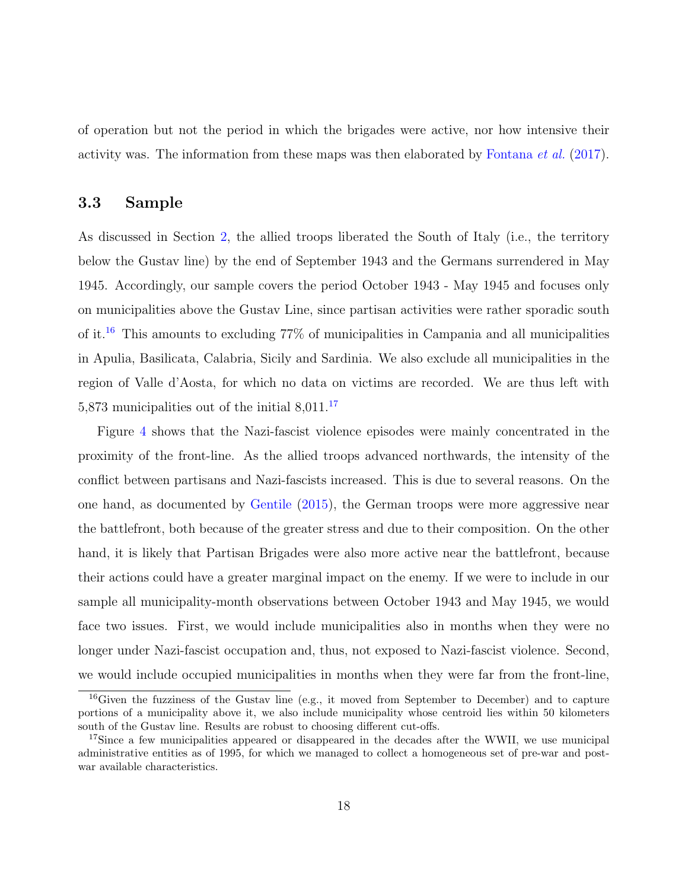of operation but not the period in which the brigades were active, nor how intensive their activity was. The information from these maps was then elaborated by [Fontana](#page-36-12) et al. [\(2017\)](#page-36-12).

#### <span id="page-17-2"></span>3.3 Sample

As discussed in Section [2,](#page-5-0) the allied troops liberated the South of Italy (i.e., the territory below the Gustav line) by the end of September 1943 and the Germans surrendered in May 1945. Accordingly, our sample covers the period October 1943 - May 1945 and focuses only on municipalities above the Gustav Line, since partisan activities were rather sporadic south of it.<sup>[16](#page-17-0)</sup> This amounts to excluding  $77\%$  of municipalities in Campania and all municipalities in Apulia, Basilicata, Calabria, Sicily and Sardinia. We also exclude all municipalities in the region of Valle d'Aosta, for which no data on victims are recorded. We are thus left with 5,873 municipalities out of the initial 8,011.[17](#page-17-1)

Figure [4](#page-42-0) shows that the Nazi-fascist violence episodes were mainly concentrated in the proximity of the front-line. As the allied troops advanced northwards, the intensity of the conflict between partisans and Nazi-fascists increased. This is due to several reasons. On the one hand, as documented by [Gentile](#page-36-5) [\(2015\)](#page-36-5), the German troops were more aggressive near the battlefront, both because of the greater stress and due to their composition. On the other hand, it is likely that Partisan Brigades were also more active near the battlefront, because their actions could have a greater marginal impact on the enemy. If we were to include in our sample all municipality-month observations between October 1943 and May 1945, we would face two issues. First, we would include municipalities also in months when they were no longer under Nazi-fascist occupation and, thus, not exposed to Nazi-fascist violence. Second, we would include occupied municipalities in months when they were far from the front-line,

<span id="page-17-0"></span><sup>&</sup>lt;sup>16</sup>Given the fuzziness of the Gustav line (e.g., it moved from September to December) and to capture portions of a municipality above it, we also include municipality whose centroid lies within 50 kilometers south of the Gustav line. Results are robust to choosing different cut-offs.

<span id="page-17-1"></span><sup>&</sup>lt;sup>17</sup>Since a few municipalities appeared or disappeared in the decades after the WWII, we use municipal administrative entities as of 1995, for which we managed to collect a homogeneous set of pre-war and postwar available characteristics.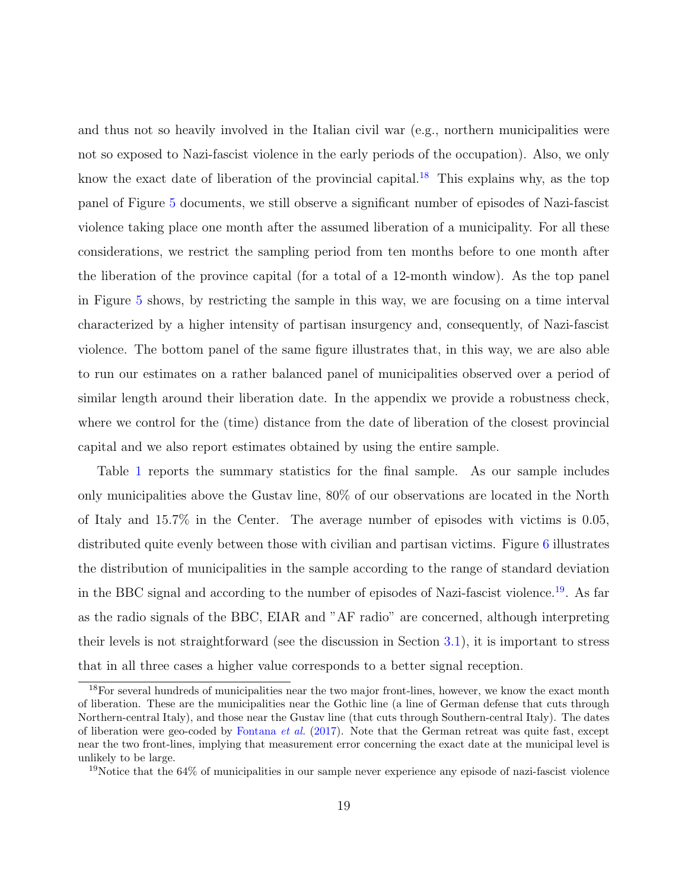and thus not so heavily involved in the Italian civil war (e.g., northern municipalities were not so exposed to Nazi-fascist violence in the early periods of the occupation). Also, we only know the exact date of liberation of the provincial capital.<sup>[18](#page-18-0)</sup> This explains why, as the top panel of Figure [5](#page-43-0) documents, we still observe a significant number of episodes of Nazi-fascist violence taking place one month after the assumed liberation of a municipality. For all these considerations, we restrict the sampling period from ten months before to one month after the liberation of the province capital (for a total of a 12-month window). As the top panel in Figure [5](#page-43-0) shows, by restricting the sample in this way, we are focusing on a time interval characterized by a higher intensity of partisan insurgency and, consequently, of Nazi-fascist violence. The bottom panel of the same figure illustrates that, in this way, we are also able to run our estimates on a rather balanced panel of municipalities observed over a period of similar length around their liberation date. In the appendix we provide a robustness check, where we control for the (time) distance from the date of liberation of the closest provincial capital and we also report estimates obtained by using the entire sample.

Table [1](#page-46-0) reports the summary statistics for the final sample. As our sample includes only municipalities above the Gustav line, 80% of our observations are located in the North of Italy and 15.7% in the Center. The average number of episodes with victims is 0.05, distributed quite evenly between those with civilian and partisan victims. Figure [6](#page-44-0) illustrates the distribution of municipalities in the sample according to the range of standard deviation in the BBC signal and according to the number of episodes of Nazi-fascist violence.<sup>[19](#page-18-1)</sup>. As far as the radio signals of the BBC, EIAR and "AF radio" are concerned, although interpreting their levels is not straightforward (see the discussion in Section [3.1\)](#page-11-2), it is important to stress that in all three cases a higher value corresponds to a better signal reception.

<span id="page-18-0"></span><sup>&</sup>lt;sup>18</sup>For several hundreds of municipalities near the two major front-lines, however, we know the exact month of liberation. These are the municipalities near the Gothic line (a line of German defense that cuts through Northern-central Italy), and those near the Gustav line (that cuts through Southern-central Italy). The dates of liberation were geo-coded by [Fontana](#page-36-12) et al. [\(2017\)](#page-36-12). Note that the German retreat was quite fast, except near the two front-lines, implying that measurement error concerning the exact date at the municipal level is unlikely to be large.

<span id="page-18-1"></span><sup>&</sup>lt;sup>19</sup>Notice that the  $64\%$  of municipalities in our sample never experience any episode of nazi-fascist violence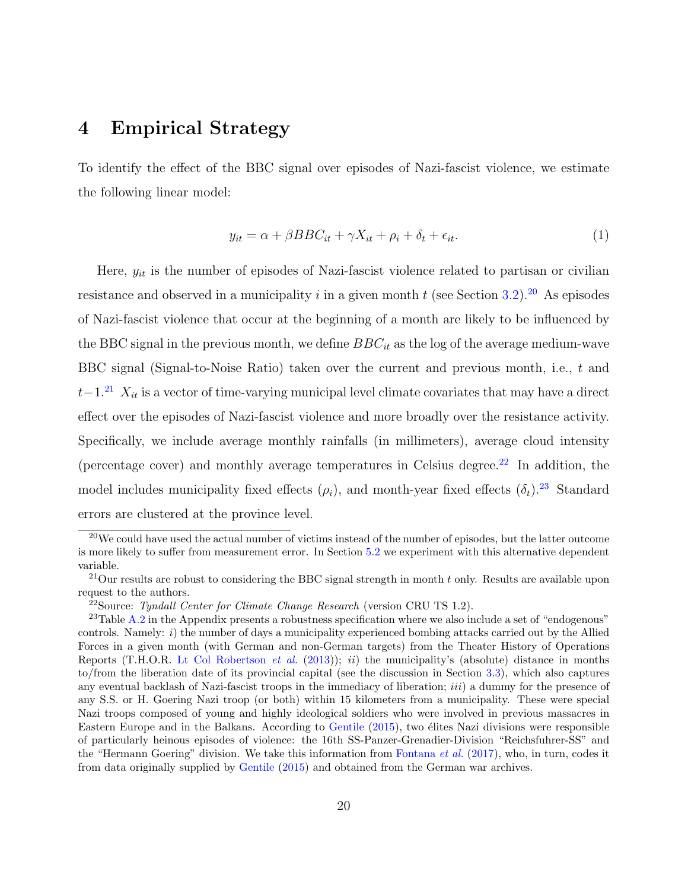### <span id="page-19-0"></span>4 Empirical Strategy

To identify the effect of the BBC signal over episodes of Nazi-fascist violence, we estimate the following linear model:

<span id="page-19-5"></span>
$$
y_{it} = \alpha + \beta BBC_{it} + \gamma X_{it} + \rho_i + \delta_t + \epsilon_{it}.
$$
\n<sup>(1)</sup>

Here,  $y_{it}$  is the number of episodes of Nazi-fascist violence related to partisan or civilian resistance and observed in a municipality i in a given month t (see Section [3.2\)](#page-15-0).<sup>[20](#page-19-1)</sup> As episodes of Nazi-fascist violence that occur at the beginning of a month are likely to be influenced by the BBC signal in the previous month, we define  $BBC_{it}$  as the log of the average medium-wave BBC signal (Signal-to-Noise Ratio) taken over the current and previous month, i.e., t and  $t-1<sup>12</sup> X<sub>it</sub>$  is a vector of time-varying municipal level climate covariates that may have a direct effect over the episodes of Nazi-fascist violence and more broadly over the resistance activity. Specifically, we include average monthly rainfalls (in millimeters), average cloud intensity (percentage cover) and monthly average temperatures in Celsius degree.<sup>[22](#page-19-3)</sup> In addition, the model includes municipality fixed effects  $(\rho_i)$ , and month-year fixed effects  $(\delta_t)$ .<sup>[23](#page-19-4)</sup> Standard errors are clustered at the province level.

<span id="page-19-1"></span> $20$ We could have used the actual number of victims instead of the number of episodes, but the latter outcome is more likely to suffer from measurement error. In Section [5.2](#page-24-0) we experiment with this alternative dependent variable.

<span id="page-19-2"></span><sup>&</sup>lt;sup>21</sup>Our results are robust to considering the BBC signal strength in month t only. Results are available upon request to the authors.

<span id="page-19-4"></span><span id="page-19-3"></span> $^{22}$ Source: Tyndall Center for Climate Change Research (version CRU TS 1.2).

<sup>&</sup>lt;sup>23</sup>Table  $A.2$  in the Appendix presents a robustness specification where we also include a set of "endogenous" controls. Namely: i) the number of days a municipality experienced bombing attacks carried out by the Allied Forces in a given month (with German and non-German targets) from the Theater History of Operations Reports (T.H.O.R. [Lt Col Robertson](#page-37-13) et al. [\(2013\)](#page-37-13)); ii) the municipality's (absolute) distance in months to/from the liberation date of its provincial capital (see the discussion in Section [3.3\)](#page-17-2), which also captures any eventual backlash of Nazi-fascist troops in the immediacy of liberation; *iii*) a dummy for the presence of any S.S. or H. Goering Nazi troop (or both) within 15 kilometers from a municipality. These were special Nazi troops composed of young and highly ideological soldiers who were involved in previous massacres in Eastern Europe and in the Balkans. According to [Gentile](#page-36-5) [\(2015\)](#page-36-5), two élites Nazi divisions were responsible of particularly heinous episodes of violence: the 16th SS-Panzer-Grenadier-Division "Reichsfuhrer-SS" and the "Hermann Goering" division. We take this information from [Fontana](#page-36-12) et al. [\(2017\)](#page-36-12), who, in turn, codes it from data originally supplied by [Gentile](#page-36-5) [\(2015\)](#page-36-5) and obtained from the German war archives.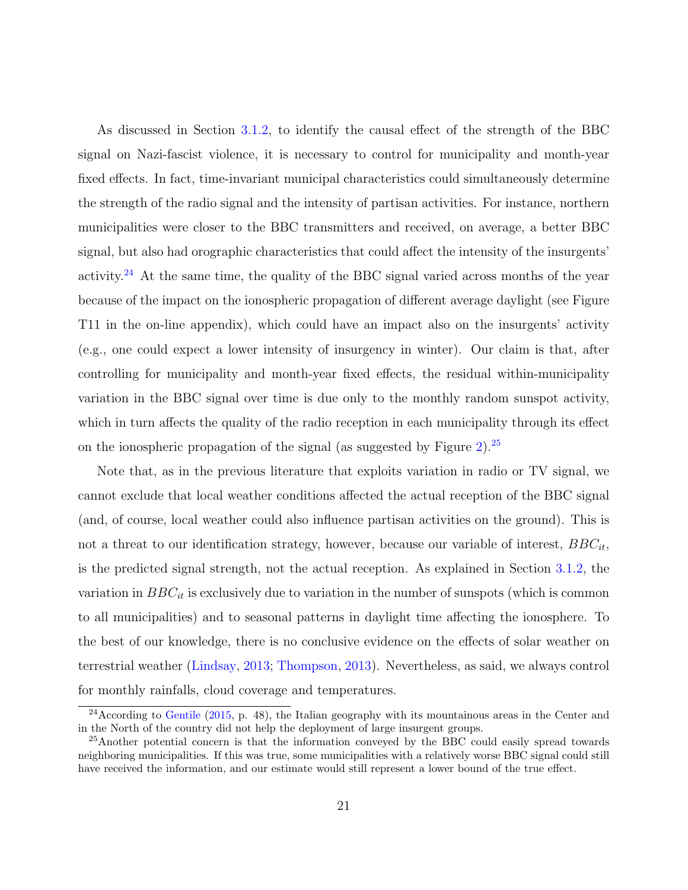As discussed in Section [3.1.2,](#page-12-0) to identify the causal effect of the strength of the BBC signal on Nazi-fascist violence, it is necessary to control for municipality and month-year fixed effects. In fact, time-invariant municipal characteristics could simultaneously determine the strength of the radio signal and the intensity of partisan activities. For instance, northern municipalities were closer to the BBC transmitters and received, on average, a better BBC signal, but also had orographic characteristics that could affect the intensity of the insurgents' activity.<sup>[24](#page-20-0)</sup> At the same time, the quality of the BBC signal varied across months of the year because of the impact on the ionospheric propagation of different average daylight (see Figure T11 in the on-line appendix), which could have an impact also on the insurgents' activity (e.g., one could expect a lower intensity of insurgency in winter). Our claim is that, after controlling for municipality and month-year fixed effects, the residual within-municipality variation in the BBC signal over time is due only to the monthly random sunspot activity, which in turn affects the quality of the radio reception in each municipality through its effect on the ionospheric propagation of the signal (as suggested by Figure  $2$ ).<sup>[25](#page-20-1)</sup>

Note that, as in the previous literature that exploits variation in radio or TV signal, we cannot exclude that local weather conditions affected the actual reception of the BBC signal (and, of course, local weather could also influence partisan activities on the ground). This is not a threat to our identification strategy, however, because our variable of interest,  $BBC_{it}$ , is the predicted signal strength, not the actual reception. As explained in Section [3.1.2,](#page-12-0) the variation in  $BBC_{it}$  is exclusively due to variation in the number of sunspots (which is common to all municipalities) and to seasonal patterns in daylight time affecting the ionosphere. To the best of our knowledge, there is no conclusive evidence on the effects of solar weather on terrestrial weather [\(Lindsay,](#page-37-14) [2013;](#page-37-14) [Thompson,](#page-38-4) [2013\)](#page-38-4). Nevertheless, as said, we always control for monthly rainfalls, cloud coverage and temperatures.

<span id="page-20-0"></span><sup>24</sup>According to [Gentile](#page-36-5) [\(2015,](#page-36-5) p. 48), the Italian geography with its mountainous areas in the Center and in the North of the country did not help the deployment of large insurgent groups.

<span id="page-20-1"></span><sup>&</sup>lt;sup>25</sup>Another potential concern is that the information conveyed by the BBC could easily spread towards neighboring municipalities. If this was true, some municipalities with a relatively worse BBC signal could still have received the information, and our estimate would still represent a lower bound of the true effect.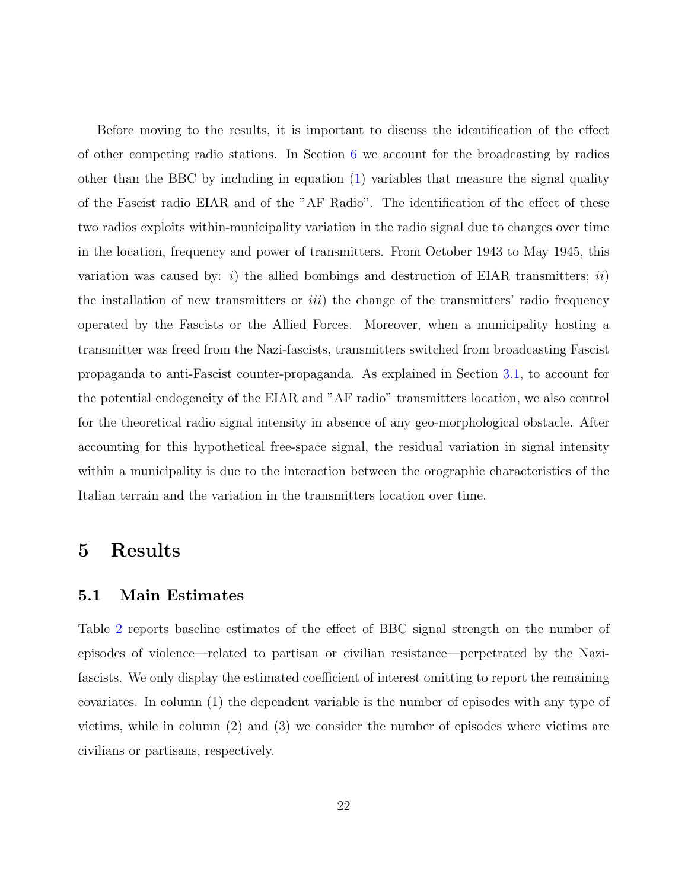Before moving to the results, it is important to discuss the identification of the effect of other competing radio stations. In Section [6](#page-26-0) we account for the broadcasting by radios other than the BBC by including in equation [\(1\)](#page-19-5) variables that measure the signal quality of the Fascist radio EIAR and of the "AF Radio". The identification of the effect of these two radios exploits within-municipality variation in the radio signal due to changes over time in the location, frequency and power of transmitters. From October 1943 to May 1945, this variation was caused by: i) the allied bombings and destruction of EIAR transmitters; ii) the installation of new transmitters or  $iii$ ) the change of the transmitters' radio frequency operated by the Fascists or the Allied Forces. Moreover, when a municipality hosting a transmitter was freed from the Nazi-fascists, transmitters switched from broadcasting Fascist propaganda to anti-Fascist counter-propaganda. As explained in Section [3.1,](#page-11-2) to account for the potential endogeneity of the EIAR and "AF radio" transmitters location, we also control for the theoretical radio signal intensity in absence of any geo-morphological obstacle. After accounting for this hypothetical free-space signal, the residual variation in signal intensity within a municipality is due to the interaction between the orographic characteristics of the Italian terrain and the variation in the transmitters location over time.

### <span id="page-21-0"></span>5 Results

### 5.1 Main Estimates

Table [2](#page-47-0) reports baseline estimates of the effect of BBC signal strength on the number of episodes of violence—related to partisan or civilian resistance—perpetrated by the Nazifascists. We only display the estimated coefficient of interest omitting to report the remaining covariates. In column (1) the dependent variable is the number of episodes with any type of victims, while in column (2) and (3) we consider the number of episodes where victims are civilians or partisans, respectively.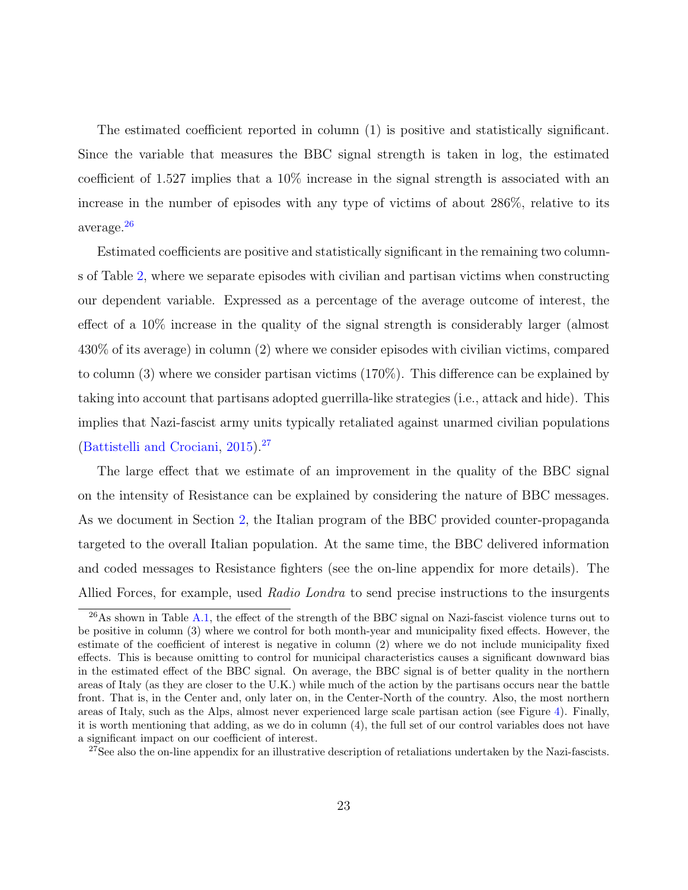The estimated coefficient reported in column (1) is positive and statistically significant. Since the variable that measures the BBC signal strength is taken in log, the estimated coefficient of 1.527 implies that a 10% increase in the signal strength is associated with an increase in the number of episodes with any type of victims of about 286%, relative to its average.[26](#page-22-0)

Estimated coefficients are positive and statistically significant in the remaining two columns of Table [2,](#page-47-0) where we separate episodes with civilian and partisan victims when constructing our dependent variable. Expressed as a percentage of the average outcome of interest, the effect of a 10% increase in the quality of the signal strength is considerably larger (almost 430% of its average) in column (2) where we consider episodes with civilian victims, compared to column (3) where we consider partisan victims (170%). This difference can be explained by taking into account that partisans adopted guerrilla-like strategies (i.e., attack and hide). This implies that Nazi-fascist army units typically retaliated against unarmed civilian populations [\(Battistelli and Crociani,](#page-35-12) [2015\)](#page-35-12).[27](#page-22-1)

The large effect that we estimate of an improvement in the quality of the BBC signal on the intensity of Resistance can be explained by considering the nature of BBC messages. As we document in Section [2,](#page-5-0) the Italian program of the BBC provided counter-propaganda targeted to the overall Italian population. At the same time, the BBC delivered information and coded messages to Resistance fighters (see the on-line appendix for more details). The Allied Forces, for example, used Radio Londra to send precise instructions to the insurgents

<span id="page-22-0"></span> $^{26}$ As shown in Table [A.1,](#page-46-0) the effect of the strength of the BBC signal on Nazi-fascist violence turns out to be positive in column (3) where we control for both month-year and municipality fixed effects. However, the estimate of the coefficient of interest is negative in column (2) where we do not include municipality fixed effects. This is because omitting to control for municipal characteristics causes a significant downward bias in the estimated effect of the BBC signal. On average, the BBC signal is of better quality in the northern areas of Italy (as they are closer to the U.K.) while much of the action by the partisans occurs near the battle front. That is, in the Center and, only later on, in the Center-North of the country. Also, the most northern areas of Italy, such as the Alps, almost never experienced large scale partisan action (see Figure [4\)](#page-42-0). Finally, it is worth mentioning that adding, as we do in column (4), the full set of our control variables does not have a significant impact on our coefficient of interest.

<span id="page-22-1"></span> $27$ See also the on-line appendix for an illustrative description of retaliations undertaken by the Nazi-fascists.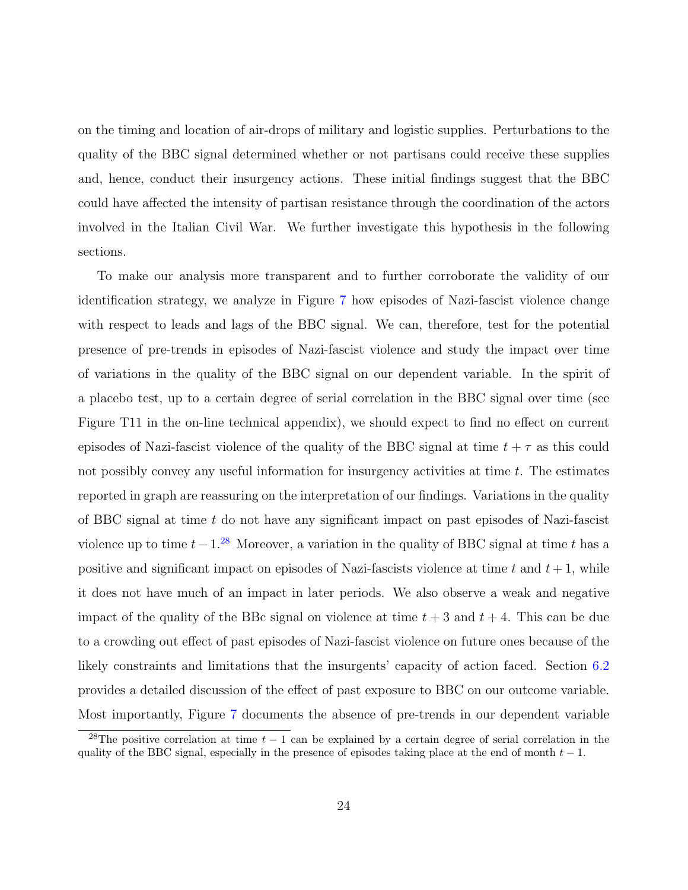on the timing and location of air-drops of military and logistic supplies. Perturbations to the quality of the BBC signal determined whether or not partisans could receive these supplies and, hence, conduct their insurgency actions. These initial findings suggest that the BBC could have affected the intensity of partisan resistance through the coordination of the actors involved in the Italian Civil War. We further investigate this hypothesis in the following sections.

To make our analysis more transparent and to further corroborate the validity of our identification strategy, we analyze in Figure [7](#page-45-0) how episodes of Nazi-fascist violence change with respect to leads and lags of the BBC signal. We can, therefore, test for the potential presence of pre-trends in episodes of Nazi-fascist violence and study the impact over time of variations in the quality of the BBC signal on our dependent variable. In the spirit of a placebo test, up to a certain degree of serial correlation in the BBC signal over time (see Figure T11 in the on-line technical appendix), we should expect to find no effect on current episodes of Nazi-fascist violence of the quality of the BBC signal at time  $t + \tau$  as this could not possibly convey any useful information for insurgency activities at time t. The estimates reported in graph are reassuring on the interpretation of our findings. Variations in the quality of BBC signal at time t do not have any significant impact on past episodes of Nazi-fascist violence up to time  $t-1$ .<sup>[28](#page-23-0)</sup> Moreover, a variation in the quality of BBC signal at time t has a positive and significant impact on episodes of Nazi-fascists violence at time t and  $t + 1$ , while it does not have much of an impact in later periods. We also observe a weak and negative impact of the quality of the BBc signal on violence at time  $t + 3$  and  $t + 4$ . This can be due to a crowding out effect of past episodes of Nazi-fascist violence on future ones because of the likely constraints and limitations that the insurgents' capacity of action faced. Section [6.2](#page-27-0) provides a detailed discussion of the effect of past exposure to BBC on our outcome variable. Most importantly, Figure [7](#page-45-0) documents the absence of pre-trends in our dependent variable

<span id="page-23-0"></span><sup>&</sup>lt;sup>28</sup>The positive correlation at time  $t - 1$  can be explained by a certain degree of serial correlation in the quality of the BBC signal, especially in the presence of episodes taking place at the end of month  $t - 1$ .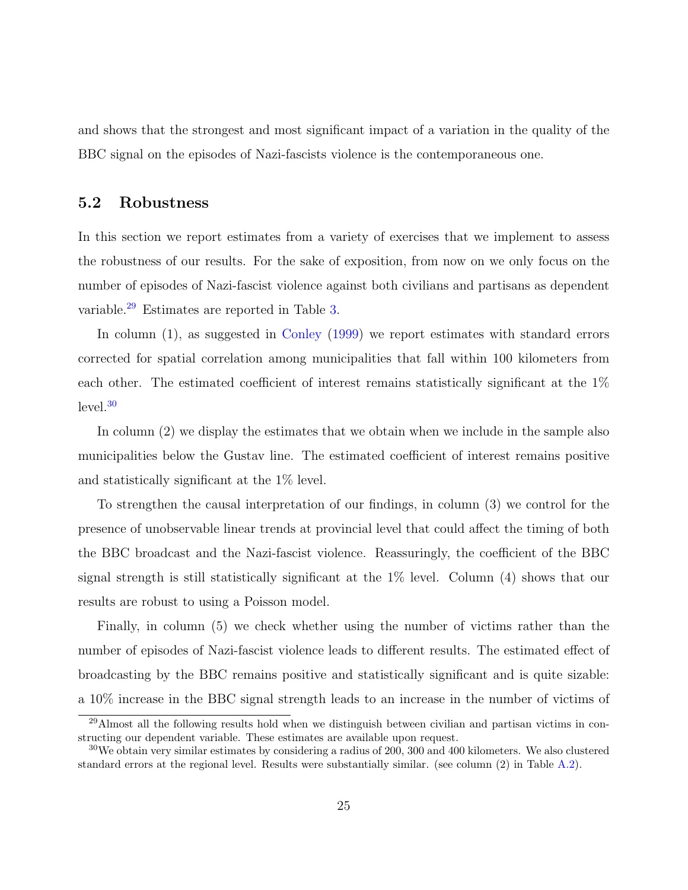and shows that the strongest and most significant impact of a variation in the quality of the BBC signal on the episodes of Nazi-fascists violence is the contemporaneous one.

### <span id="page-24-0"></span>5.2 Robustness

In this section we report estimates from a variety of exercises that we implement to assess the robustness of our results. For the sake of exposition, from now on we only focus on the number of episodes of Nazi-fascist violence against both civilians and partisans as dependent variable.[29](#page-24-1) Estimates are reported in Table [3.](#page-48-0)

In column (1), as suggested in [Conley](#page-35-13) [\(1999\)](#page-35-13) we report estimates with standard errors corrected for spatial correlation among municipalities that fall within 100 kilometers from each other. The estimated coefficient of interest remains statistically significant at the 1%  $level.<sup>30</sup>$  $level.<sup>30</sup>$  $level.<sup>30</sup>$ 

In column  $(2)$  we display the estimates that we obtain when we include in the sample also municipalities below the Gustav line. The estimated coefficient of interest remains positive and statistically significant at the 1% level.

To strengthen the causal interpretation of our findings, in column (3) we control for the presence of unobservable linear trends at provincial level that could affect the timing of both the BBC broadcast and the Nazi-fascist violence. Reassuringly, the coefficient of the BBC signal strength is still statistically significant at the 1% level. Column (4) shows that our results are robust to using a Poisson model.

Finally, in column (5) we check whether using the number of victims rather than the number of episodes of Nazi-fascist violence leads to different results. The estimated effect of broadcasting by the BBC remains positive and statistically significant and is quite sizable: a 10% increase in the BBC signal strength leads to an increase in the number of victims of

<span id="page-24-1"></span> $^{29}$ Almost all the following results hold when we distinguish between civilian and partisan victims in constructing our dependent variable. These estimates are available upon request.

<span id="page-24-2"></span> $30\,\text{We obtain very similar estimates by considering a radius of } 200, 300 \text{ and } 400 \text{ kilometers. We also clustered}$ standard errors at the regional level. Results were substantially similar. (see column (2) in Table [A.2\)](#page-47-0).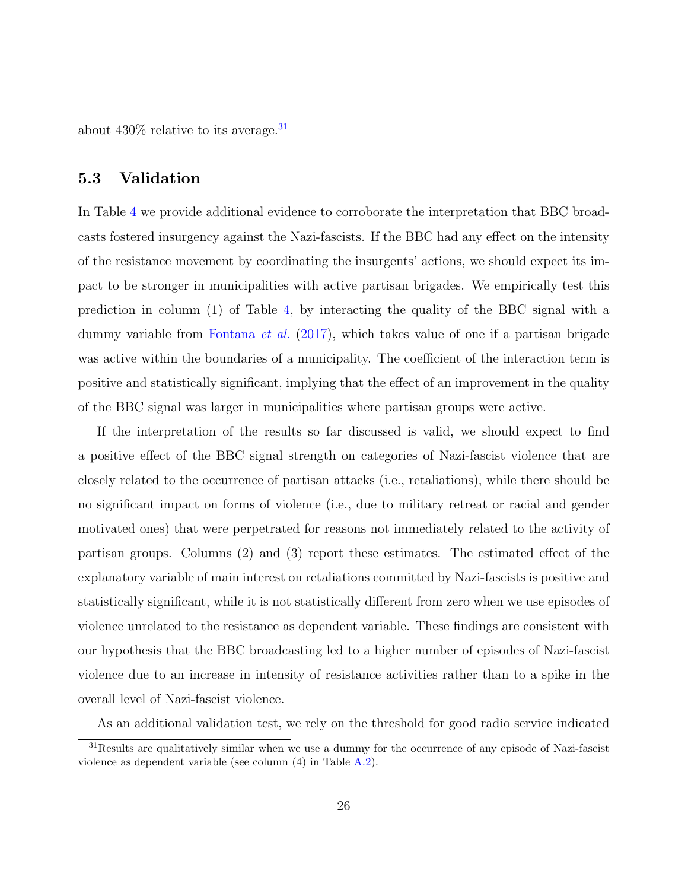about  $430\%$  relative to its average.<sup>[31](#page-25-0)</sup>

### 5.3 Validation

In Table [4](#page-49-0) we provide additional evidence to corroborate the interpretation that BBC broadcasts fostered insurgency against the Nazi-fascists. If the BBC had any effect on the intensity of the resistance movement by coordinating the insurgents' actions, we should expect its impact to be stronger in municipalities with active partisan brigades. We empirically test this prediction in column (1) of Table [4,](#page-49-0) by interacting the quality of the BBC signal with a dummy variable from [Fontana](#page-36-12) *et al.*  $(2017)$ , which takes value of one if a partisan brigade was active within the boundaries of a municipality. The coefficient of the interaction term is positive and statistically significant, implying that the effect of an improvement in the quality of the BBC signal was larger in municipalities where partisan groups were active.

If the interpretation of the results so far discussed is valid, we should expect to find a positive effect of the BBC signal strength on categories of Nazi-fascist violence that are closely related to the occurrence of partisan attacks (i.e., retaliations), while there should be no significant impact on forms of violence (i.e., due to military retreat or racial and gender motivated ones) that were perpetrated for reasons not immediately related to the activity of partisan groups. Columns (2) and (3) report these estimates. The estimated effect of the explanatory variable of main interest on retaliations committed by Nazi-fascists is positive and statistically significant, while it is not statistically different from zero when we use episodes of violence unrelated to the resistance as dependent variable. These findings are consistent with our hypothesis that the BBC broadcasting led to a higher number of episodes of Nazi-fascist violence due to an increase in intensity of resistance activities rather than to a spike in the overall level of Nazi-fascist violence.

<span id="page-25-0"></span>As an additional validation test, we rely on the threshold for good radio service indicated

<sup>&</sup>lt;sup>31</sup>Results are qualitatively similar when we use a dummy for the occurrence of any episode of Nazi-fascist violence as dependent variable (see column (4) in Table [A.2\)](#page-47-0).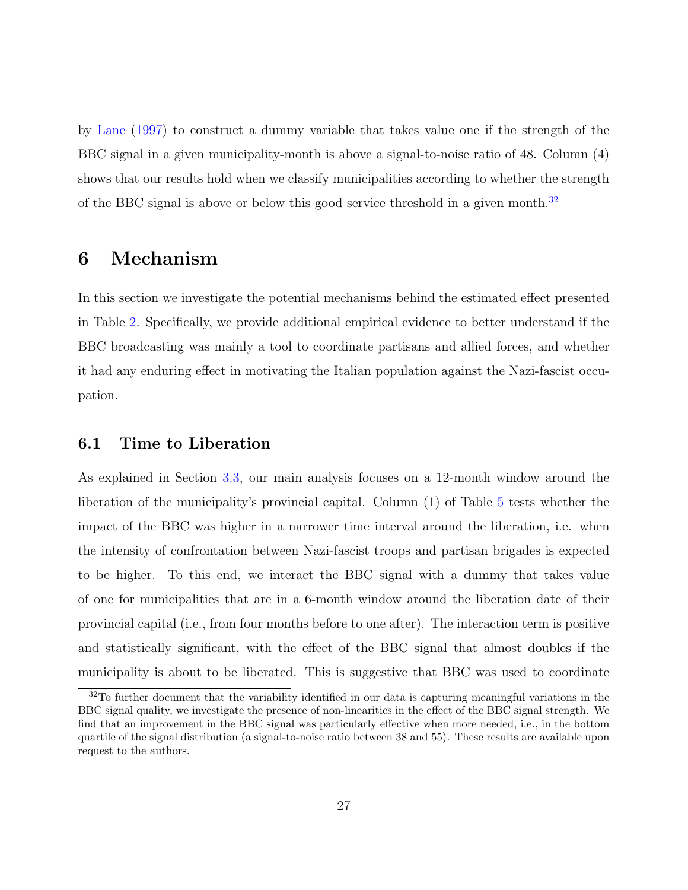by [Lane](#page-36-11) [\(1997\)](#page-36-11) to construct a dummy variable that takes value one if the strength of the BBC signal in a given municipality-month is above a signal-to-noise ratio of 48. Column (4) shows that our results hold when we classify municipalities according to whether the strength of the BBC signal is above or below this good service threshold in a given month.<sup>[32](#page-26-1)</sup>

### <span id="page-26-0"></span>6 Mechanism

In this section we investigate the potential mechanisms behind the estimated effect presented in Table [2.](#page-47-0) Specifically, we provide additional empirical evidence to better understand if the BBC broadcasting was mainly a tool to coordinate partisans and allied forces, and whether it had any enduring effect in motivating the Italian population against the Nazi-fascist occupation.

#### 6.1 Time to Liberation

As explained in Section [3.3,](#page-17-2) our main analysis focuses on a 12-month window around the liberation of the municipality's provincial capital. Column (1) of Table [5](#page-50-0) tests whether the impact of the BBC was higher in a narrower time interval around the liberation, i.e. when the intensity of confrontation between Nazi-fascist troops and partisan brigades is expected to be higher. To this end, we interact the BBC signal with a dummy that takes value of one for municipalities that are in a 6-month window around the liberation date of their provincial capital (i.e., from four months before to one after). The interaction term is positive and statistically significant, with the effect of the BBC signal that almost doubles if the municipality is about to be liberated. This is suggestive that BBC was used to coordinate

<span id="page-26-1"></span> $32\text{To further document that the variability identified in our data is capturing meaningful variations in the$ BBC signal quality, we investigate the presence of non-linearities in the effect of the BBC signal strength. We find that an improvement in the BBC signal was particularly effective when more needed, i.e., in the bottom quartile of the signal distribution (a signal-to-noise ratio between 38 and 55). These results are available upon request to the authors.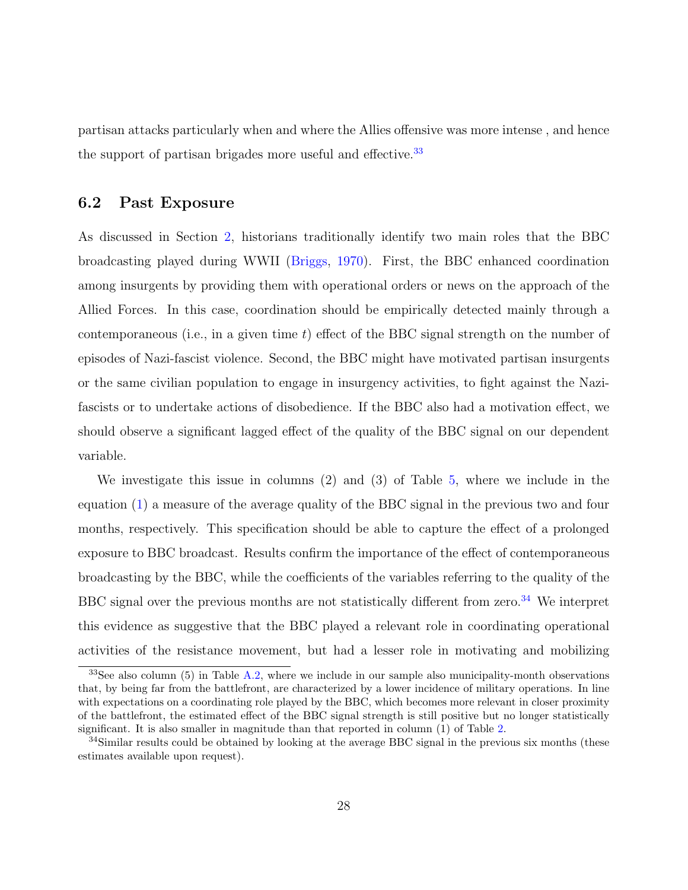partisan attacks particularly when and where the Allies offensive was more intense , and hence the support of partisan brigades more useful and effective.<sup>[33](#page-27-1)</sup>

### <span id="page-27-0"></span>6.2 Past Exposure

As discussed in Section [2,](#page-5-0) historians traditionally identify two main roles that the BBC broadcasting played during WWII [\(Briggs,](#page-35-5) [1970\)](#page-35-5). First, the BBC enhanced coordination among insurgents by providing them with operational orders or news on the approach of the Allied Forces. In this case, coordination should be empirically detected mainly through a contemporaneous (i.e., in a given time  $t$ ) effect of the BBC signal strength on the number of episodes of Nazi-fascist violence. Second, the BBC might have motivated partisan insurgents or the same civilian population to engage in insurgency activities, to fight against the Nazifascists or to undertake actions of disobedience. If the BBC also had a motivation effect, we should observe a significant lagged effect of the quality of the BBC signal on our dependent variable.

We investigate this issue in columns (2) and (3) of Table [5,](#page-50-0) where we include in the equation [\(1\)](#page-19-5) a measure of the average quality of the BBC signal in the previous two and four months, respectively. This specification should be able to capture the effect of a prolonged exposure to BBC broadcast. Results confirm the importance of the effect of contemporaneous broadcasting by the BBC, while the coefficients of the variables referring to the quality of the BBC signal over the previous months are not statistically different from zero.<sup>[34](#page-27-2)</sup> We interpret this evidence as suggestive that the BBC played a relevant role in coordinating operational activities of the resistance movement, but had a lesser role in motivating and mobilizing

<span id="page-27-1"></span><sup>33</sup>See also column (5) in Table [A.2,](#page-47-0) where we include in our sample also municipality-month observations that, by being far from the battlefront, are characterized by a lower incidence of military operations. In line with expectations on a coordinating role played by the BBC, which becomes more relevant in closer proximity of the battlefront, the estimated effect of the BBC signal strength is still positive but no longer statistically significant. It is also smaller in magnitude than that reported in column (1) of Table [2.](#page-47-0)

<span id="page-27-2"></span> $34$ Similar results could be obtained by looking at the average BBC signal in the previous six months (these estimates available upon request).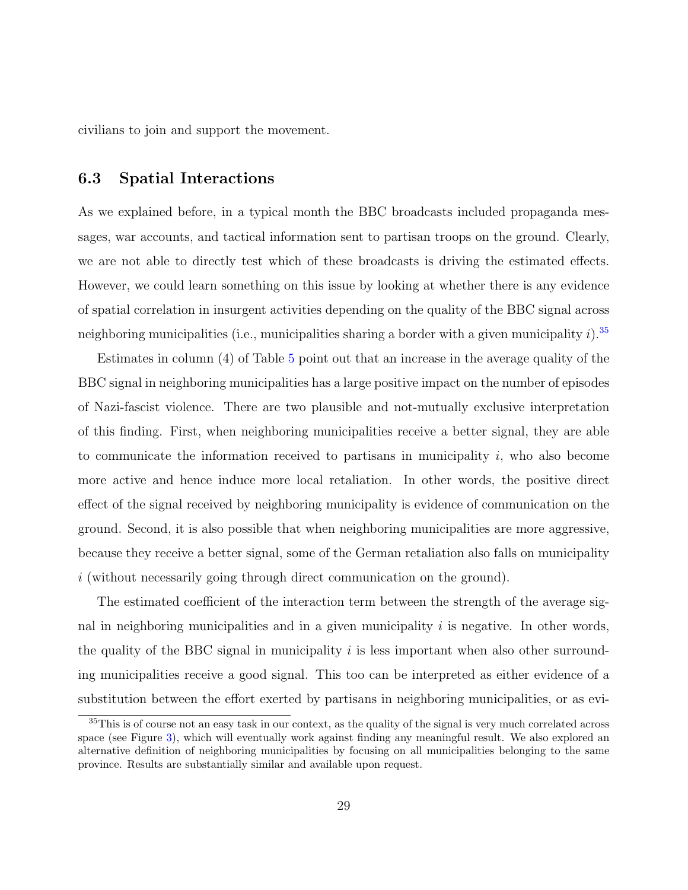civilians to join and support the movement.

### 6.3 Spatial Interactions

As we explained before, in a typical month the BBC broadcasts included propaganda messages, war accounts, and tactical information sent to partisan troops on the ground. Clearly, we are not able to directly test which of these broadcasts is driving the estimated effects. However, we could learn something on this issue by looking at whether there is any evidence of spatial correlation in insurgent activities depending on the quality of the BBC signal across neighboring municipalities (i.e., municipalities sharing a border with a given municipality i).<sup>[35](#page-28-0)</sup>

Estimates in column (4) of Table [5](#page-50-0) point out that an increase in the average quality of the BBC signal in neighboring municipalities has a large positive impact on the number of episodes of Nazi-fascist violence. There are two plausible and not-mutually exclusive interpretation of this finding. First, when neighboring municipalities receive a better signal, they are able to communicate the information received to partisans in municipality  $i$ , who also become more active and hence induce more local retaliation. In other words, the positive direct effect of the signal received by neighboring municipality is evidence of communication on the ground. Second, it is also possible that when neighboring municipalities are more aggressive, because they receive a better signal, some of the German retaliation also falls on municipality  $i$  (without necessarily going through direct communication on the ground).

The estimated coefficient of the interaction term between the strength of the average signal in neighboring municipalities and in a given municipality  $i$  is negative. In other words, the quality of the BBC signal in municipality  $i$  is less important when also other surrounding municipalities receive a good signal. This too can be interpreted as either evidence of a substitution between the effort exerted by partisans in neighboring municipalities, or as evi-

<span id="page-28-0"></span><sup>&</sup>lt;sup>35</sup>This is of course not an easy task in our context, as the quality of the signal is very much correlated across space (see Figure [3\)](#page-41-0), which will eventually work against finding any meaningful result. We also explored an alternative definition of neighboring municipalities by focusing on all municipalities belonging to the same province. Results are substantially similar and available upon request.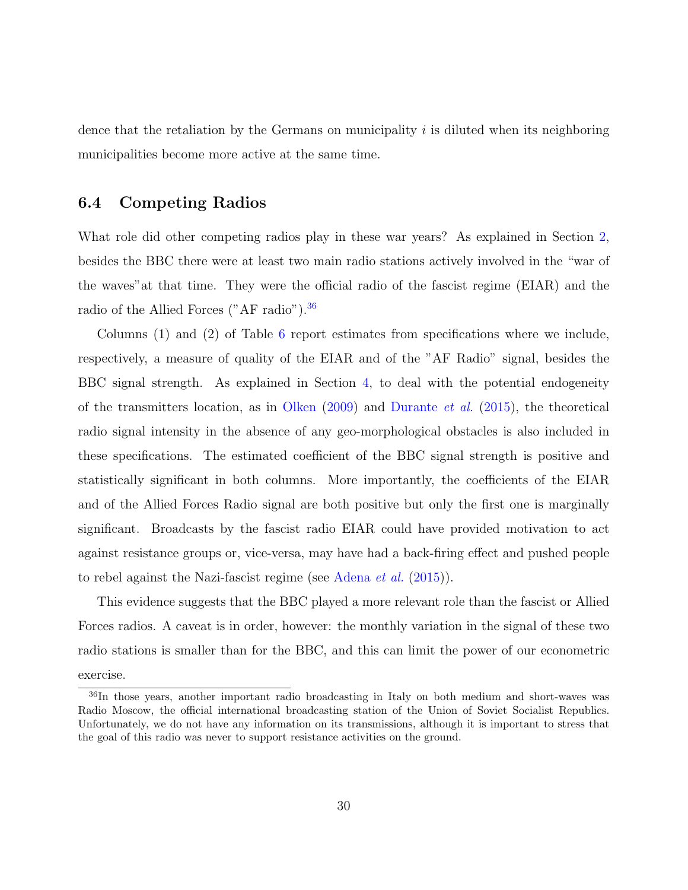dence that the retaliation by the Germans on municipality  $i$  is diluted when its neighboring municipalities become more active at the same time.

### 6.4 Competing Radios

What role did other competing radios play in these war years? As explained in Section [2,](#page-5-0) besides the BBC there were at least two main radio stations actively involved in the "war of the waves"at that time. They were the official radio of the fascist regime (EIAR) and the radio of the Allied Forces ("AF radio").<sup>[36](#page-29-0)</sup>

Columns (1) and (2) of Table [6](#page-51-0) report estimates from specifications where we include, respectively, a measure of quality of the EIAR and of the "AF Radio" signal, besides the BBC signal strength. As explained in Section [4,](#page-19-0) to deal with the potential endogeneity of the transmitters location, as in [Olken](#page-37-10)  $(2009)$  and [Durante](#page-36-9) *et al.*  $(2015)$ , the theoretical radio signal intensity in the absence of any geo-morphological obstacles is also included in these specifications. The estimated coefficient of the BBC signal strength is positive and statistically significant in both columns. More importantly, the coefficients of the EIAR and of the Allied Forces Radio signal are both positive but only the first one is marginally significant. Broadcasts by the fascist radio EIAR could have provided motivation to act against resistance groups or, vice-versa, may have had a back-firing effect and pushed people to rebel against the Nazi-fascist regime (see [Adena](#page-35-3) et al. [\(2015\)](#page-35-3)).

This evidence suggests that the BBC played a more relevant role than the fascist or Allied Forces radios. A caveat is in order, however: the monthly variation in the signal of these two radio stations is smaller than for the BBC, and this can limit the power of our econometric exercise.

<span id="page-29-0"></span><sup>36</sup>In those years, another important radio broadcasting in Italy on both medium and short-waves was Radio Moscow, the official international broadcasting station of the Union of Soviet Socialist Republics. Unfortunately, we do not have any information on its transmissions, although it is important to stress that the goal of this radio was never to support resistance activities on the ground.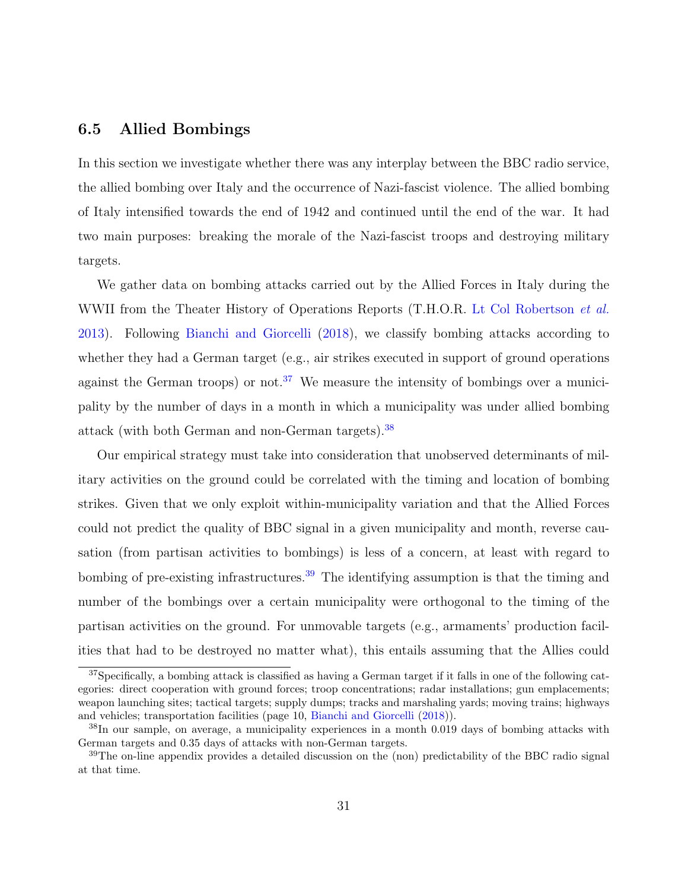### 6.5 Allied Bombings

In this section we investigate whether there was any interplay between the BBC radio service, the allied bombing over Italy and the occurrence of Nazi-fascist violence. The allied bombing of Italy intensified towards the end of 1942 and continued until the end of the war. It had two main purposes: breaking the morale of the Nazi-fascist troops and destroying military targets.

We gather data on bombing attacks carried out by the Allied Forces in Italy during the WWII from the Theater History of Operations Reports (T.H.O.R. [Lt Col Robertson](#page-37-13) *et al.*) [2013\)](#page-37-13). Following [Bianchi and Giorcelli](#page-35-14) [\(2018\)](#page-35-14), we classify bombing attacks according to whether they had a German target (e.g., air strikes executed in support of ground operations against the German troops) or not.<sup>[37](#page-30-0)</sup> We measure the intensity of bombings over a municipality by the number of days in a month in which a municipality was under allied bombing attack (with both German and non-German targets).[38](#page-30-1)

Our empirical strategy must take into consideration that unobserved determinants of military activities on the ground could be correlated with the timing and location of bombing strikes. Given that we only exploit within-municipality variation and that the Allied Forces could not predict the quality of BBC signal in a given municipality and month, reverse causation (from partisan activities to bombings) is less of a concern, at least with regard to bombing of pre-existing infrastructures.<sup>[39](#page-30-2)</sup> The identifying assumption is that the timing and number of the bombings over a certain municipality were orthogonal to the timing of the partisan activities on the ground. For unmovable targets (e.g., armaments' production facilities that had to be destroyed no matter what), this entails assuming that the Allies could

<span id="page-30-0"></span><sup>37</sup>Specifically, a bombing attack is classified as having a German target if it falls in one of the following categories: direct cooperation with ground forces; troop concentrations; radar installations; gun emplacements; weapon launching sites; tactical targets; supply dumps; tracks and marshaling yards; moving trains; highways and vehicles; transportation facilities (page 10, [Bianchi and Giorcelli](#page-35-14) [\(2018\)](#page-35-14)).

<span id="page-30-1"></span><sup>38</sup>In our sample, on average, a municipality experiences in a month 0.019 days of bombing attacks with German targets and 0.35 days of attacks with non-German targets.

<span id="page-30-2"></span><sup>&</sup>lt;sup>39</sup>The on-line appendix provides a detailed discussion on the (non) predictability of the BBC radio signal at that time.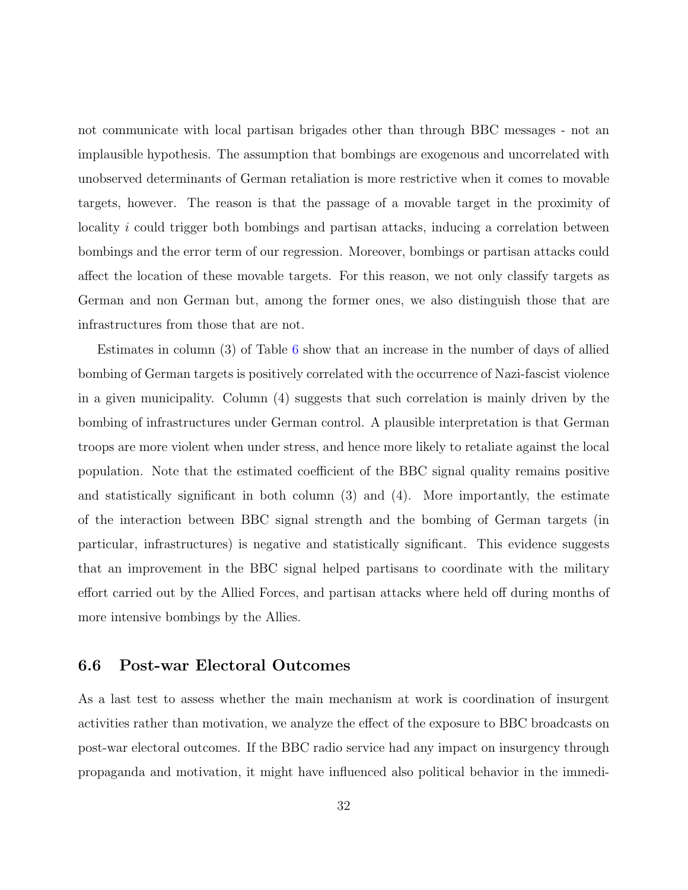not communicate with local partisan brigades other than through BBC messages - not an implausible hypothesis. The assumption that bombings are exogenous and uncorrelated with unobserved determinants of German retaliation is more restrictive when it comes to movable targets, however. The reason is that the passage of a movable target in the proximity of locality i could trigger both bombings and partisan attacks, inducing a correlation between bombings and the error term of our regression. Moreover, bombings or partisan attacks could affect the location of these movable targets. For this reason, we not only classify targets as German and non German but, among the former ones, we also distinguish those that are infrastructures from those that are not.

Estimates in column (3) of Table [6](#page-51-0) show that an increase in the number of days of allied bombing of German targets is positively correlated with the occurrence of Nazi-fascist violence in a given municipality. Column (4) suggests that such correlation is mainly driven by the bombing of infrastructures under German control. A plausible interpretation is that German troops are more violent when under stress, and hence more likely to retaliate against the local population. Note that the estimated coefficient of the BBC signal quality remains positive and statistically significant in both column (3) and (4). More importantly, the estimate of the interaction between BBC signal strength and the bombing of German targets (in particular, infrastructures) is negative and statistically significant. This evidence suggests that an improvement in the BBC signal helped partisans to coordinate with the military effort carried out by the Allied Forces, and partisan attacks where held off during months of more intensive bombings by the Allies.

#### 6.6 Post-war Electoral Outcomes

As a last test to assess whether the main mechanism at work is coordination of insurgent activities rather than motivation, we analyze the effect of the exposure to BBC broadcasts on post-war electoral outcomes. If the BBC radio service had any impact on insurgency through propaganda and motivation, it might have influenced also political behavior in the immedi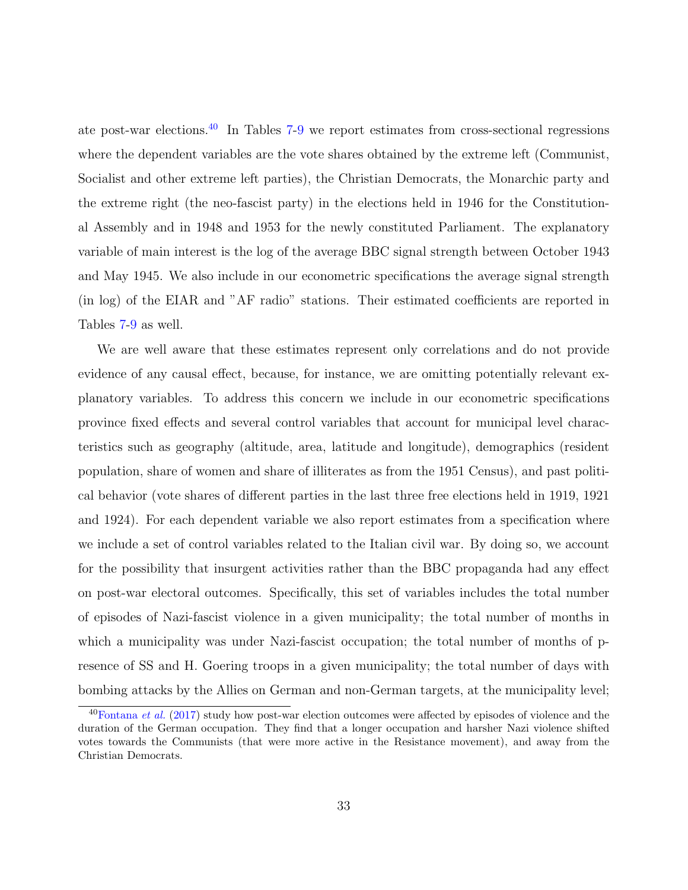ate post-war elections.[40](#page-32-0) In Tables [7-](#page-52-0)[9](#page-54-0) we report estimates from cross-sectional regressions where the dependent variables are the vote shares obtained by the extreme left (Communist, Socialist and other extreme left parties), the Christian Democrats, the Monarchic party and the extreme right (the neo-fascist party) in the elections held in 1946 for the Constitutional Assembly and in 1948 and 1953 for the newly constituted Parliament. The explanatory variable of main interest is the log of the average BBC signal strength between October 1943 and May 1945. We also include in our econometric specifications the average signal strength (in log) of the EIAR and "AF radio" stations. Their estimated coefficients are reported in Tables [7](#page-52-0)[-9](#page-54-0) as well.

We are well aware that these estimates represent only correlations and do not provide evidence of any causal effect, because, for instance, we are omitting potentially relevant explanatory variables. To address this concern we include in our econometric specifications province fixed effects and several control variables that account for municipal level characteristics such as geography (altitude, area, latitude and longitude), demographics (resident population, share of women and share of illiterates as from the 1951 Census), and past political behavior (vote shares of different parties in the last three free elections held in 1919, 1921 and 1924). For each dependent variable we also report estimates from a specification where we include a set of control variables related to the Italian civil war. By doing so, we account for the possibility that insurgent activities rather than the BBC propaganda had any effect on post-war electoral outcomes. Specifically, this set of variables includes the total number of episodes of Nazi-fascist violence in a given municipality; the total number of months in which a municipality was under Nazi-fascist occupation; the total number of months of presence of SS and H. Goering troops in a given municipality; the total number of days with bombing attacks by the Allies on German and non-German targets, at the municipality level;

<span id="page-32-0"></span> $40$ [Fontana](#page-36-12) et al. [\(2017\)](#page-36-12) study how post-war election outcomes were affected by episodes of violence and the duration of the German occupation. They find that a longer occupation and harsher Nazi violence shifted votes towards the Communists (that were more active in the Resistance movement), and away from the Christian Democrats.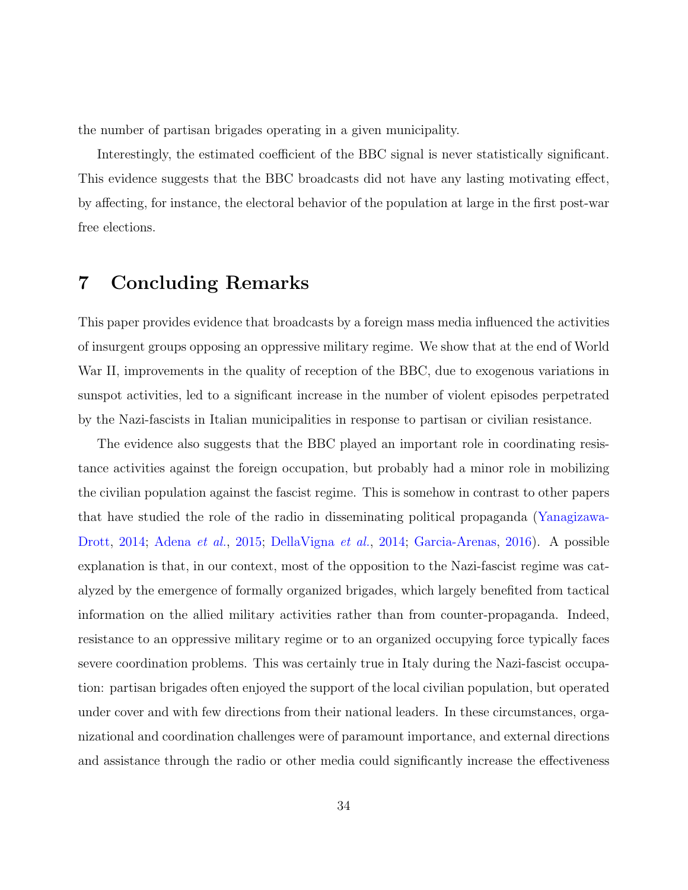the number of partisan brigades operating in a given municipality.

Interestingly, the estimated coefficient of the BBC signal is never statistically significant. This evidence suggests that the BBC broadcasts did not have any lasting motivating effect, by affecting, for instance, the electoral behavior of the population at large in the first post-war free elections.

### <span id="page-33-0"></span>7 Concluding Remarks

This paper provides evidence that broadcasts by a foreign mass media influenced the activities of insurgent groups opposing an oppressive military regime. We show that at the end of World War II, improvements in the quality of reception of the BBC, due to exogenous variations in sunspot activities, led to a significant increase in the number of violent episodes perpetrated by the Nazi-fascists in Italian municipalities in response to partisan or civilian resistance.

The evidence also suggests that the BBC played an important role in coordinating resistance activities against the foreign occupation, but probably had a minor role in mobilizing the civilian population against the fascist regime. This is somehow in contrast to other papers that have studied the role of the radio in disseminating political propaganda [\(Yanagizawa-](#page-38-0)[Drott,](#page-38-0) [2014;](#page-38-0) [Adena](#page-35-3) et al., [2015;](#page-35-3) [DellaVigna](#page-36-2) et al., [2014;](#page-36-2) [Garcia-Arenas,](#page-36-4) [2016\)](#page-36-4). A possible explanation is that, in our context, most of the opposition to the Nazi-fascist regime was catalyzed by the emergence of formally organized brigades, which largely benefited from tactical information on the allied military activities rather than from counter-propaganda. Indeed, resistance to an oppressive military regime or to an organized occupying force typically faces severe coordination problems. This was certainly true in Italy during the Nazi-fascist occupation: partisan brigades often enjoyed the support of the local civilian population, but operated under cover and with few directions from their national leaders. In these circumstances, organizational and coordination challenges were of paramount importance, and external directions and assistance through the radio or other media could significantly increase the effectiveness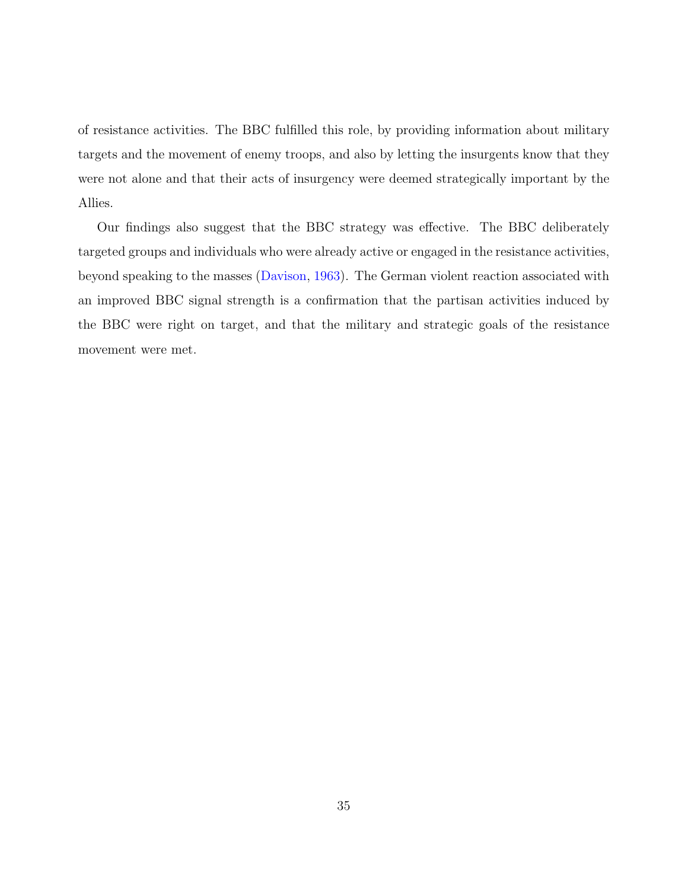of resistance activities. The BBC fulfilled this role, by providing information about military targets and the movement of enemy troops, and also by letting the insurgents know that they were not alone and that their acts of insurgency were deemed strategically important by the Allies.

Our findings also suggest that the BBC strategy was effective. The BBC deliberately targeted groups and individuals who were already active or engaged in the resistance activities, beyond speaking to the masses [\(Davison,](#page-35-10) [1963\)](#page-35-10). The German violent reaction associated with an improved BBC signal strength is a confirmation that the partisan activities induced by the BBC were right on target, and that the military and strategic goals of the resistance movement were met.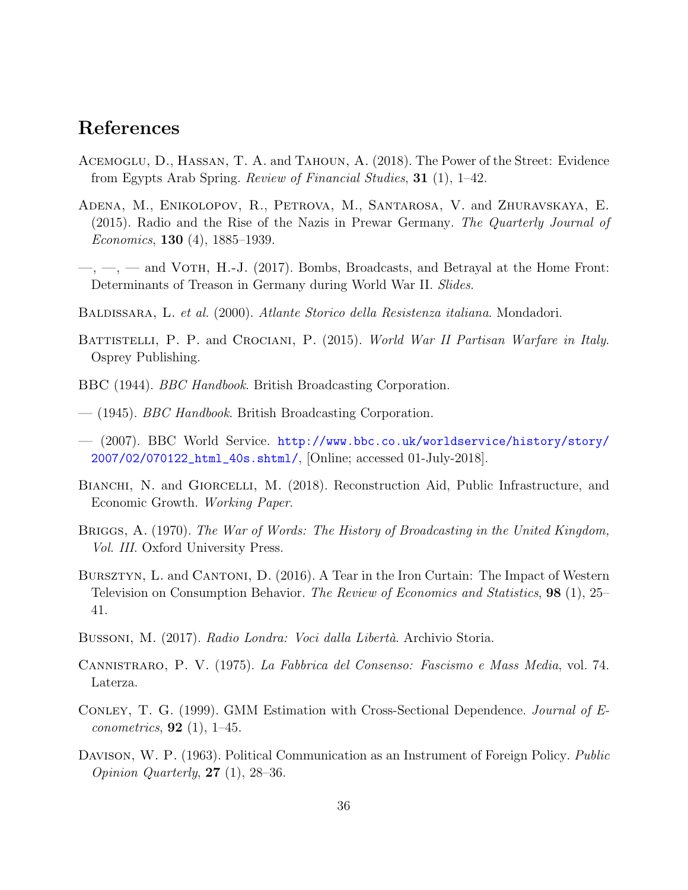### References

- <span id="page-35-1"></span>Acemoglu, D., Hassan, T. A. and Tahoun, A. (2018). The Power of the Street: Evidence from Egypts Arab Spring. Review of Financial Studies, 31 (1), 1–42.
- <span id="page-35-3"></span>Adena, M., Enikolopov, R., Petrova, M., Santarosa, V. and Zhuravskaya, E. (2015). Radio and the Rise of the Nazis in Prewar Germany. The Quarterly Journal of *Economics*, **130** (4),  $1885-1939$ .
- <span id="page-35-4"></span> $\text{---}, \text{---}, \text{---}$  and VOTH, H.-J. (2017). Bombs, Broadcasts, and Betrayal at the Home Front: Determinants of Treason in Germany during World War II. Slides.
- <span id="page-35-11"></span>Baldissara, L. et al. (2000). Atlante Storico della Resistenza italiana. Mondadori.
- <span id="page-35-12"></span>BATTISTELLI, P. P. and CROCIANI, P. (2015). World War II Partisan Warfare in Italy. Osprey Publishing.
- <span id="page-35-0"></span>BBC (1944). BBC Handbook. British Broadcasting Corporation.
- <span id="page-35-6"></span>— (1945). BBC Handbook. British Broadcasting Corporation.
- <span id="page-35-9"></span>— (2007). BBC World Service. http://www.bbc.co.uk/worldservice/history/story/ 2007/02/070122\_html\_40s.shtml/, [Online; accessed 01-July-2018].
- <span id="page-35-14"></span>BIANCHI, N. and GIORCELLI, M. (2018). Reconstruction Aid, Public Infrastructure, and Economic Growth. Working Paper.
- <span id="page-35-5"></span>BRIGGS, A. (1970). The War of Words: The History of Broadcasting in the United Kingdom, Vol. III. Oxford University Press.
- <span id="page-35-2"></span>Bursztyn, L. and Cantoni, D. (2016). A Tear in the Iron Curtain: The Impact of Western Television on Consumption Behavior. The Review of Economics and Statistics, 98 (1), 25– 41.
- <span id="page-35-7"></span>Bussoni, M. (2017). Radio Londra: Voci dalla Libertà. Archivio Storia.
- <span id="page-35-8"></span>Cannistraro, P. V. (1975). La Fabbrica del Consenso: Fascismo e Mass Media, vol. 74. Laterza.
- <span id="page-35-13"></span>Conley, T. G. (1999). GMM Estimation with Cross-Sectional Dependence. Journal of E*conometrics*, **92** (1), 1–45.
- <span id="page-35-10"></span>DAVISON, W. P. (1963). Political Communication as an Instrument of Foreign Policy. Public *Opinion Quarterly,* **27** (1),  $28-36$ .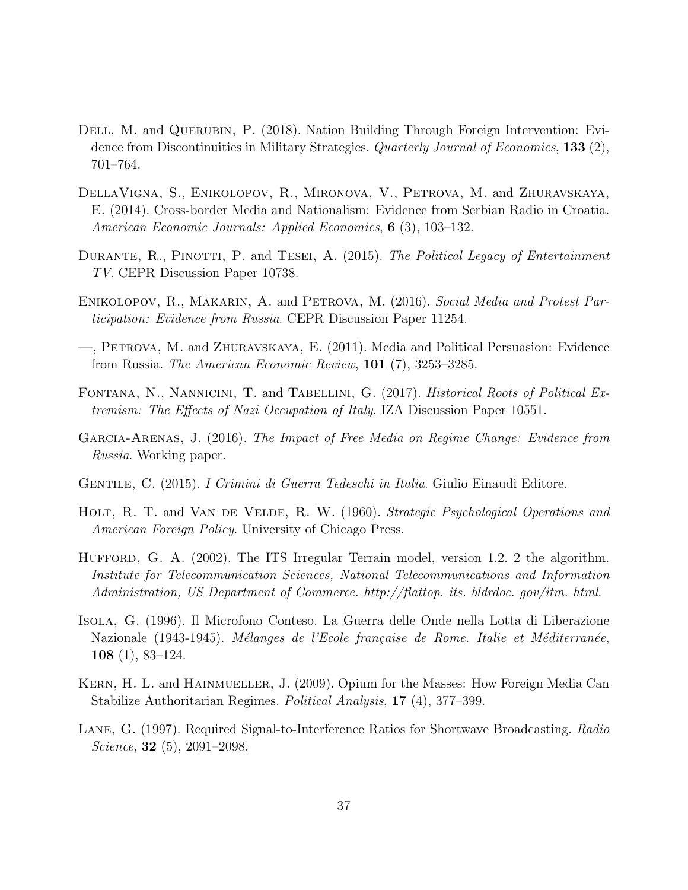- <span id="page-36-3"></span>DELL, M. and QUERUBIN, P. (2018). Nation Building Through Foreign Intervention: Evidence from Discontinuities in Military Strategies. Quarterly Journal of Economics, 133 (2), 701–764.
- <span id="page-36-2"></span>DellaVigna, S., Enikolopov, R., Mironova, V., Petrova, M. and Zhuravskaya, E. (2014). Cross-border Media and Nationalism: Evidence from Serbian Radio in Croatia. American Economic Journals: Applied Economics, 6 (3), 103-132.
- <span id="page-36-9"></span>DURANTE, R., PINOTTI, P. and TESEI, A. (2015). The Political Legacy of Entertainment TV. CEPR Discussion Paper 10738.
- <span id="page-36-0"></span>ENIKOLOPOV, R., MAKARIN, A. and PETROVA, M. (2016). Social Media and Protest Participation: Evidence from Russia. CEPR Discussion Paper 11254.
- <span id="page-36-8"></span>—, Petrova, M. and Zhuravskaya, E. (2011). Media and Political Persuasion: Evidence from Russia. The American Economic Review, 101 (7), 3253–3285.
- <span id="page-36-12"></span>FONTANA, N., NANNICINI, T. and TABELLINI, G. (2017). *Historical Roots of Political Ex*tremism: The Effects of Nazi Occupation of Italy. IZA Discussion Paper 10551.
- <span id="page-36-4"></span>Garcia-Arenas, J. (2016). The Impact of Free Media on Regime Change: Evidence from Russia. Working paper.
- <span id="page-36-5"></span>GENTILE, C. (2015). I Crimini di Guerra Tedeschi in Italia. Giulio Einaudi Editore.
- <span id="page-36-6"></span>HOLT, R. T. and VAN DE VELDE, R. W. (1960). Strategic Psychological Operations and American Foreign Policy. University of Chicago Press.
- <span id="page-36-10"></span>HUFFORD, G. A. (2002). The ITS Irregular Terrain model, version 1.2. 2 the algorithm. Institute for Telecommunication Sciences, National Telecommunications and Information Administration, US Department of Commerce. http://flattop. its. bldrdoc. gov/itm. html.
- <span id="page-36-7"></span>Isola, G. (1996). Il Microfono Conteso. La Guerra delle Onde nella Lotta di Liberazione Nazionale (1943-1945). Mélanges de l'Ecole française de Rome. Italie et Méditerranée, 108 (1), 83–124.
- <span id="page-36-1"></span>KERN, H. L. and HAINMUELLER, J. (2009). Opium for the Masses: How Foreign Media Can Stabilize Authoritarian Regimes. Political Analysis, 17 (4), 377–399.
- <span id="page-36-11"></span>LANE, G. (1997). Required Signal-to-Interference Ratios for Shortwave Broadcasting. Radio Science, **32** (5), 2091–2098.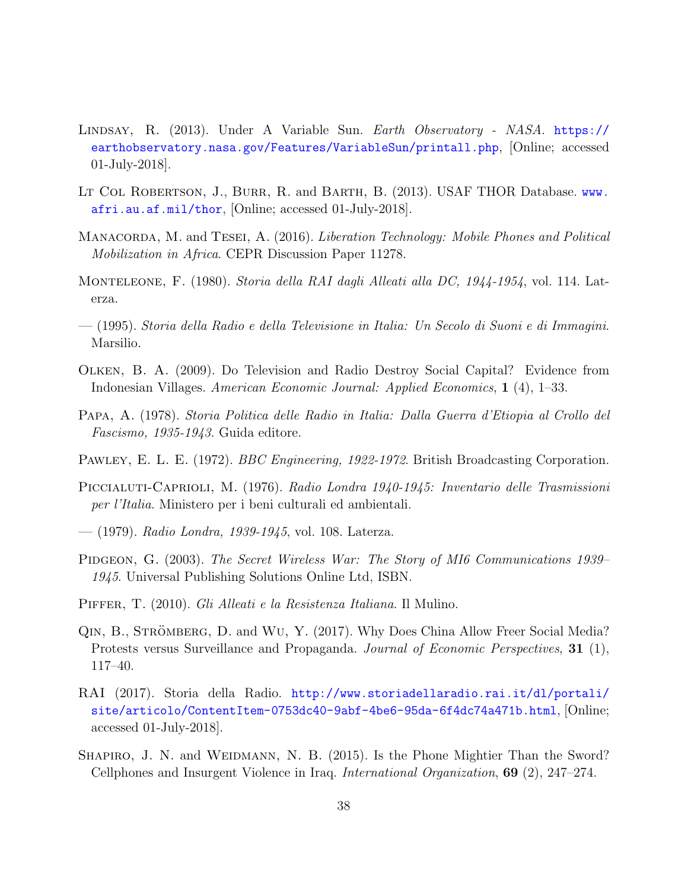- <span id="page-37-14"></span>LINDSAY, R. (2013). Under A Variable Sun. *Earth Observatory - NASA*. https:// earthobservatory.nasa.gov/Features/VariableSun/printall.php, [Online; accessed 01-July-2018].
- <span id="page-37-13"></span>LT COL ROBERTSON, J., BURR, R. and BARTH, B. (2013). USAF THOR Database. www. afri.au.af.mil/thor, [Online; accessed 01-July-2018].
- <span id="page-37-0"></span>MANACORDA, M. and TESEI, A. (2016). Liberation Technology: Mobile Phones and Political Mobilization in Africa. CEPR Discussion Paper 11278.
- <span id="page-37-9"></span>Monteleone, F. (1980). Storia della RAI dagli Alleati alla DC, 1944-1954, vol. 114. Laterza.
- <span id="page-37-8"></span>— (1995). Storia della Radio e della Televisione in Italia: Un Secolo di Suoni e di Immagini. Marsilio.
- <span id="page-37-10"></span>Olken, B. A. (2009). Do Television and Radio Destroy Social Capital? Evidence from Indonesian Villages. American Economic Journal: Applied Economics, 1 (4), 1–33.
- <span id="page-37-2"></span>Papa, A. (1978). Storia Politica delle Radio in Italia: Dalla Guerra d'Etiopia al Crollo del Fascismo, 1935-1943. Guida editore.
- <span id="page-37-11"></span>PAWLEY, E. L. E. (1972). *BBC Engineering, 1922-1972*. British Broadcasting Corporation.
- <span id="page-37-5"></span>PICCIALUTI-CAPRIOLI, M. (1976). Radio Londra 1940-1945: Inventario delle Trasmissioni per l'Italia. Ministero per i beni culturali ed ambientali.
- <span id="page-37-3"></span>— (1979). Radio Londra, 1939-1945, vol. 108. Laterza.
- <span id="page-37-6"></span>PIDGEON, G. (2003). The Secret Wireless War: The Story of MI6 Communications 1939– 1945. Universal Publishing Solutions Online Ltd, ISBN.
- <span id="page-37-7"></span>PIFFER, T. (2010). *Gli Alleati e la Resistenza Italiana*. Il Mulino.
- <span id="page-37-4"></span>QIN, B., STRÖMBERG, D. and WU, Y. (2017). Why Does China Allow Freer Social Media? Protests versus Surveillance and Propaganda. Journal of Economic Perspectives, 31 (1), 117–40.
- <span id="page-37-12"></span>RAI (2017). Storia della Radio. http://www.storiadellaradio.rai.it/dl/portali/ site/articolo/ContentItem-0753dc40-9abf-4be6-95da-6f4dc74a471b.html, [Online; accessed 01-July-2018].
- <span id="page-37-1"></span>SHAPIRO, J. N. and WEIDMANN, N. B. (2015). Is the Phone Mightier Than the Sword? Cellphones and Insurgent Violence in Iraq. International Organization, 69 (2), 247–274.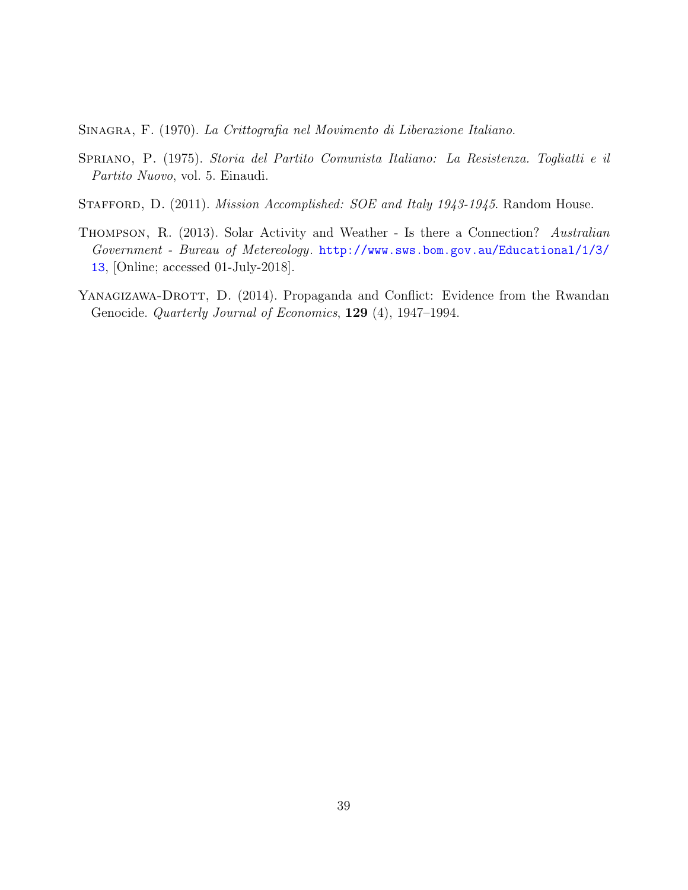<span id="page-38-3"></span>Sinagra, F. (1970). La Crittografia nel Movimento di Liberazione Italiano.

- <span id="page-38-1"></span>Spriano, P. (1975). Storia del Partito Comunista Italiano: La Resistenza. Togliatti e il Partito Nuovo, vol. 5. Einaudi.
- <span id="page-38-2"></span>STAFFORD, D. (2011). Mission Accomplished: SOE and Italy 1943-1945. Random House.
- <span id="page-38-4"></span>Thompson, R. (2013). Solar Activity and Weather - Is there a Connection? Australian Government - Bureau of Metereology. http://www.sws.bom.gov.au/Educational/1/3/ 13, [Online; accessed 01-July-2018].
- <span id="page-38-0"></span>YANAGIZAWA-DROTT, D. (2014). Propaganda and Conflict: Evidence from the Rwandan Genocide. Quarterly Journal of Economics, 129 (4), 1947–1994.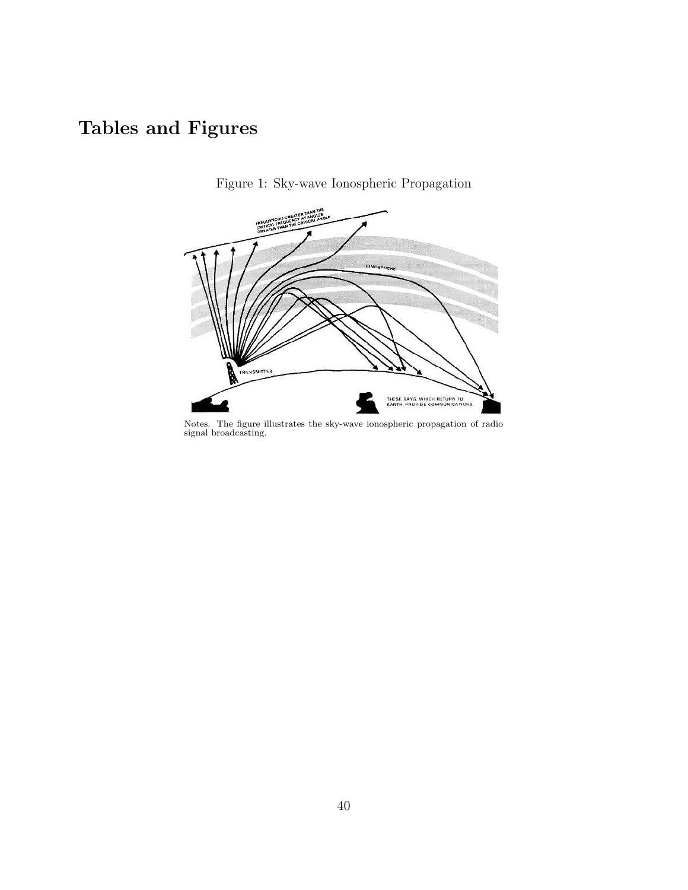# Tables and Figures



<span id="page-39-0"></span>Figure 1: Sky-wave Ionospheric Propagation

Notes. The figure illustrates the sky-wave ionospheric propagation of radio signal broadcasting.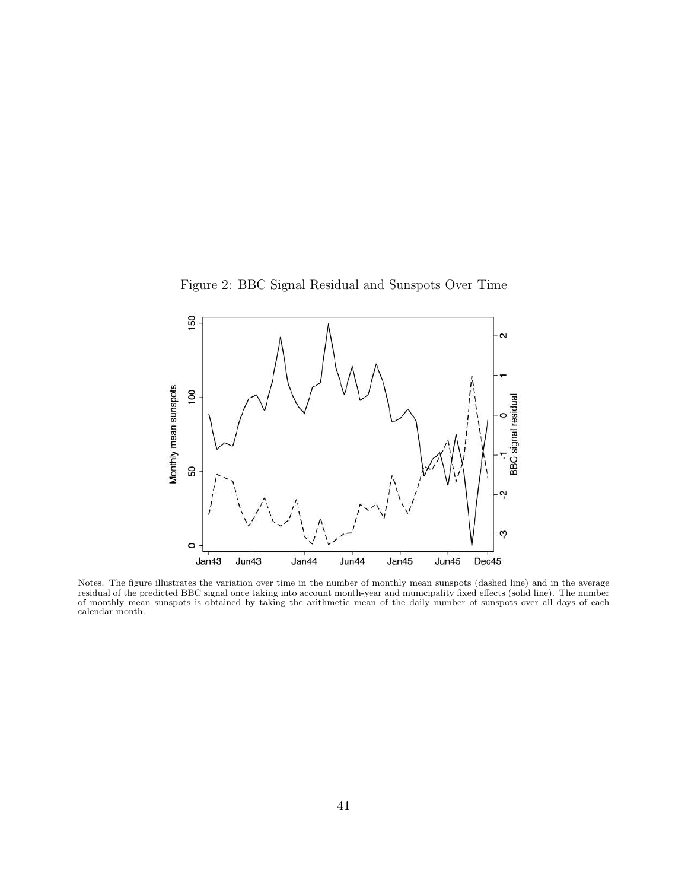<span id="page-40-0"></span>Figure 2: BBC Signal Residual and Sunspots Over Time



Notes. The figure illustrates the variation over time in the number of monthly mean sunspots (dashed line) and in the average residual of the predicted BBC signal once taking into account month-year and municipality fixed residual of the predicted BBC signal once taking into account month-year and municipality fixed effects (solid line). The number of monthly mean sunspots is obtained by taking the arithmetic mean of the daily number of sunspots over all days of each calendar month.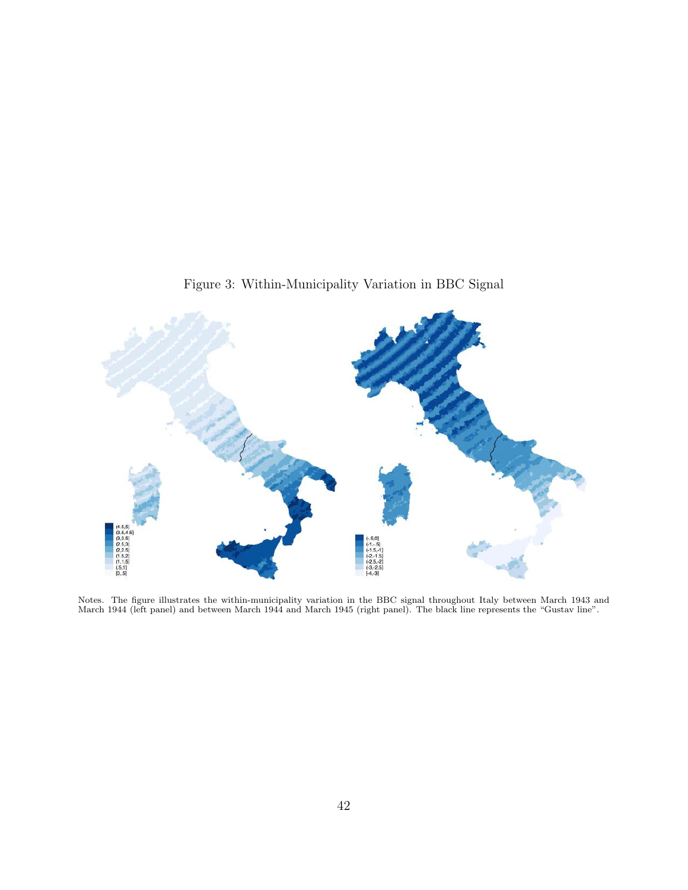

<span id="page-41-0"></span>Figure 3: Within-Municipality Variation in BBC Signal

Notes. The figure illustrates the within-municipality variation in the BBC signal throughout Italy between March 1943 and March 1944 (left panel) and between March 1944 and March 1945 (right panel). The black line represents the "Gustav line".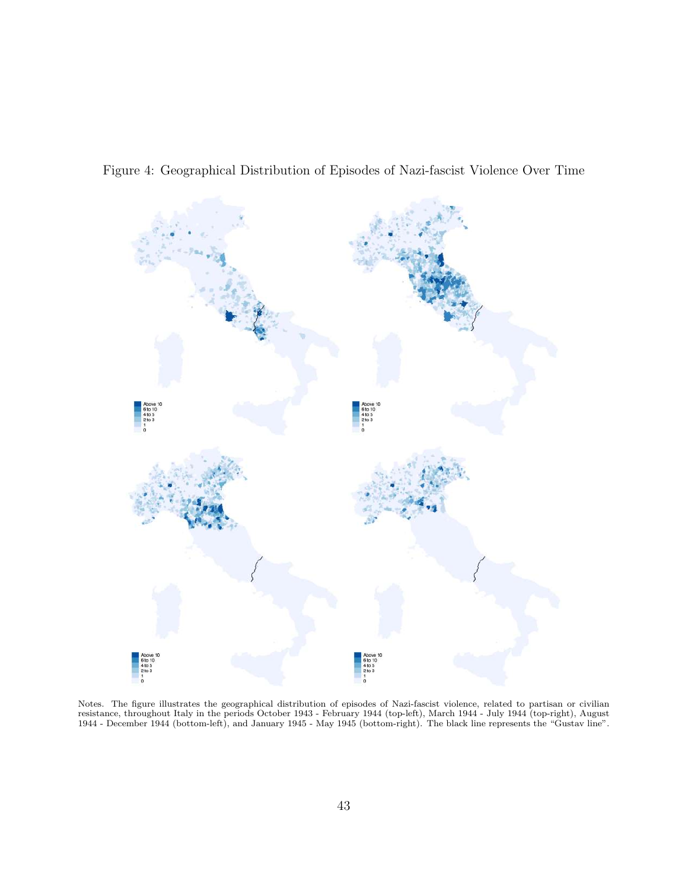

<span id="page-42-0"></span>Figure 4: Geographical Distribution of Episodes of Nazi-fascist Violence Over Time

Notes. The figure illustrates the geographical distribution of episodes of Nazi-fascist violence, related to partisan or civilian resistance, throughout Italy in the periods October 1943 - February 1944 (top-left), March 1944 - July 1944 (top-right), August 1944 - December 1944 (bottom-left), and January 1945 - May 1945 (bottom-right). The black line represents the "Gustav line".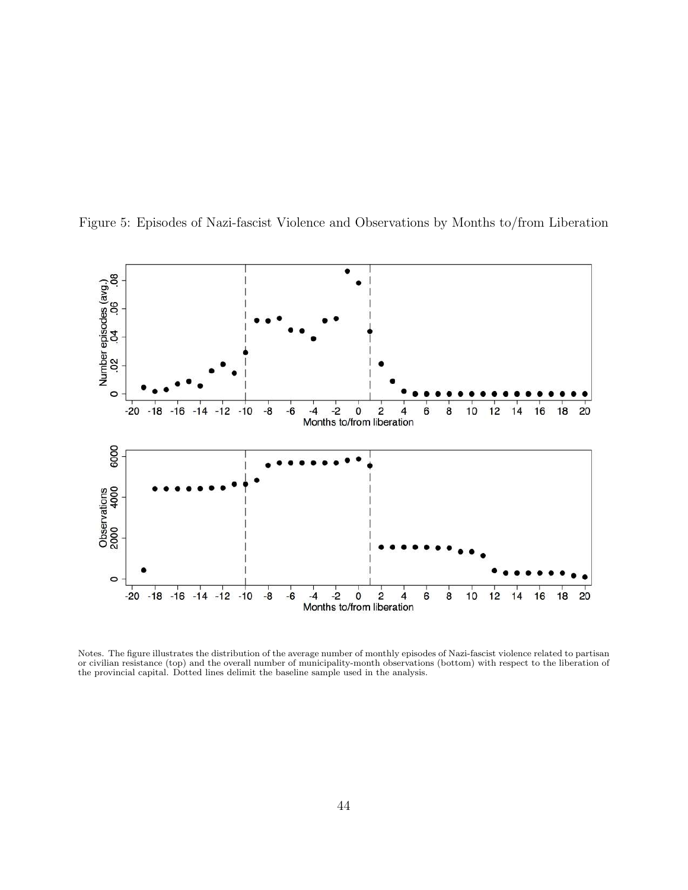

<span id="page-43-0"></span>Figure 5: Episodes of Nazi-fascist Violence and Observations by Months to/from Liberation

Notes. The figure illustrates the distribution of the average number of monthly episodes of Nazi-fascist violence related to partisan or civilian resistance (top) and the overall number of municipality-month observations (bottom) with respect to the liberation of the provincial capital. Dotted lines delimit the baseline sample used in the analysis.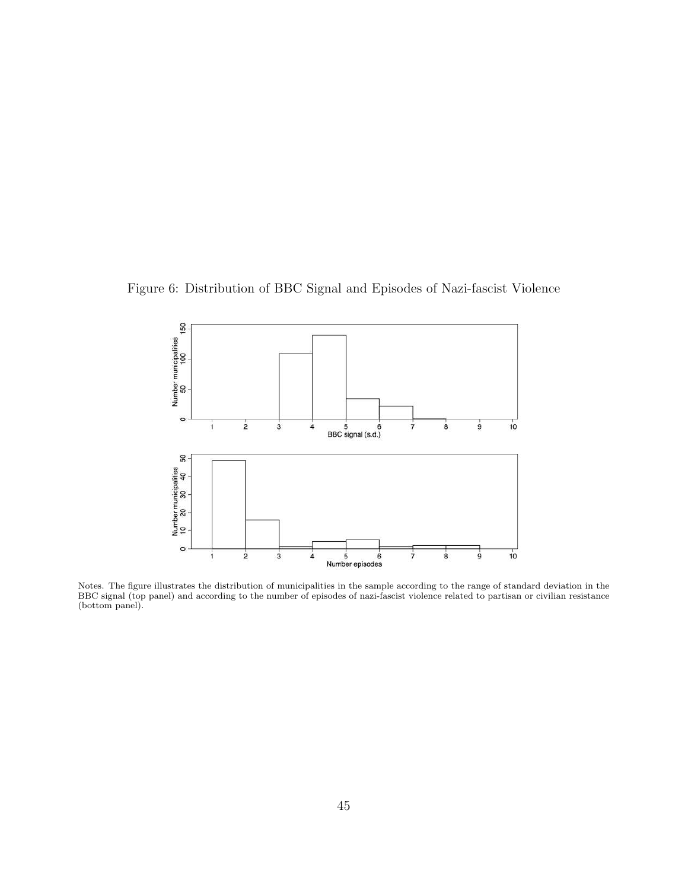Figure 6: Distribution of BBC Signal and Episodes of Nazi-fascist Violence

<span id="page-44-0"></span>

Notes. The figure illustrates the distribution of municipalities in the sample according to the range of standard deviation in the BBC signal (top panel) and according to the number of episodes of nazi-fascist violence related to partisan or civilian resistance (bottom panel).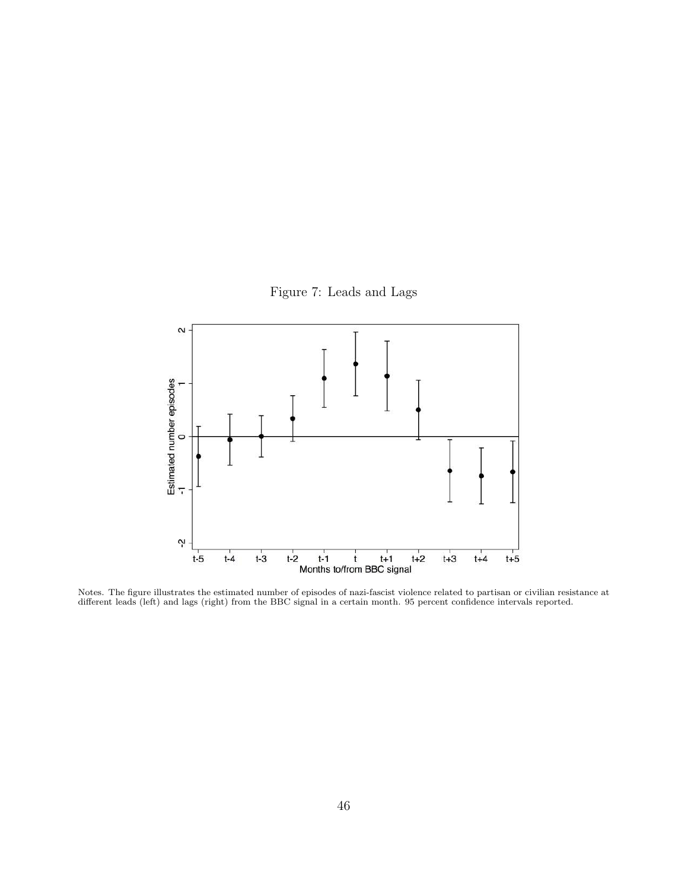<span id="page-45-0"></span>Figure 7: Leads and Lags



Notes. The figure illustrates the estimated number of episodes of nazi-fascist violence related to partisan or civilian resistance at different leads (left) and lags (right) from the BBC signal in a certain month. 95 percent confidence intervals reported.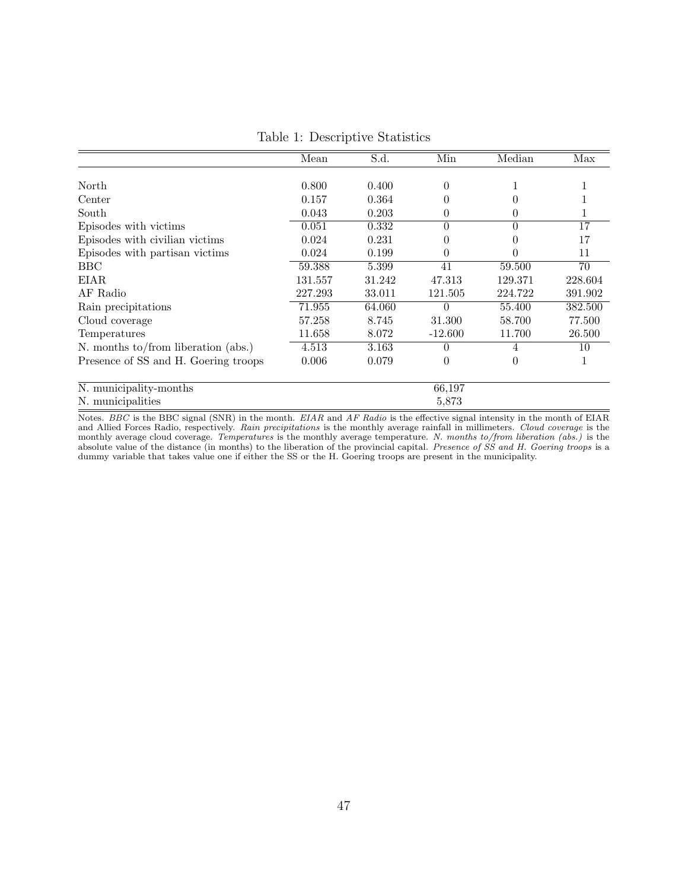<span id="page-46-0"></span>

|                                      | Mean    | S.d.   | Min              | Median   | Max     |
|--------------------------------------|---------|--------|------------------|----------|---------|
|                                      |         |        |                  |          |         |
| North                                | 0.800   | 0.400  | $\theta$         |          |         |
| Center                               | 0.157   | 0.364  | $\left( \right)$ |          |         |
| South                                | 0.043   | 0.203  | $\overline{0}$   | $\theta$ |         |
| Episodes with victims                | 0.051   | 0.332  | $\theta$         | 0        | 17      |
| Episodes with civilian victims       | 0.024   | 0.231  | 0                |          | 17      |
| Episodes with partisan victims       | 0.024   | 0.199  | $\Omega$         | 0        | 11      |
| BBC                                  | 59.388  | 5.399  | 41               | 59.500   | 70      |
| <b>EIAR</b>                          | 131.557 | 31.242 | 47.313           | 129.371  | 228.604 |
| AF Radio                             | 227.293 | 33.011 | 121.505          | 224.722  | 391.902 |
| Rain precipitations                  | 71.955  | 64.060 | $\theta$         | 55.400   | 382.500 |
| Cloud coverage                       | 57.258  | 8.745  | 31.300           | 58.700   | 77.500  |
| Temperatures                         | 11.658  | 8.072  | $-12.600$        | 11.700   | 26.500  |
| N. months to/from liberation (abs.)  | 4.513   | 3.163  | $\left( \right)$ |          | 10      |
| Presence of SS and H. Goering troops | 0.006   | 0.079  | $\theta$         | 0        |         |
| N. municipality-months               |         |        | 66,197           |          |         |
| N. municipalities                    |         |        | 5,873            |          |         |

Notes. BBC is the BBC signal (SNR) in the month. EIAR and AF Radio is the effective signal intensity in the month of EIAR and Allied Forces Radio, respectively. Rain precipitations is the monthly average rainfall in millimeters. Cloud coverage is the monthly average cloud coverage. Temperatures is the monthly average temperature. N. months to/from liberation (abs.) is the absolute value of the distance (in months) to the liberation of the provincial capital. Presence of SS and H. Goering troops is a dummy variable that takes value one if either the SS or the H. Goering troops are present in the municipality.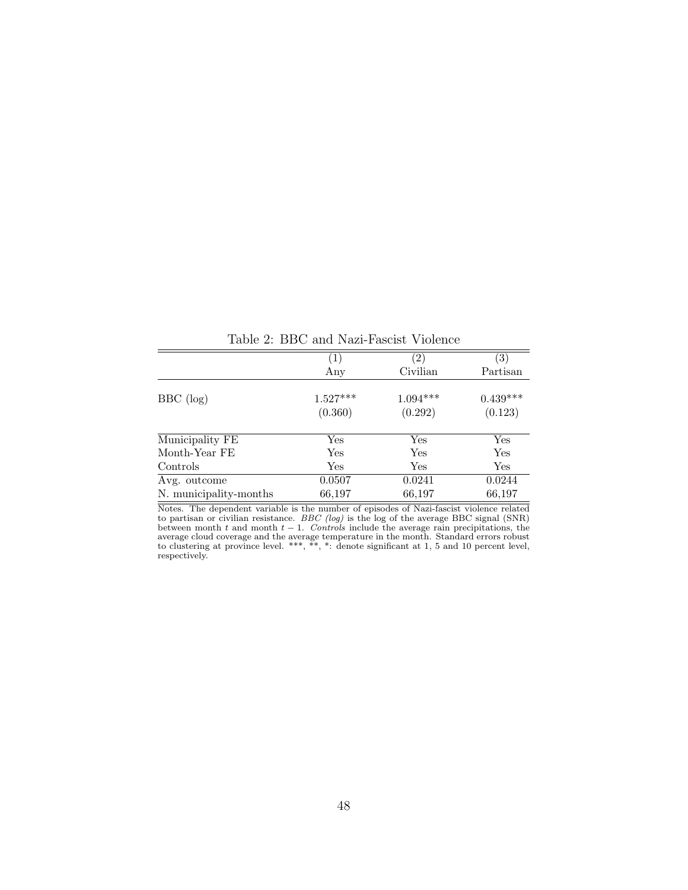|                        | $\left(1\right)$      | $\left( 2\right)$     | $\left( 3\right)$          |
|------------------------|-----------------------|-----------------------|----------------------------|
|                        | Any                   | Civilian              | Partisan                   |
| BBC (log)              | $1.527***$<br>(0.360) | $1.094***$<br>(0.292) | $0.439^{***}\,$<br>(0.123) |
| Municipality FE        | Yes                   | Yes                   | Yes                        |
| Month-Year FE          | Yes                   | Yes                   | Yes                        |
| Controls               | Yes                   | Yes                   | Yes                        |
| Avg. outcome           | 0.0507                | 0.0241                | 0.0244                     |
| N. municipality-months | 66.197                | 66,197                | 66,197                     |

<span id="page-47-0"></span>Table 2: BBC and Nazi-Fascist Violence

Notes. The dependent variable is the number of episodes of Nazi-fascist violence related to partisan or civilian resistance. *BBC* (log) is the log of the average BBC signal  $(SNR)$ between month t and month  $t-1$ . Controls include the average rain precipitations, the average cloud coverage and the average temperature in the month. Standard errors robust to clustering at province level. \*\*\*, \*\*, \*: denote significant at 1, 5 and 10 percent level, respectively.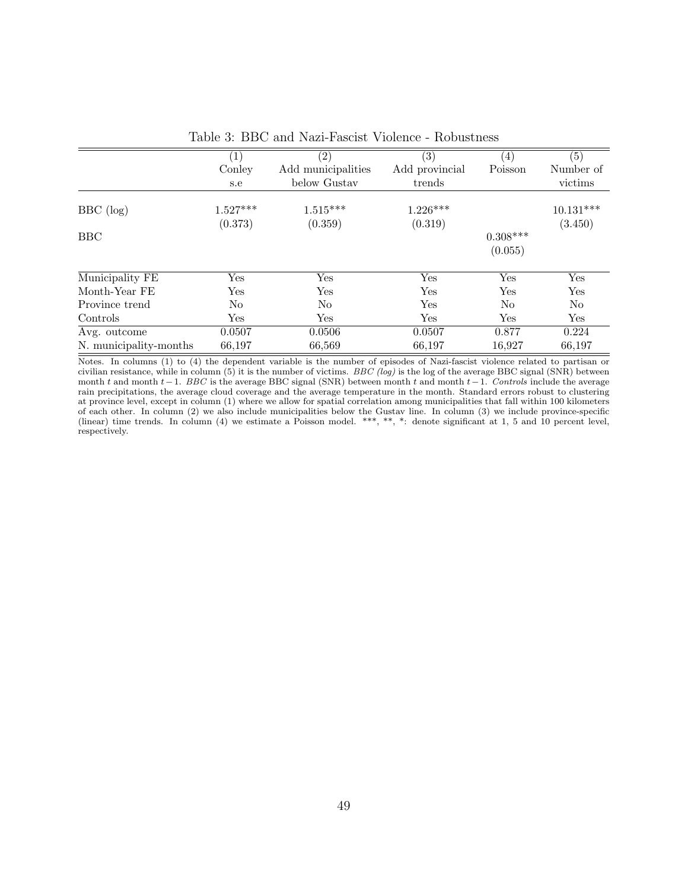|                        | $\left(1\right)$ | (2)                | $\left( 3\right)$ | (4)        | (5)         |
|------------------------|------------------|--------------------|-------------------|------------|-------------|
|                        | Conley           | Add municipalities | Add provincial    | Poisson    | Number of   |
|                        | s.e              | below Gustav       | trends            |            | victims     |
| BBC (log)              | $1.527***$       | $1.515***$         | $1.226***$        |            | $10.131***$ |
|                        | (0.373)          | (0.359)            | (0.319)           |            | (3.450)     |
| <b>BBC</b>             |                  |                    |                   | $0.308***$ |             |
|                        |                  |                    |                   | (0.055)    |             |
| Municipality FE        | Yes              | Yes                | Yes               | Yes        | Yes         |
| Month-Year FE          | Yes              | Yes                | Yes               | Yes        | Yes         |
| Province trend         | N <sub>o</sub>   | No                 | Yes               | No         | No          |
| Controls               | Yes              | Yes                | Yes               | Yes        | Yes         |
| Avg. outcome           | 0.0507           | 0.0506             | 0.0507            | 0.877      | 0.224       |
| N. municipality-months | 66,197           | 66,569             | 66,197            | 16,927     | 66,197      |

<span id="page-48-0"></span>Table 3: BBC and Nazi-Fascist Violence - Robustness

Notes. In columns (1) to (4) the dependent variable is the number of episodes of Nazi-fascist violence related to partisan or civilian resistance, while in column (5) it is the number of victims. BBC (log) is the log of the average BBC signal (SNR) between month t and month  $t-1$ . BBC is the average BBC signal (SNR) between month t and month  $t-1$ . Controls include the average rain precipitations, the average cloud coverage and the average temperature in the month. Standard errors robust to clustering at province level, except in column (1) where we allow for spatial correlation among municipalities that fall within 100 kilometers of each other. In column (2) we also include municipalities below the Gustav line. In column (3) we include province-specific (linear) time trends. In column (4) we estimate a Poisson model. \*\*\*, \*\*, \*: denote significant at 1, 5 and 10 percent level, respectively.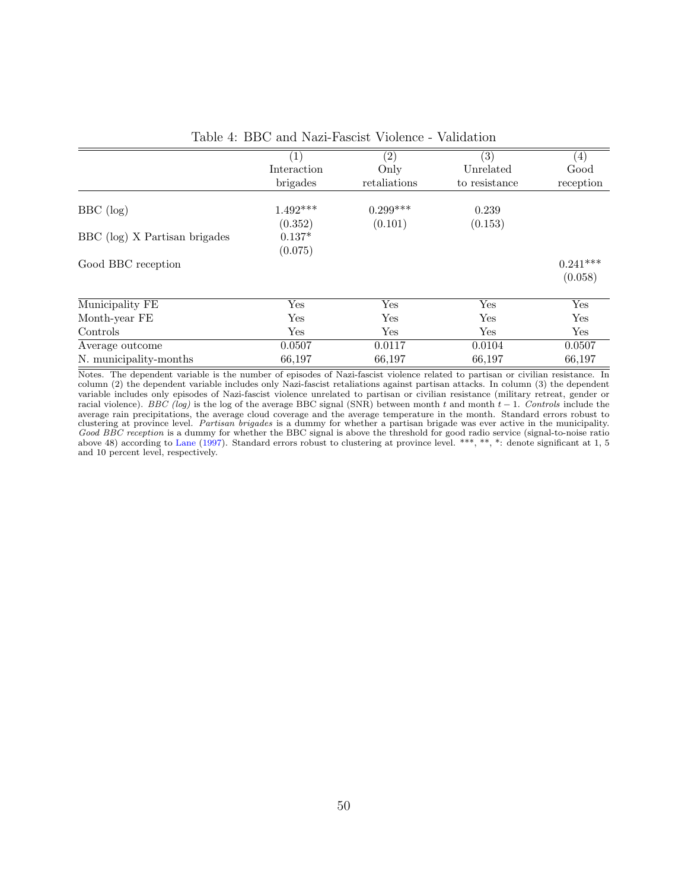|                               | (1)         | $\left( 2\right)$ | (3)           | (4)        |
|-------------------------------|-------------|-------------------|---------------|------------|
|                               | Interaction | Only              | Unrelated     | Good       |
|                               | brigades    | retaliations      | to resistance | reception  |
| BBC (log)                     | $1.492***$  | $0.299***$        | 0.239         |            |
|                               | (0.352)     | (0.101)           | (0.153)       |            |
| BBC (log) X Partisan brigades | $0.137*$    |                   |               |            |
|                               | (0.075)     |                   |               |            |
| Good BBC reception            |             |                   |               | $0.241***$ |
|                               |             |                   |               | (0.058)    |
| Municipality FE               | Yes         | Yes               | Yes           | Yes        |
| Month-year FE                 | Yes         | Yes               | Yes           | Yes        |
| Controls                      | Yes         | Yes               | Yes           | Yes        |
| Average outcome               | 0.0507      | 0.0117            | 0.0104        | 0.0507     |
| N. municipality-months        | 66,197      | 66,197            | 66,197        | 66,197     |

<span id="page-49-0"></span>Table 4: BBC and Nazi-Fascist Violence - Validation

Notes. The dependent variable is the number of episodes of Nazi-fascist violence related to partisan or civilian resistance. In column (2) the dependent variable includes only Nazi-fascist retaliations against partisan attacks. In column (3) the dependent variable includes only episodes of Nazi-fascist violence unrelated to partisan or civilian resistance (military retreat, gender or racial violence). BBC (log) is the log of the average BBC signal (SNR) between month t and month  $t - 1$ . Controls include the average rain precipitations, the average cloud coverage and the average temperature in the month. Standard errors robust to clustering at province level. Partisan brigades is a dummy for whether a partisan brigade was ever active in the municipality. Good BBC reception is a dummy for whether the BBC signal is above the threshold for good radio service (signal-to-noise ratio above 48) according to [Lane](#page-36-11) [\(1997\)](#page-36-11). Standard errors robust to clustering at province level. \*\*\*, \*\*, \*: denote significant at 1, 5 and 10 percent level, respectively.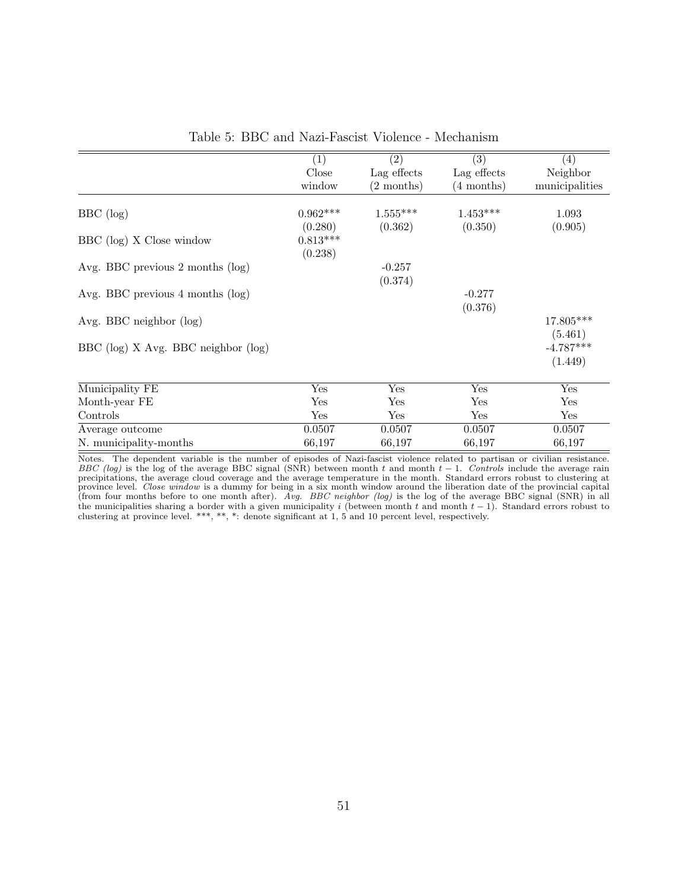<span id="page-50-0"></span>

| Table 5: BBC and Nazi-Fascist Violence - Mechanism |  |
|----------------------------------------------------|--|
|----------------------------------------------------|--|

|                                       | (1)        | (2)                  | (3)          | (4)            |
|---------------------------------------|------------|----------------------|--------------|----------------|
|                                       | Close      | Lag effects          | Lag effects  | Neighbor       |
|                                       | window     | $(2 \text{ months})$ | $(4$ months) | municipalities |
|                                       |            |                      |              |                |
| BBC (log)                             | $0.962***$ | $1.555***$           | $1.453***$   | 1.093          |
|                                       | (0.280)    | (0.362)              | (0.350)      | (0.905)        |
| BBC (log) X Close window              | $0.813***$ |                      |              |                |
|                                       | (0.238)    |                      |              |                |
| Avg. BBC previous $2$ months $(\log)$ |            | $-0.257$             |              |                |
|                                       |            | (0.374)              |              |                |
| Avg. BBC previous $4$ months $(\log)$ |            |                      | $-0.277$     |                |
|                                       |            |                      | (0.376)      |                |
| Avg. BBC neighbor $(\log)$            |            |                      |              | $17.805***$    |
|                                       |            |                      |              | (5.461)        |
| BBC (log) X Avg. BBC neighbor (log)   |            |                      |              | $-4.787***$    |
|                                       |            |                      |              | (1.449)        |
|                                       |            |                      |              |                |
| Municipality FE                       | Yes        | Yes                  | Yes          | Yes            |
| Month-year FE                         | Yes        | Yes                  | Yes          | Yes            |
| Controls                              | Yes        | Yes                  | Yes          | Yes            |
| Average outcome                       | 0.0507     | 0.0507               | 0.0507       | 0.0507         |
| N. municipality-months                | 66,197     | 66,197               | 66,197       | 66,197         |

Notes. The dependent variable is the number of episodes of Nazi-fascist violence related to partisan or civilian resistance. BBC (log) is the log of the average BBC signal (SNR) between month t and month  $t-1$ . Controls include the average rain precipitations, the average cloud coverage and the average temperature in the month. Standard errors robust to clustering at province level. Close window is a dummy for being in a six month window around the liberation date of the provincial capital (from four months before to one month after). Avg. BBC neighbor (log) is the log of the average BBC signal (SNR) in all the municipalities sharing a border with a given municipality i (between month t and month  $t-1$ ). Standard errors robust to clustering at province level. \*\*\*, \*\*, \*: denote significant at 1, 5 and 10 percent level, respectively.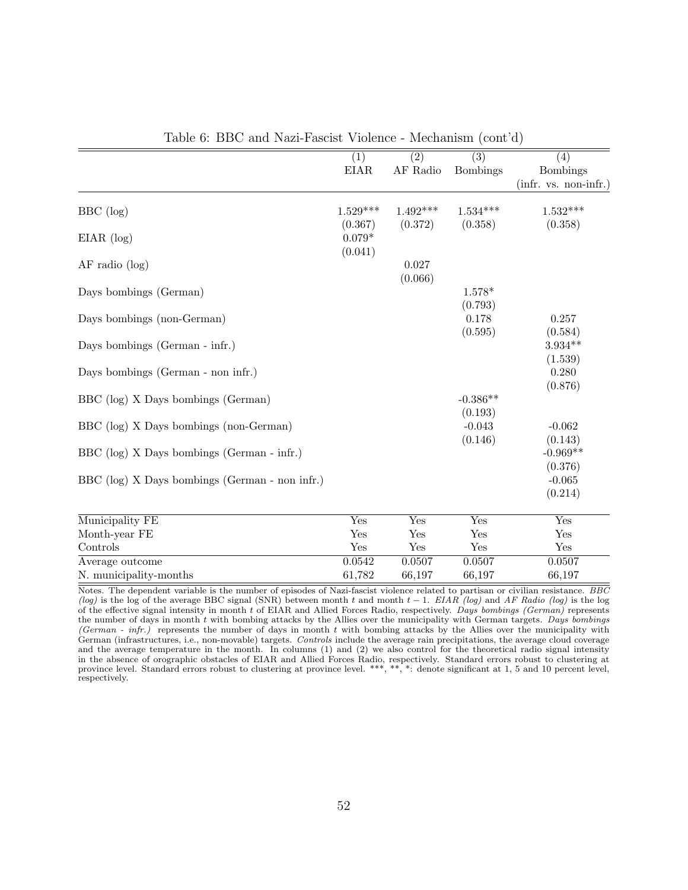|                                                | (1)                   | (2)                   | $\overline{(3)}$      | (4)                   |
|------------------------------------------------|-----------------------|-----------------------|-----------------------|-----------------------|
|                                                | <b>EIAR</b>           | AF Radio              | <b>Bombings</b>       | <b>Bombings</b>       |
|                                                |                       |                       |                       | (infr. vs. non-infr.) |
| BBC (log)                                      | $1.529***$<br>(0.367) | $1.492***$<br>(0.372) | $1.534***$<br>(0.358) | $1.532***$<br>(0.358) |
| EIAR (log)                                     | $0.079*$<br>(0.041)   |                       |                       |                       |
| $AF$ radio $(log)$                             |                       | 0.027<br>(0.066)      |                       |                       |
| Days bombings (German)                         |                       |                       | $1.578*$<br>(0.793)   |                       |
| Days bombings (non-German)                     |                       |                       | 0.178<br>(0.595)      | 0.257<br>(0.584)      |
| Days bombings (German - infr.)                 |                       |                       |                       | $3.934**$<br>(1.539)  |
| Days bombings (German - non infr.)             |                       |                       |                       | 0.280<br>(0.876)      |
| BBC (log) X Days bombings (German)             |                       |                       | $-0.386**$<br>(0.193) |                       |
| BBC (log) X Days bombings (non-German)         |                       |                       | $-0.043$<br>(0.146)   | $-0.062$<br>(0.143)   |
| BBC (log) X Days bombings (German - infr.)     |                       |                       |                       | $-0.969**$<br>(0.376) |
| BBC (log) X Days bombings (German - non infr.) |                       |                       |                       | $-0.065$<br>(0.214)   |

<span id="page-51-0"></span>Table 6: BBC and Nazi-Fascist Violence - Mechanism (cont'd)

| Municipality FE        | Yes    | Yes    | Yes    | Yes        |
|------------------------|--------|--------|--------|------------|
| Month-year FE          | Yes    | Yes    | Yes    | Yes        |
| Controls               | Yes    | Yes    | Yes    | <b>Yes</b> |
| Average outcome        | 0.0542 | 0.0507 | 0.0507 | 0.0507     |
| N. municipality-months | 61.782 | 66.197 | 66.197 | 66.197     |

Notes. The dependent variable is the number of episodes of Nazi-fascist violence related to partisan or civilian resistance. BBC (log) is the log of the average BBC signal (SNR) between month t and month  $t-1$ . EIAR (log) and AF Radio (log) is the log of the effective signal intensity in month t of EIAR and Allied Forces Radio, respectively. Days bombings (German) represents the number of days in month t with bombing attacks by the Allies over the municipality with German targets. Days bombings (German - infr.) represents the number of days in month t with bombing attacks by the Allies over the municipality with German (infrastructures, i.e., non-movable) targets. Controls include the average rain precipitations, the average cloud coverage and the average temperature in the month. In columns (1) and (2) we also control for the theoretical radio signal intensity in the absence of orographic obstacles of EIAR and Allied Forces Radio, respectively. Standard errors robust to clustering at province level. Standard errors robust to clustering at province level. \*\*\*, \*\*, \*: denote significant at 1, 5 and 10 percent level, respectively.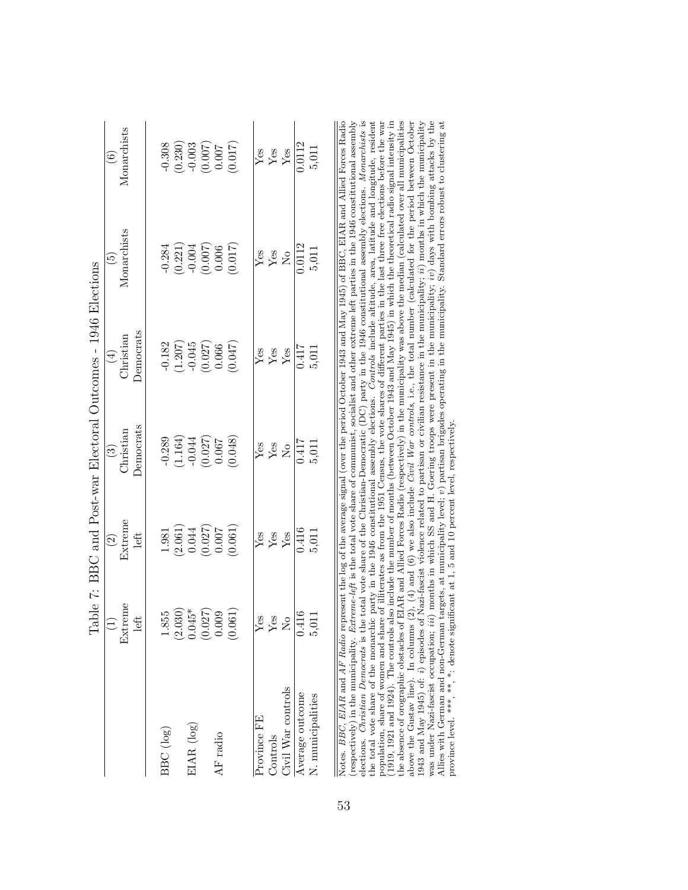<span id="page-52-0"></span>

| $\widehat{S}$<br>Extreme<br>1.981<br>left<br>$\odot$<br>Extreme<br>1.855<br>left<br>BBC (log) | Democrats<br>Christian | $\widehat{\mathbb{F}}$ | $\widetilde{5}$ |                                                |
|-----------------------------------------------------------------------------------------------|------------------------|------------------------|-----------------|------------------------------------------------|
|                                                                                               |                        | Christian              | Monarchists     | Monarchists<br>$\odot$                         |
|                                                                                               |                        | Democrats              |                 |                                                |
|                                                                                               | $-0.289$               | $-0.182$               | $-0.284$        | $-0.308$                                       |
| (2.061)<br>(2.030)                                                                            | (1.164)                | (1.207)                | (0.221)         | (0.230)                                        |
| 0.044<br>$0.045*$<br>EIAR (log)                                                               | $-0.044$               | $-0.045$               | $-0.004$        | $-0.003$                                       |
| (0.027)<br>(27)<br>(0.0)                                                                      | (0.027)                | (0.027)                | (0.007)         |                                                |
| 0.007<br>0.009<br>AF radio                                                                    | 0.067                  | 0.066                  | 0.006           | $\begin{pmatrix} 0.007 \\ 0.007 \end{pmatrix}$ |
| (0.061)<br>061<br>$\frac{1}{2}$                                                               | (650.01)               | (250.0)                | (0.017)         | (0.017)                                        |
| Yes<br>Yes<br>es<br>Province FE                                                               |                        | Yes                    | Yes             | Yes                                            |
| ${\rm Yes}$<br>$_{\rm Yes}$<br>Controls                                                       | ${\rm Yes}$            | ${\rm Yes}$            | $\mathbf{Yes}$  | $_{\rm Yes}^{\rm Yes}$                         |
| $\overline{N}$<br>${\rm Yes}$<br>$\tilde{\mathsf{X}}$<br>Civil War controls                   |                        | ${\rm Yes}$            | $\overline{N}$  |                                                |
| 0.416<br>0.416<br>Average outcome                                                             | 0.417                  | 0.417                  | 0.0112          | 0.0112                                         |
| 5,011<br>$\overline{0}1$<br>N. municipalities                                                 | 5,011                  | 5,011                  | 5,011           | 5,011                                          |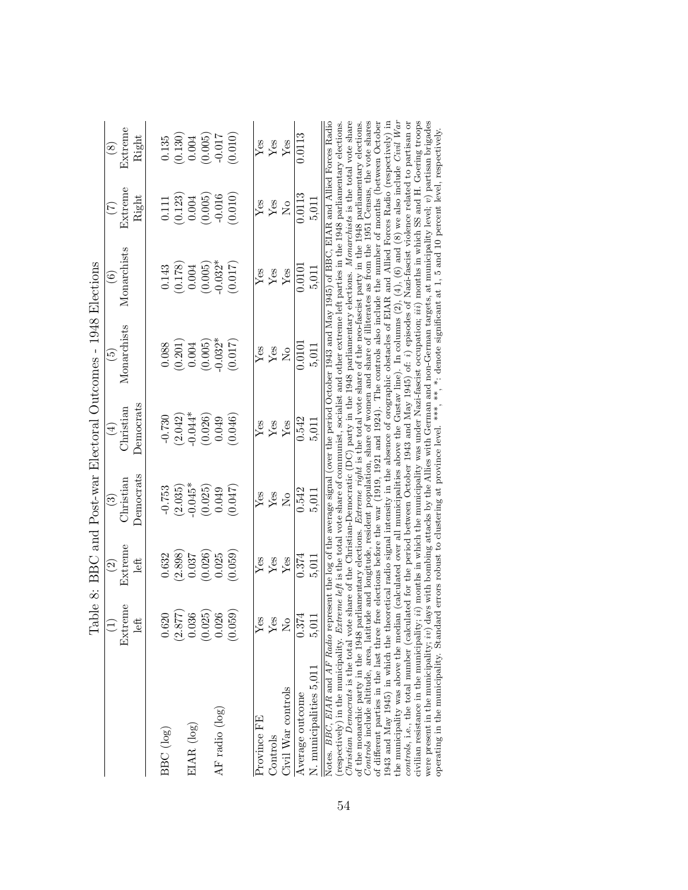|                                                                                                                                                                                                                                                                                                                                          |                                                 |                      |                          |             | Table 8: BBC and Post-war Electoral Outcomes - 1948 Elections                                                        |             |                |               |
|------------------------------------------------------------------------------------------------------------------------------------------------------------------------------------------------------------------------------------------------------------------------------------------------------------------------------------------|-------------------------------------------------|----------------------|--------------------------|-------------|----------------------------------------------------------------------------------------------------------------------|-------------|----------------|---------------|
|                                                                                                                                                                                                                                                                                                                                          |                                                 | $\widetilde{\Omega}$ | $\widetilde{\mathbb{C}}$ | Ë           | ق                                                                                                                    | $\odot$     | E              | $\circledast$ |
|                                                                                                                                                                                                                                                                                                                                          | Extreme                                         | Extreme              | Christian                | Christian   | Monarchists                                                                                                          | Monarchists | Extreme        | Extreme       |
|                                                                                                                                                                                                                                                                                                                                          | left                                            | left                 | Democrats                | Democrats   |                                                                                                                      |             | Right          | Right         |
|                                                                                                                                                                                                                                                                                                                                          |                                                 |                      |                          |             |                                                                                                                      |             |                |               |
| BBC (log)                                                                                                                                                                                                                                                                                                                                | 0.620                                           | 0.632                | $-0.753$                 | $-0.730$    | 0.088                                                                                                                | 0.143       | 0.111          | 0.135         |
|                                                                                                                                                                                                                                                                                                                                          | $\begin{array}{c} (2.877) \\ 0.036 \end{array}$ | (2.898)              | (2.035)                  | (2.042)     | (0.201)                                                                                                              | (0.178)     | (0.123)        | (0.130)       |
| EIAR (log)                                                                                                                                                                                                                                                                                                                               |                                                 | 0.037                | $-0.045*$                | $-0.044*$   | 0.004                                                                                                                | 0.004       | 0.004          | 0.004         |
|                                                                                                                                                                                                                                                                                                                                          | (0.025)                                         | (0.026)              | $(0.025)$<br>$0.049$     | (0.026)     | (0.005)                                                                                                              | (0.005)     | (0.005)        | (0.005)       |
| AF radio (log)                                                                                                                                                                                                                                                                                                                           | 0.026                                           | 0.025                |                          | 0.049       | $-0.032*$                                                                                                            | $-0.032*$   | $-0.016$       | $-0.017$      |
|                                                                                                                                                                                                                                                                                                                                          | (0.059)                                         | (0.059)              | (0.047)                  | (0.046)     | (0.017)                                                                                                              | (0.017)     | (0.010)        | (0.010)       |
|                                                                                                                                                                                                                                                                                                                                          |                                                 |                      |                          |             |                                                                                                                      |             |                |               |
| Province FE                                                                                                                                                                                                                                                                                                                              | Yes                                             | $_{\rm Yes}$         | Yes                      | Yes         | Yes                                                                                                                  | Yes         | Yes            | Yes           |
| Controls                                                                                                                                                                                                                                                                                                                                 | Yes                                             | Yes                  | ${\rm Yes}$              | ${\rm Yes}$ | ${\rm Yes}$                                                                                                          | ${\rm Yes}$ | ${\rm Yes}$    | Yes           |
| Civil War controls                                                                                                                                                                                                                                                                                                                       | $\overline{N}$                                  | $Y$ es               | $\mathcal{S}^{\circ}$    | Yes         | $\overline{N}$                                                                                                       | ${\rm Yes}$ | $\overline{N}$ | Yes           |
| Average outcome                                                                                                                                                                                                                                                                                                                          | 0.374                                           | 0.374                | 0.542                    | 0.542       | 0.0101                                                                                                               | 0.0101      | 0.0113         | 0.0113        |
| N. municipalities 5,011                                                                                                                                                                                                                                                                                                                  | 5,011                                           | 5,011                | 5,011                    | 5.011       | 5,011                                                                                                                | 5,011       | 5,011          |               |
| Notes. BBC, EIAR and AF Radio represent the log of the average signal (over the period October 1943 and May 1945) of BBC, EIAR and Allied Forces Radio                                                                                                                                                                                   |                                                 |                      |                          |             |                                                                                                                      |             |                |               |
| (respectively) in the municipality. Extreme left is the total vote share of communist, socialist and other extreme left parties in the 1948 parliamentary elections.                                                                                                                                                                     |                                                 |                      |                          |             |                                                                                                                      |             |                |               |
| Christian Democrats is the total vote share of the Christian-Democratic (DC) party in the 1948 parliamentary elections. Monarchists is the total vote share                                                                                                                                                                              |                                                 |                      |                          |             |                                                                                                                      |             |                |               |
| Controls include altitude, area, latitude and longitude, resident population, share of women and share of illiterates as from the 1951 Census, the vote shares<br>of the monarchic party in the 1948 parliamentary elections. Extreme right is the total vote share of the neo-fascist party in the 1948 parliamentary elections.        |                                                 |                      |                          |             |                                                                                                                      |             |                |               |
| of different parties in the last three f                                                                                                                                                                                                                                                                                                 |                                                 |                      |                          |             | free elections before the war (1919, 1921 and 1924). The controls also include the number of months (between October |             |                |               |
| 1943 and May 1945) in which the theoretical radio signal intensity in the absence of orographic obstacles of EIAR and Allied Forces Radio (respectively) in                                                                                                                                                                              |                                                 |                      |                          |             |                                                                                                                      |             |                |               |
| the municipality was above the median (calculated over all municipalities above the Gustav line). In columns $(2)$ , $(4)$ , $(6)$ and $(8)$ we also include Civil War<br>controls, i.e., the total number (calculated for the period between October 1943 and May 1945) of: i) episodes of Nazi-fascist violence related to partisan or |                                                 |                      |                          |             |                                                                                                                      |             |                |               |
| civilian resistance in the municipality; <i>ii</i> ) months in which the municipality was under Nazi-fascist occupation; <i>iii</i> ) months in which SS and H. Goering troops                                                                                                                                                           |                                                 |                      |                          |             |                                                                                                                      |             |                |               |
| were present in the municipality; <i>iv</i> ) days with bombing attacks by the Allies with German and non-German targets, at municipality level; <i>v</i> ) partisan brigades operating in the municipality. Standard errors robust to cl                                                                                                |                                                 |                      |                          |             |                                                                                                                      |             |                |               |
|                                                                                                                                                                                                                                                                                                                                          |                                                 |                      |                          |             |                                                                                                                      |             |                |               |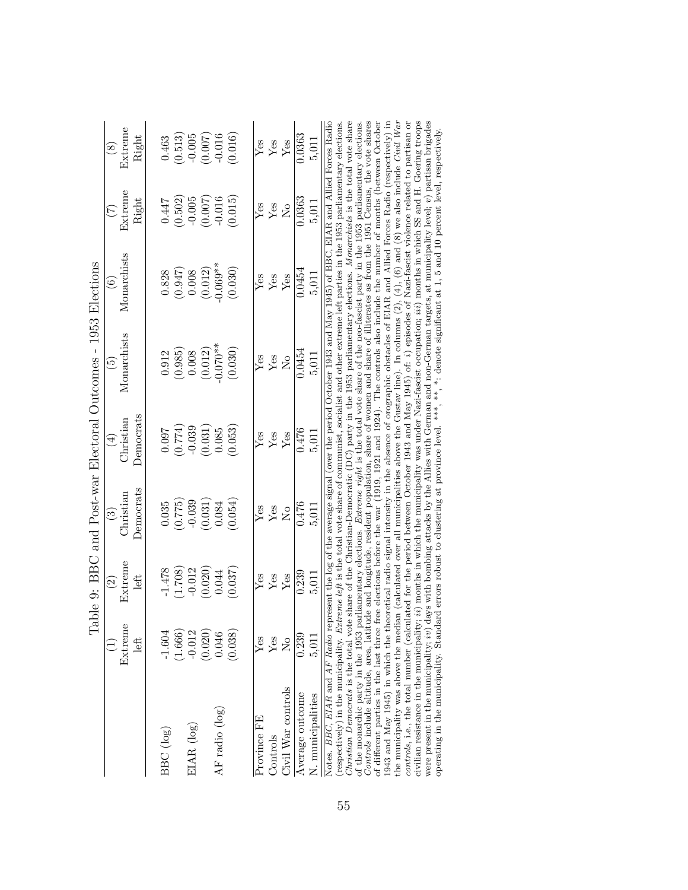<span id="page-54-0"></span>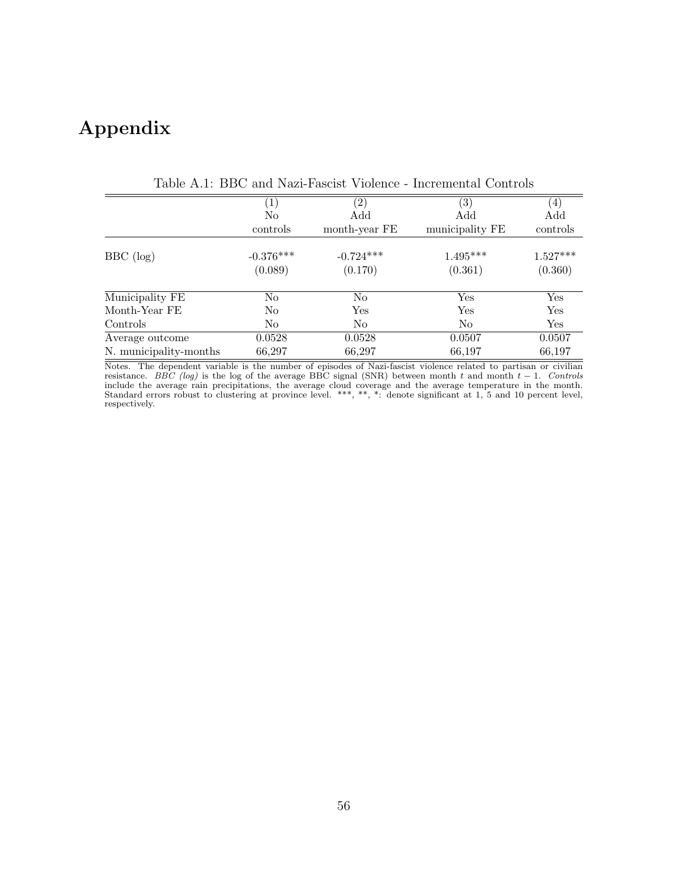## Appendix

| IWAIO II,I, DDC WHU ITWAI IWACHAU TIOICHCO<br>11101 0111011001 - O 01101 010 |                        |                        |                       |                       |  |  |  |  |
|------------------------------------------------------------------------------|------------------------|------------------------|-----------------------|-----------------------|--|--|--|--|
|                                                                              | $\left( 1\right)$      | $\left( 2\right)$      | $\left( 3\right)$     | $\left(4\right)$      |  |  |  |  |
|                                                                              | No                     | Add                    | Add                   | Add                   |  |  |  |  |
|                                                                              | controls               | month-year FE          | municipality FE       | controls              |  |  |  |  |
| BBC (log)                                                                    | $-0.376***$<br>(0.089) | $-0.724***$<br>(0.170) | $1.495***$<br>(0.361) | $1.527***$<br>(0.360) |  |  |  |  |
| Municipality FE                                                              | N <sub>0</sub>         | No                     | Yes                   | Yes                   |  |  |  |  |
| Month-Year FE                                                                | No                     | Yes                    | Yes                   | Yes                   |  |  |  |  |
| Controls                                                                     | N <sub>0</sub>         | No                     | No                    | Yes                   |  |  |  |  |
| Average outcome                                                              | 0.0528                 | 0.0528                 | 0.0507                | 0.0507                |  |  |  |  |
| N. municipality-months                                                       | 66,297                 | 66,297                 | 66,197                | 66,197                |  |  |  |  |

Table A.1: BBC and Nazi-Fascist Violence - Incremental Controls

Notes. The dependent variable is the number of episodes of Nazi-fascist violence related to partisan or civilian resistance. BBC (log) is the log of the average BBC signal (SNR) between month t and month  $t - 1$ . Controls include the average rain precipitations, the average cloud coverage and the average temperature in the month. Standard errors robust to clustering at province level. \*\*\*, \*\*, \*: denote significant at 1, 5 and 10 percent level, respectively.